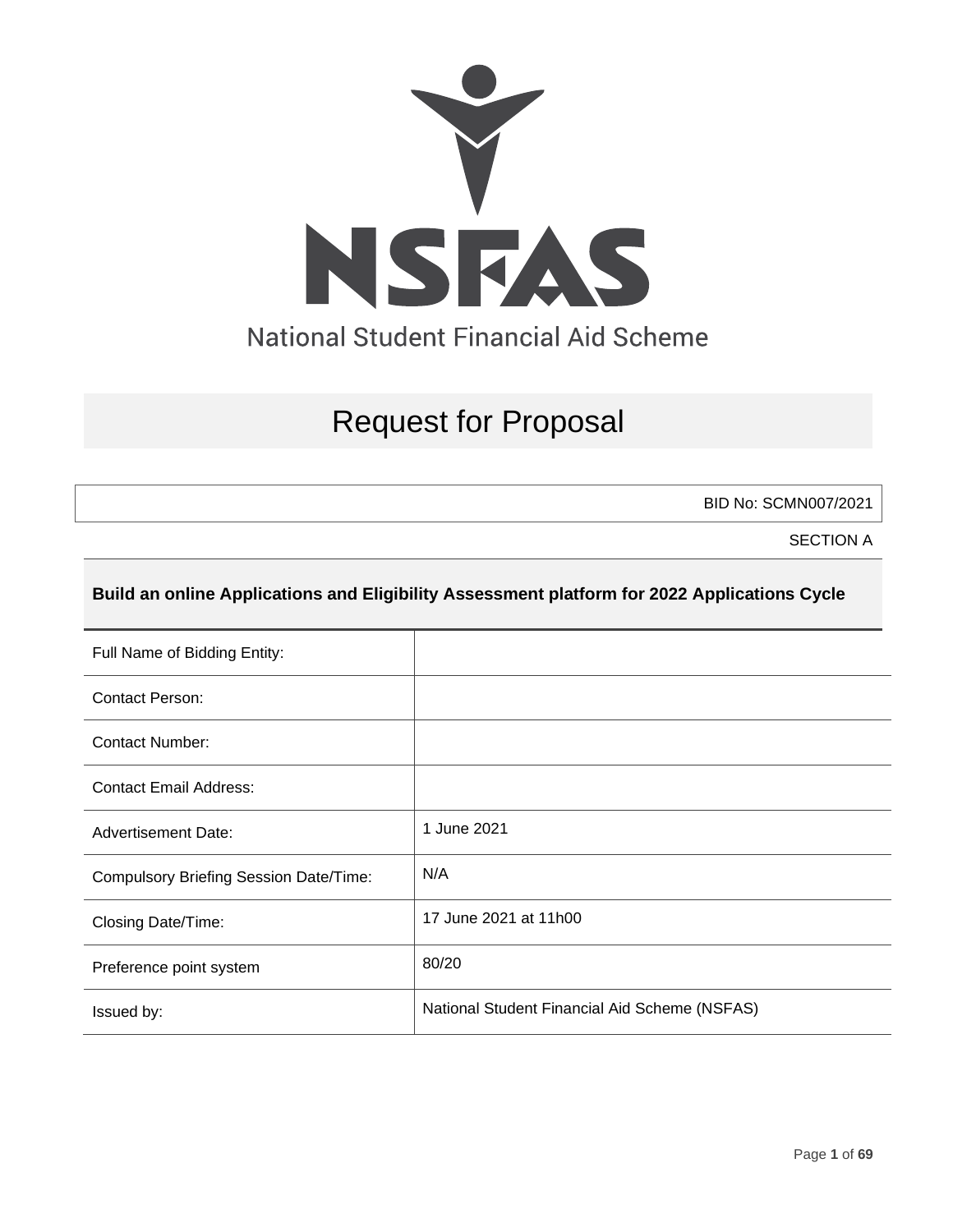

# Request for Proposal

BID No: SCMN007/2021

SECTION A

# **Build an online Applications and Eligibility Assessment platform for 2022 Applications Cycle**

| Full Name of Bidding Entity:                  |                                               |
|-----------------------------------------------|-----------------------------------------------|
| <b>Contact Person:</b>                        |                                               |
| Contact Number:                               |                                               |
| <b>Contact Email Address:</b>                 |                                               |
| <b>Advertisement Date:</b>                    | 1 June 2021                                   |
| <b>Compulsory Briefing Session Date/Time:</b> | N/A                                           |
| Closing Date/Time:                            | 17 June 2021 at 11h00                         |
| Preference point system                       | 80/20                                         |
| Issued by:                                    | National Student Financial Aid Scheme (NSFAS) |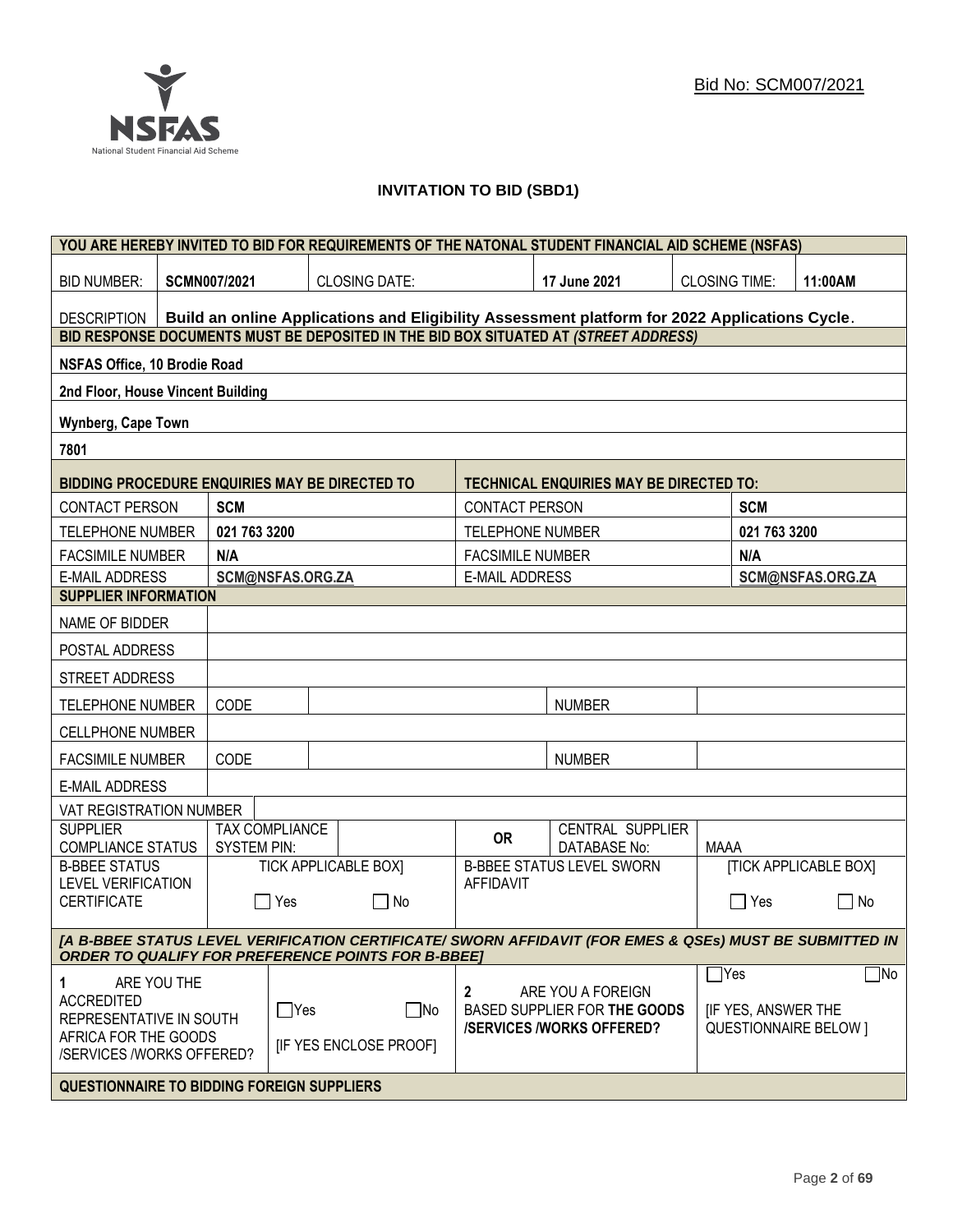

# **INVITATION TO BID (SBD1)**

|                                                   |                |                     |                  |                                                           |                         | YOU ARE HEREBY INVITED TO BID FOR REQUIREMENTS OF THE NATONAL STUDENT FINANCIAL AID SCHEME (NSFAS)      |                      |                           |                              |
|---------------------------------------------------|----------------|---------------------|------------------|-----------------------------------------------------------|-------------------------|---------------------------------------------------------------------------------------------------------|----------------------|---------------------------|------------------------------|
| <b>BID NUMBER:</b>                                |                | <b>SCMN007/2021</b> |                  | <b>CLOSING DATE:</b>                                      |                         | 17 June 2021                                                                                            | <b>CLOSING TIME:</b> |                           | 11:00AM                      |
| <b>DESCRIPTION</b>                                |                |                     |                  |                                                           |                         | Build an online Applications and Eligibility Assessment platform for 2022 Applications Cycle.           |                      |                           |                              |
|                                                   |                |                     |                  |                                                           |                         | BID RESPONSE DOCUMENTS MUST BE DEPOSITED IN THE BID BOX SITUATED AT (STREET ADDRESS)                    |                      |                           |                              |
| <b>NSFAS Office, 10 Brodie Road</b>               |                |                     |                  |                                                           |                         |                                                                                                         |                      |                           |                              |
| 2nd Floor, House Vincent Building                 |                |                     |                  |                                                           |                         |                                                                                                         |                      |                           |                              |
| <b>Wynberg, Cape Town</b>                         |                |                     |                  |                                                           |                         |                                                                                                         |                      |                           |                              |
| 7801                                              |                |                     |                  |                                                           |                         |                                                                                                         |                      |                           |                              |
| BIDDING PROCEDURE ENQUIRIES MAY BE DIRECTED TO    |                |                     |                  |                                                           |                         | <b>TECHNICAL ENQUIRIES MAY BE DIRECTED TO:</b>                                                          |                      |                           |                              |
| <b>CONTACT PERSON</b>                             |                | <b>SCM</b>          |                  |                                                           | <b>CONTACT PERSON</b>   |                                                                                                         |                      | <b>SCM</b>                |                              |
| <b>TELEPHONE NUMBER</b>                           |                | 021 763 3200        |                  |                                                           | <b>TELEPHONE NUMBER</b> |                                                                                                         |                      | 021 763 3200              |                              |
| <b>FACSIMILE NUMBER</b>                           |                | N/A                 |                  |                                                           | <b>FACSIMILE NUMBER</b> |                                                                                                         |                      | N/A                       |                              |
| <b>E-MAIL ADDRESS</b>                             |                |                     | SCM@NSFAS.ORG.ZA |                                                           | <b>E-MAIL ADDRESS</b>   |                                                                                                         |                      |                           | SCM@NSFAS.ORG.ZA             |
| <b>SUPPLIER INFORMATION</b>                       |                |                     |                  |                                                           |                         |                                                                                                         |                      |                           |                              |
| NAME OF BIDDER                                    |                |                     |                  |                                                           |                         |                                                                                                         |                      |                           |                              |
|                                                   | POSTAL ADDRESS |                     |                  |                                                           |                         |                                                                                                         |                      |                           |                              |
| STREET ADDRESS                                    |                |                     |                  |                                                           |                         |                                                                                                         |                      |                           |                              |
| <b>TELEPHONE NUMBER</b>                           |                | CODE                |                  |                                                           |                         | <b>NUMBER</b>                                                                                           |                      |                           |                              |
| <b>CELLPHONE NUMBER</b>                           |                |                     |                  |                                                           |                         |                                                                                                         |                      |                           |                              |
| <b>FACSIMILE NUMBER</b>                           |                | CODE                |                  |                                                           |                         | <b>NUMBER</b>                                                                                           |                      |                           |                              |
| <b>E-MAIL ADDRESS</b>                             |                |                     |                  |                                                           |                         |                                                                                                         |                      |                           |                              |
| VAT REGISTRATION NUMBER                           |                |                     |                  |                                                           |                         |                                                                                                         |                      |                           |                              |
| <b>SUPPLIER</b><br><b>COMPLIANCE STATUS</b>       |                | <b>SYSTEM PIN:</b>  | TAX COMPLIANCE   |                                                           | <b>OR</b>               | CENTRAL SUPPLIER<br><b>DATABASE No:</b>                                                                 | <b>MAAA</b>          |                           |                              |
| <b>B-BBEE STATUS</b>                              |                |                     |                  | <b>TICK APPLICABLE BOXI</b>                               |                         | <b>B-BBEE STATUS LEVEL SWORN</b>                                                                        |                      |                           | <b>[TICK APPLICABLE BOX]</b> |
| <b>LEVEL VERIFICATION</b><br><b>CERTIFICATE</b>   |                | $\mathbf{I}$        | Yes              | $\Box$ No                                                 | <b>AFFIDAVIT</b>        |                                                                                                         |                      | $\Box$ Yes                | $\Box$<br>No                 |
|                                                   |                |                     |                  | <b>ORDER TO QUALIFY FOR PREFERENCE POINTS FOR B-BBEET</b> |                         | [A B-BBEE STATUS LEVEL VERIFICATION CERTIFICATE/ SWORN AFFIDAVIT (FOR EMES & QSEs) MUST BE SUBMITTED IN |                      |                           |                              |
|                                                   |                |                     |                  |                                                           |                         |                                                                                                         | $\Box$ Yes           |                           | $\Box$ No                    |
| 1<br><b>ACCREDITED</b><br>REPRESENTATIVE IN SOUTH | ARE YOU THE    |                     | $\Box$ Yes       | $\Box$ No                                                 | 2                       | ARE YOU A FOREIGN<br>BASED SUPPLIER FOR THE GOODS<br><b>/SERVICES/WORKS OFFERED?</b>                    |                      | <b>IF YES, ANSWER THE</b> | <b>QUESTIONNAIRE BELOW 1</b> |
| AFRICA FOR THE GOODS<br>/SERVICES /WORKS OFFERED? |                |                     |                  | <b>IF YES ENCLOSE PROOFI</b>                              |                         |                                                                                                         |                      |                           |                              |
| <b>QUESTIONNAIRE TO BIDDING FOREIGN SUPPLIERS</b> |                |                     |                  |                                                           |                         |                                                                                                         |                      |                           |                              |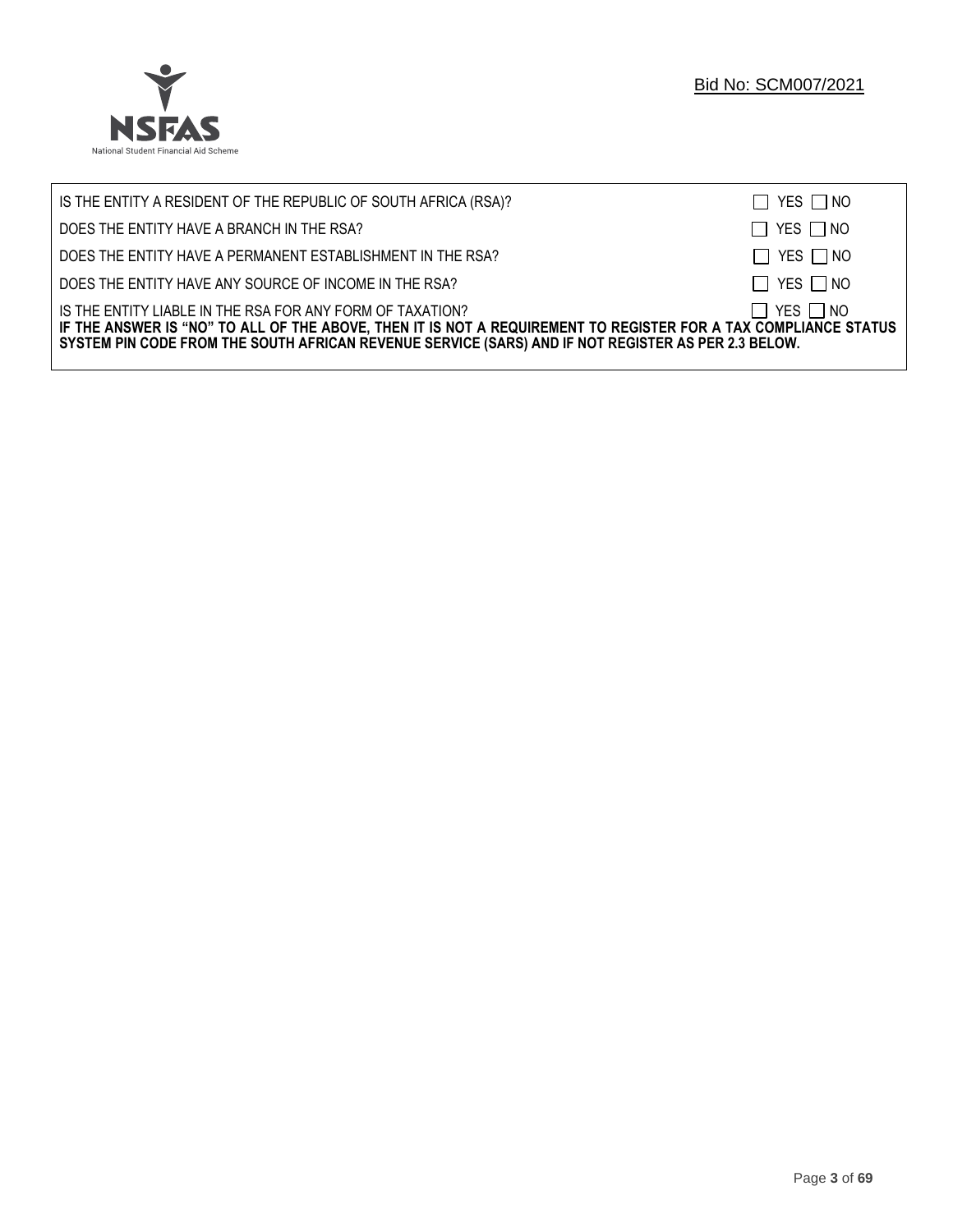

| IS THE ENTITY A RESIDENT OF THE REPUBLIC OF SOUTH AFRICA (RSA)?                                                                                                                                                                                                                     | $\Box$ YES $\Box$ NO |
|-------------------------------------------------------------------------------------------------------------------------------------------------------------------------------------------------------------------------------------------------------------------------------------|----------------------|
| DOES THE ENTITY HAVE A BRANCH IN THE RSA?                                                                                                                                                                                                                                           | $\Box$ YES $\Box$ NO |
| DOES THE ENTITY HAVE A PERMANENT ESTABLISHMENT IN THE RSA?                                                                                                                                                                                                                          | $\Box$ YES $\Box$ NO |
| DOES THE ENTITY HAVE ANY SOURCE OF INCOME IN THE RSA?                                                                                                                                                                                                                               | $\Box$ YES $\Box$ NO |
| IS THE ENTITY LIABLE IN THE RSA FOR ANY FORM OF TAXATION?<br>IF THE ANSWER IS "NO" TO ALL OF THE ABOVE, THEN IT IS NOT A REQUIREMENT TO REGISTER FOR A TAX COMPLIANCE STATUS<br>SYSTEM PIN CODE FROM THE SOUTH AFRICAN REVENUE SERVICE (SARS) AND IF NOT REGISTER AS PER 2.3 BELOW. | $\Box$ YES $\Box$ NO |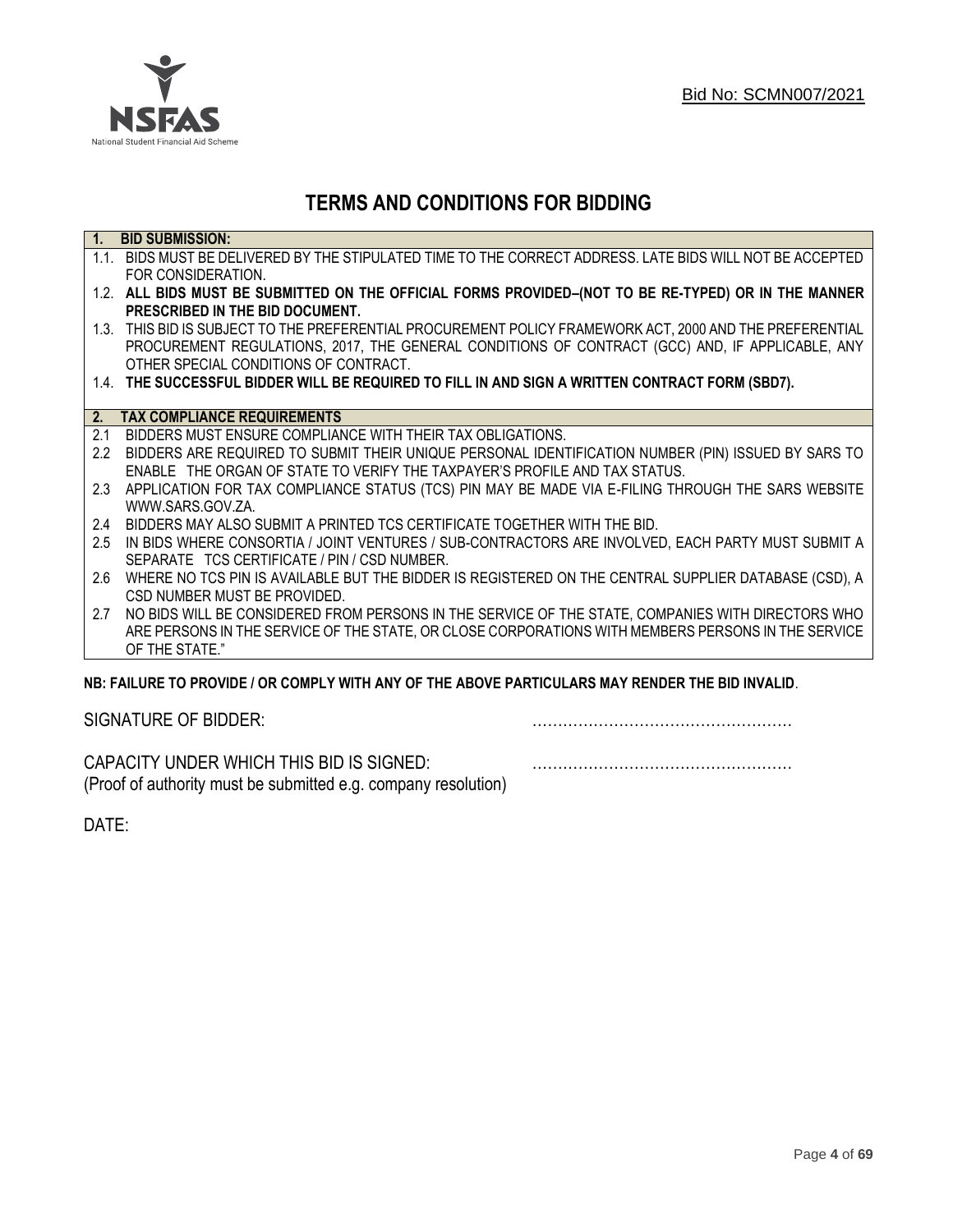

# **TERMS AND CONDITIONS FOR BIDDING**

| $\overline{1}$ . | <b>BID SUBMISSION:</b>                                                                                    |
|------------------|-----------------------------------------------------------------------------------------------------------|
|                  | 1.1. BIDS MUST BE DELIVERED BY THE STIPULATED TIME TO THE CORRECT ADDRESS. LATE BIDS WILL NOT BE ACCEPTED |
|                  | FOR CONSIDERATION.                                                                                        |
|                  | 1.2. ALL BIDS MUST BE SUBMITTED ON THE OFFICIAL FORMS PROVIDED-(NOT TO BE RE-TYPED) OR IN THE MANNER      |
|                  | PRESCRIBED IN THE BID DOCUMENT.                                                                           |
|                  | 1.3. THIS BID IS SUBJECT TO THE PREFERENTIAL PROCUREMENT POLICY FRAMEWORK ACT, 2000 AND THE PREFERENTIAL  |
|                  | PROCUREMENT REGULATIONS, 2017, THE GENERAL CONDITIONS OF CONTRACT (GCC) AND, IF APPLICABLE, ANY           |
|                  | OTHER SPECIAL CONDITIONS OF CONTRACT.                                                                     |
|                  | 1.4. THE SUCCESSFUL BIDDER WILL BE REQUIRED TO FILL IN AND SIGN A WRITTEN CONTRACT FORM (SBD7).           |
|                  |                                                                                                           |
|                  | 2. TAX COMPLIANCE REQUIREMENTS                                                                            |
| 2.1              | BIDDERS MUST ENSURE COMPLIANCE WITH THEIR TAX OBLIGATIONS.                                                |
| $2.2^{\circ}$    | BIDDERS ARE REQUIRED TO SUBMIT THEIR UNIQUE PERSONAL IDENTIFICATION NUMBER (PIN) ISSUED BY SARS TO        |
|                  | ENABLE THE ORGAN OF STATE TO VERIFY THE TAXPAYER'S PROFILE AND TAX STATUS.                                |
| 2.3              | APPLICATION FOR TAX COMPLIANCE STATUS (TCS) PIN MAY BE MADE VIA E-FILING THROUGH THE SARS WEBSITE         |
|                  | WWW.SARS.GOV.ZA.                                                                                          |
| 2.4              | BIDDERS MAY ALSO SUBMIT A PRINTED TCS CERTIFICATE TOGETHER WITH THE BID.                                  |
| 2.5              | IN BIDS WHERE CONSORTIA / JOINT VENTURES / SUB-CONTRACTORS ARE INVOLVED, EACH PARTY MUST SUBMIT A         |
|                  | SEPARATE TCS CERTIFICATE / PIN / CSD NUMBER.                                                              |
| 2.6              | WHERE NO TCS PIN IS AVAILABLE BUT THE BIDDER IS REGISTERED ON THE CENTRAL SUPPLIER DATABASE (CSD), A      |
|                  | CSD NUMBER MUST BE PROVIDED.                                                                              |
| 2.7              | NO BIDS WILL BE CONSIDERED FROM PERSONS IN THE SERVICE OF THE STATE, COMPANIES WITH DIRECTORS WHO         |
|                  | ARE PERSONS IN THE SERVICE OF THE STATE, OR CLOSE CORPORATIONS WITH MEMBERS PERSONS IN THE SERVICE        |
|                  | OF THE STATE."                                                                                            |
|                  | ND. EAILHDE TÓ DDÓVIDE LÓD CÓMDLV WITH ANY ÓE THE ADÓVE DADTICHLADO MAY DENDED THE DID INVALID.           |

# **NB: FAILURE TO PROVIDE / OR COMPLY WITH ANY OF THE ABOVE PARTICULARS MAY RENDER THE BID INVALID**.

|  | SIGNATURE OF BIDDER: |
|--|----------------------|
|--|----------------------|

SIGNATURE OF BIDDER: ……………………………………………

CAPACITY UNDER WHICH THIS BID IS SIGNED: …………………………………………… (Proof of authority must be submitted e.g. company resolution)

DATE: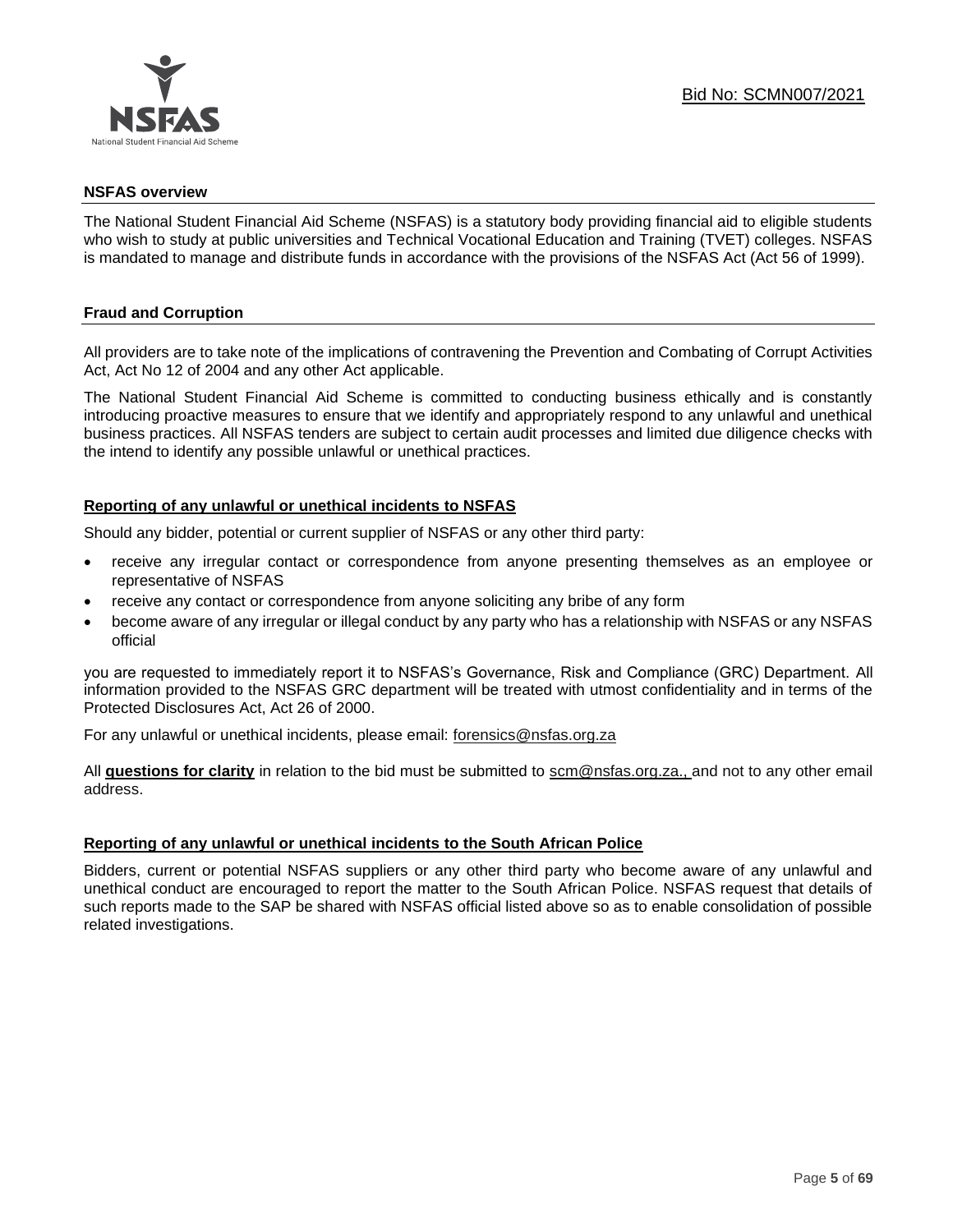

#### **NSFAS overview**

The National Student Financial Aid Scheme (NSFAS) is a statutory body providing financial aid to eligible students who wish to study at public universities and Technical Vocational Education and Training (TVET) colleges. NSFAS is mandated to manage and distribute funds in accordance with the provisions of the NSFAS Act (Act 56 of 1999).

# **Fraud and Corruption**

All providers are to take note of the implications of contravening the Prevention and Combating of Corrupt Activities Act, Act No 12 of 2004 and any other Act applicable.

The National Student Financial Aid Scheme is committed to conducting business ethically and is constantly introducing proactive measures to ensure that we identify and appropriately respond to any unlawful and unethical business practices. All NSFAS tenders are subject to certain audit processes and limited due diligence checks with the intend to identify any possible unlawful or unethical practices.

#### **Reporting of any unlawful or unethical incidents to NSFAS**

Should any bidder, potential or current supplier of NSFAS or any other third party:

- receive any irregular contact or correspondence from anyone presenting themselves as an employee or representative of NSFAS
- receive any contact or correspondence from anyone soliciting any bribe of any form
- become aware of any irregular or illegal conduct by any party who has a relationship with NSFAS or any NSFAS official

you are requested to immediately report it to NSFAS's Governance, Risk and Compliance (GRC) Department. All information provided to the NSFAS GRC department will be treated with utmost confidentiality and in terms of the Protected Disclosures Act, Act 26 of 2000.

For any unlawful or unethical incidents, please email: [forensics@nsfas.org.za](mailto:forensics@nsfas.org.za)

All **questions for clarity** in relation to the bid must be submitted to [scm@nsfas.org.za.](mailto:scm@nsfas.org.za), and not to any other email address.

# **Reporting of any unlawful or unethical incidents to the South African Police**

Bidders, current or potential NSFAS suppliers or any other third party who become aware of any unlawful and unethical conduct are encouraged to report the matter to the South African Police. NSFAS request that details of such reports made to the SAP be shared with NSFAS official listed above so as to enable consolidation of possible related investigations.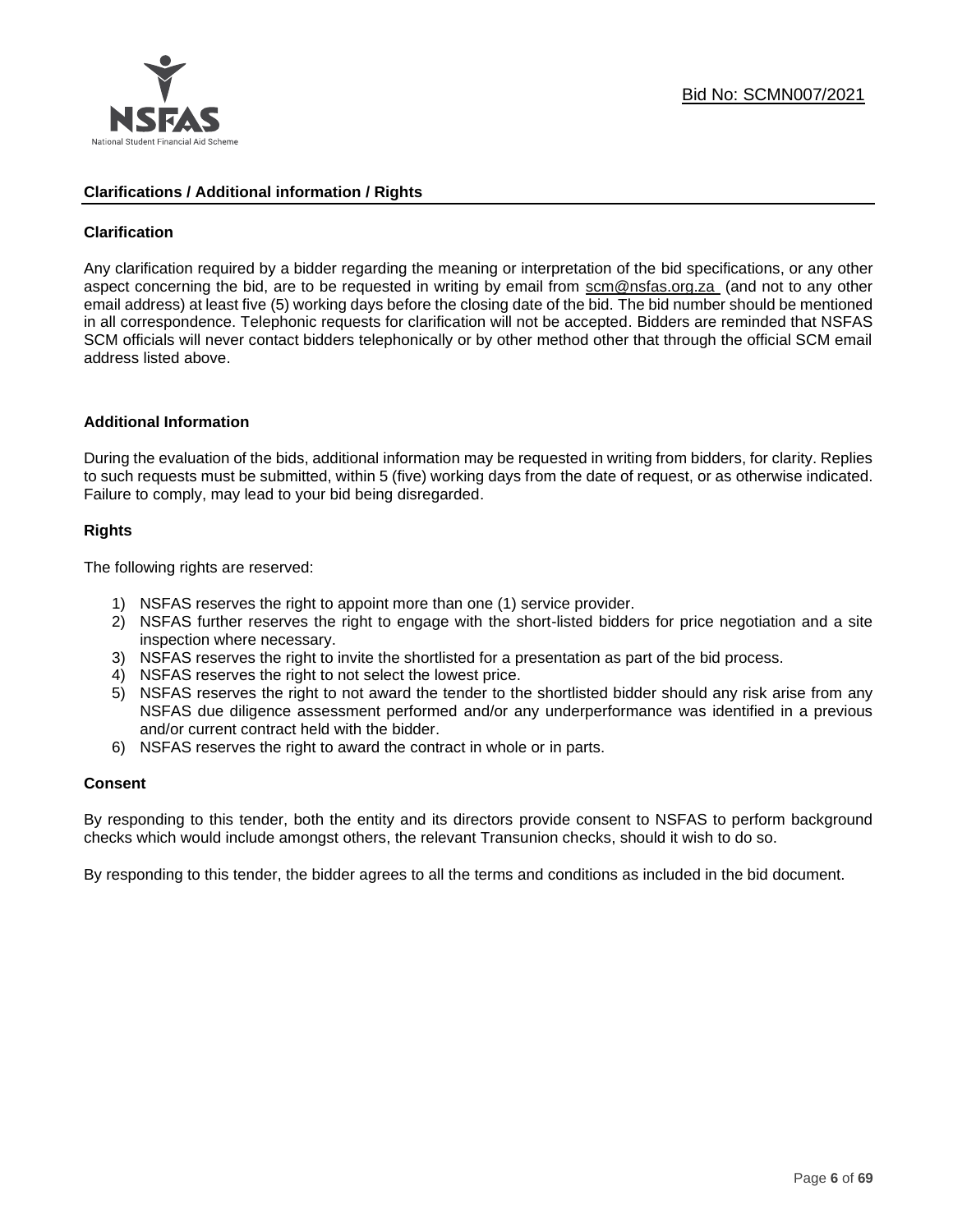

#### **Clarifications / Additional information / Rights**

#### **Clarification**

Any clarification required by a bidder regarding the meaning or interpretation of the bid specifications, or any other aspect concerning the bid, are to be requested in writing by email from [scm@nsfas.org.za](mailto:scm@nsfas.org.za) (and not to any other email address) at least five (5) working days before the closing date of the bid. The bid number should be mentioned in all correspondence. Telephonic requests for clarification will not be accepted. Bidders are reminded that NSFAS SCM officials will never contact bidders telephonically or by other method other that through the official SCM email address listed above.

#### **Additional Information**

During the evaluation of the bids, additional information may be requested in writing from bidders, for clarity. Replies to such requests must be submitted, within 5 (five) working days from the date of request, or as otherwise indicated. Failure to comply, may lead to your bid being disregarded.

#### **Rights**

The following rights are reserved:

- 1) NSFAS reserves the right to appoint more than one (1) service provider.
- 2) NSFAS further reserves the right to engage with the short-listed bidders for price negotiation and a site inspection where necessary.
- 3) NSFAS reserves the right to invite the shortlisted for a presentation as part of the bid process.
- 4) NSFAS reserves the right to not select the lowest price.
- 5) NSFAS reserves the right to not award the tender to the shortlisted bidder should any risk arise from any NSFAS due diligence assessment performed and/or any underperformance was identified in a previous and/or current contract held with the bidder.
- 6) NSFAS reserves the right to award the contract in whole or in parts.

#### **Consent**

By responding to this tender, both the entity and its directors provide consent to NSFAS to perform background checks which would include amongst others, the relevant Transunion checks, should it wish to do so.

By responding to this tender, the bidder agrees to all the terms and conditions as included in the bid document.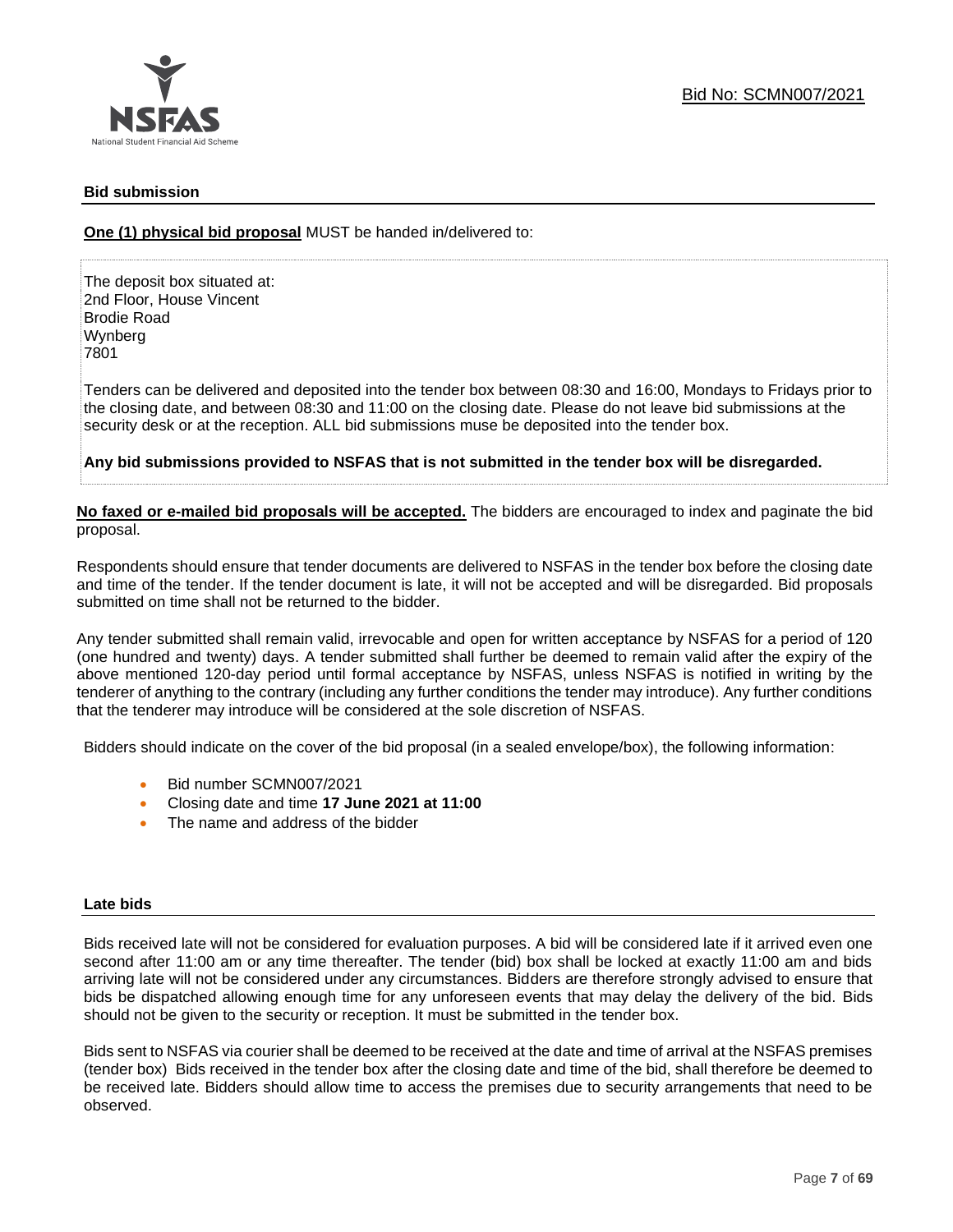

#### **Bid submission**

**One (1) physical bid proposal** MUST be handed in/delivered to:

The deposit box situated at: 2nd Floor, House Vincent Brodie Road Wynberg 7801

Tenders can be delivered and deposited into the tender box between 08:30 and 16:00, Mondays to Fridays prior to the closing date, and between 08:30 and 11:00 on the closing date. Please do not leave bid submissions at the security desk or at the reception. ALL bid submissions muse be deposited into the tender box.

**Any bid submissions provided to NSFAS that is not submitted in the tender box will be disregarded.**

**No faxed or e-mailed bid proposals will be accepted.** The bidders are encouraged to index and paginate the bid proposal.

Respondents should ensure that tender documents are delivered to NSFAS in the tender box before the closing date and time of the tender. If the tender document is late, it will not be accepted and will be disregarded. Bid proposals submitted on time shall not be returned to the bidder.

Any tender submitted shall remain valid, irrevocable and open for written acceptance by NSFAS for a period of 120 (one hundred and twenty) days. A tender submitted shall further be deemed to remain valid after the expiry of the above mentioned 120-day period until formal acceptance by NSFAS, unless NSFAS is notified in writing by the tenderer of anything to the contrary (including any further conditions the tender may introduce). Any further conditions that the tenderer may introduce will be considered at the sole discretion of NSFAS.

Bidders should indicate on the cover of the bid proposal (in a sealed envelope/box), the following information:

- Bid number SCMN007/2021
- Closing date and time **17 June 2021 at 11:00**
- The name and address of the bidder

#### **Late bids**

Bids received late will not be considered for evaluation purposes. A bid will be considered late if it arrived even one second after 11:00 am or any time thereafter. The tender (bid) box shall be locked at exactly 11:00 am and bids arriving late will not be considered under any circumstances. Bidders are therefore strongly advised to ensure that bids be dispatched allowing enough time for any unforeseen events that may delay the delivery of the bid. Bids should not be given to the security or reception. It must be submitted in the tender box.

Bids sent to NSFAS via courier shall be deemed to be received at the date and time of arrival at the NSFAS premises (tender box) Bids received in the tender box after the closing date and time of the bid, shall therefore be deemed to be received late. Bidders should allow time to access the premises due to security arrangements that need to be observed.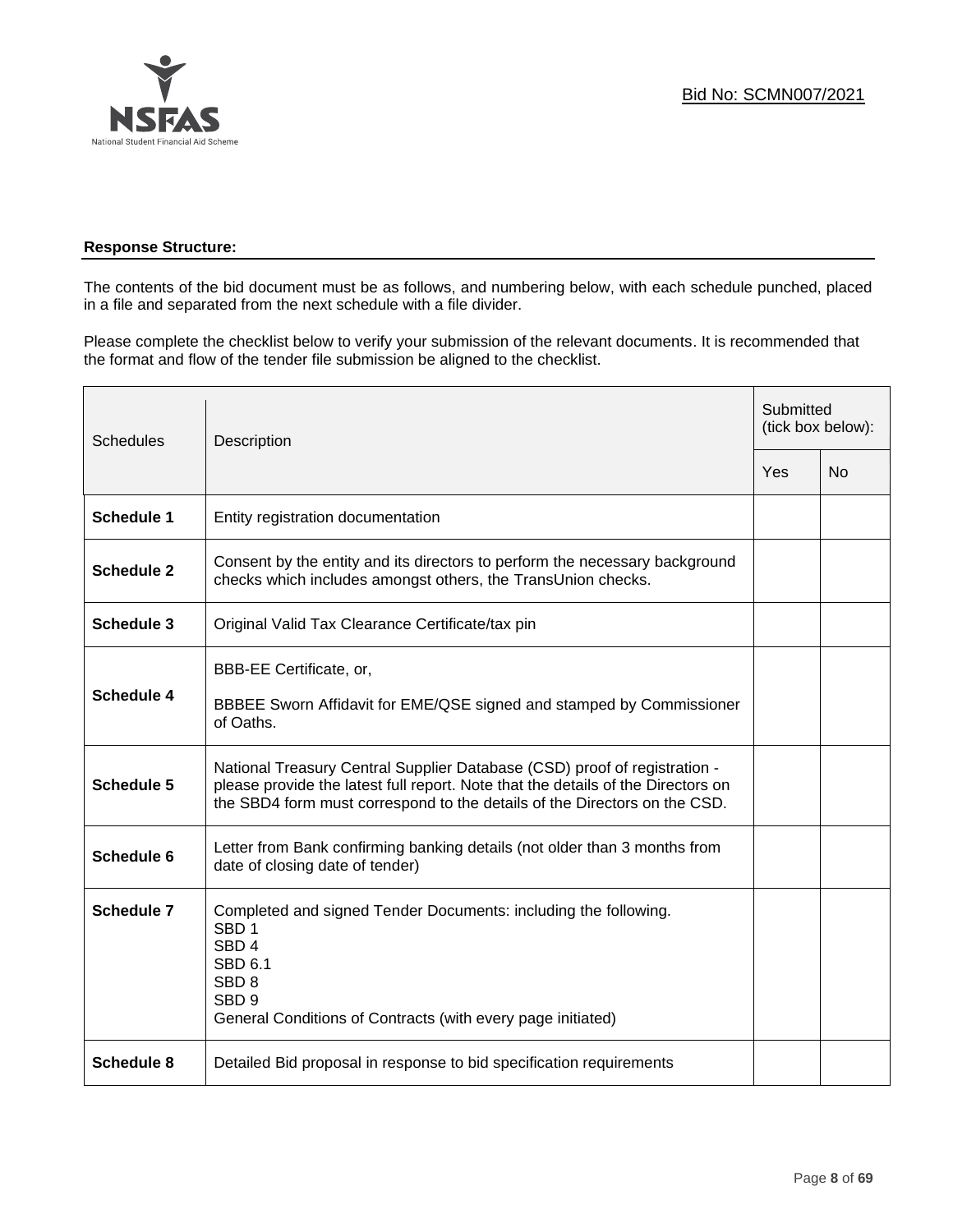

# **Response Structure:**

The contents of the bid document must be as follows, and numbering below, with each schedule punched, placed in a file and separated from the next schedule with a file divider.

Please complete the checklist below to verify your submission of the relevant documents. It is recommended that the format and flow of the tender file submission be aligned to the checklist.

| <b>Schedules</b>  | Description                                                                                                                                                                                                                                |     | Submitted<br>(tick box below): |  |
|-------------------|--------------------------------------------------------------------------------------------------------------------------------------------------------------------------------------------------------------------------------------------|-----|--------------------------------|--|
|                   |                                                                                                                                                                                                                                            | Yes | <b>No</b>                      |  |
| <b>Schedule 1</b> | Entity registration documentation                                                                                                                                                                                                          |     |                                |  |
| <b>Schedule 2</b> | Consent by the entity and its directors to perform the necessary background<br>checks which includes amongst others, the TransUnion checks.                                                                                                |     |                                |  |
| <b>Schedule 3</b> | Original Valid Tax Clearance Certificate/tax pin                                                                                                                                                                                           |     |                                |  |
| <b>Schedule 4</b> | BBB-EE Certificate, or,<br>BBBEE Sworn Affidavit for EME/QSE signed and stamped by Commissioner<br>of Oaths.                                                                                                                               |     |                                |  |
| <b>Schedule 5</b> | National Treasury Central Supplier Database (CSD) proof of registration -<br>please provide the latest full report. Note that the details of the Directors on<br>the SBD4 form must correspond to the details of the Directors on the CSD. |     |                                |  |
| Schedule 6        | Letter from Bank confirming banking details (not older than 3 months from<br>date of closing date of tender)                                                                                                                               |     |                                |  |
| <b>Schedule 7</b> | Completed and signed Tender Documents: including the following.<br>SBD <sub>1</sub><br>SBD <sub>4</sub><br><b>SBD 6.1</b><br>SBD <sub>8</sub><br>SBD <sub>9</sub><br>General Conditions of Contracts (with every page initiated)           |     |                                |  |
| <b>Schedule 8</b> | Detailed Bid proposal in response to bid specification requirements                                                                                                                                                                        |     |                                |  |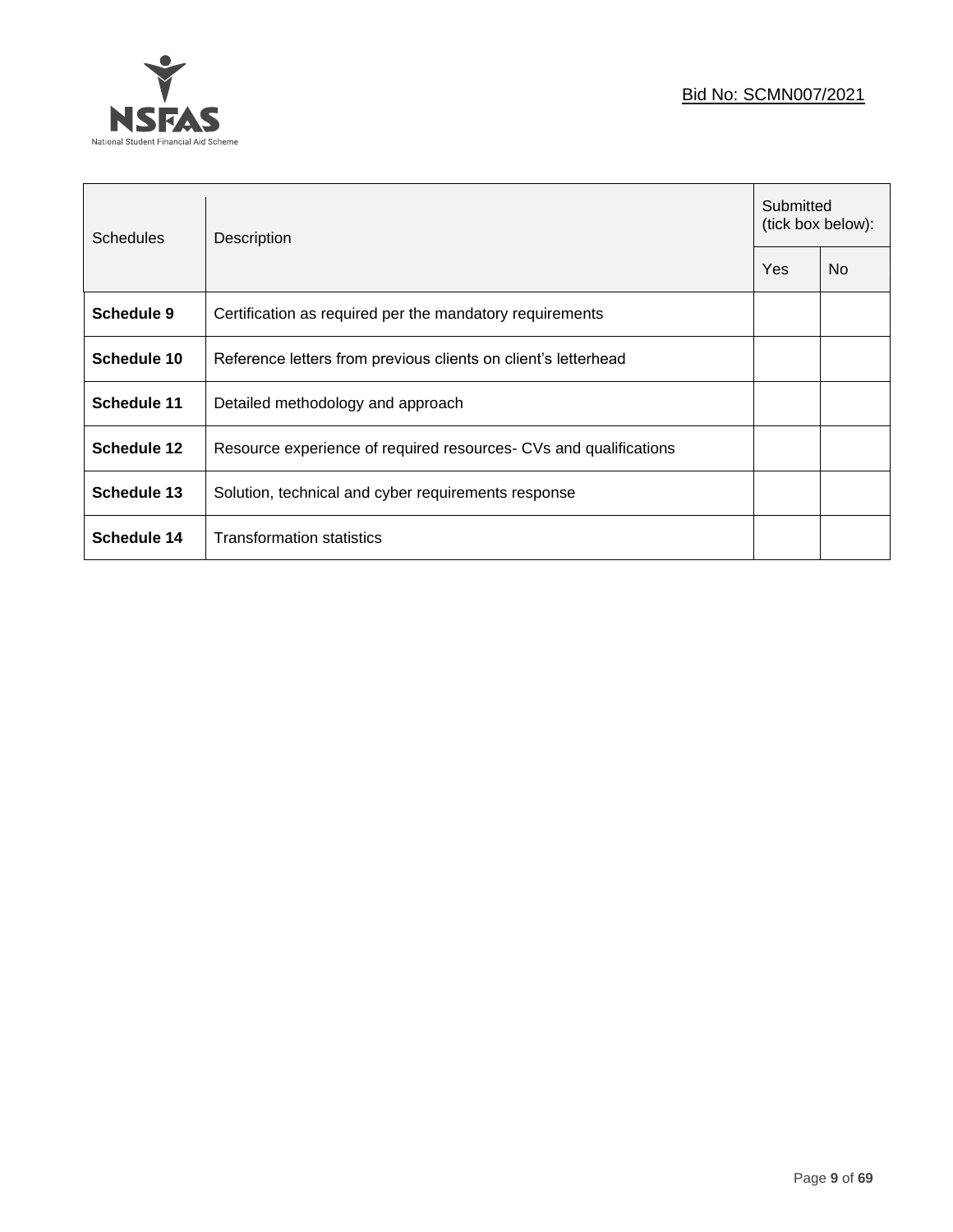

| <b>Schedules</b>   | Description                                                       | Submitted<br>(tick box below): |           |
|--------------------|-------------------------------------------------------------------|--------------------------------|-----------|
|                    |                                                                   | Yes                            | <b>No</b> |
| Schedule 9         | Certification as required per the mandatory requirements          |                                |           |
| Schedule 10        | Reference letters from previous clients on client's letterhead    |                                |           |
| Schedule 11        | Detailed methodology and approach                                 |                                |           |
| <b>Schedule 12</b> | Resource experience of required resources- CVs and qualifications |                                |           |
| Schedule 13        | Solution, technical and cyber requirements response               |                                |           |
| Schedule 14        | <b>Transformation statistics</b>                                  |                                |           |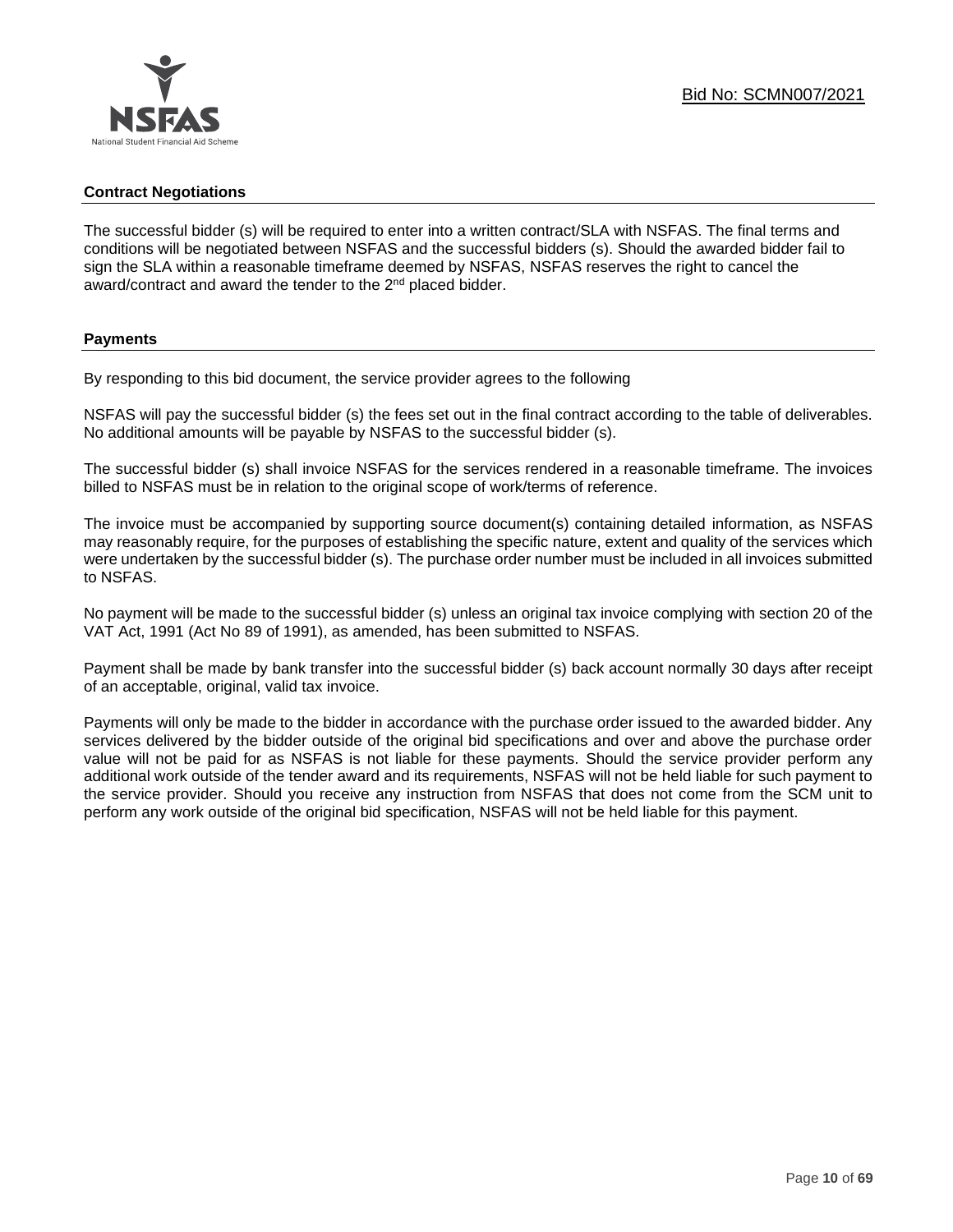#### **Contract Negotiations**

The successful bidder (s) will be required to enter into a written contract/SLA with NSFAS. The final terms and conditions will be negotiated between NSFAS and the successful bidders (s). Should the awarded bidder fail to sign the SLA within a reasonable timeframe deemed by NSFAS, NSFAS reserves the right to cancel the award/contract and award the tender to the 2<sup>nd</sup> placed bidder.

#### **Payments**

By responding to this bid document, the service provider agrees to the following

NSFAS will pay the successful bidder (s) the fees set out in the final contract according to the table of deliverables. No additional amounts will be payable by NSFAS to the successful bidder (s).

The successful bidder (s) shall invoice NSFAS for the services rendered in a reasonable timeframe. The invoices billed to NSFAS must be in relation to the original scope of work/terms of reference.

The invoice must be accompanied by supporting source document(s) containing detailed information, as NSFAS may reasonably require, for the purposes of establishing the specific nature, extent and quality of the services which were undertaken by the successful bidder (s). The purchase order number must be included in all invoices submitted to NSFAS.

No payment will be made to the successful bidder (s) unless an original tax invoice complying with section 20 of the VAT Act, 1991 (Act No 89 of 1991), as amended, has been submitted to NSFAS.

Payment shall be made by bank transfer into the successful bidder (s) back account normally 30 days after receipt of an acceptable, original, valid tax invoice.

Payments will only be made to the bidder in accordance with the purchase order issued to the awarded bidder. Any services delivered by the bidder outside of the original bid specifications and over and above the purchase order value will not be paid for as NSFAS is not liable for these payments. Should the service provider perform any additional work outside of the tender award and its requirements, NSFAS will not be held liable for such payment to the service provider. Should you receive any instruction from NSFAS that does not come from the SCM unit to perform any work outside of the original bid specification, NSFAS will not be held liable for this payment.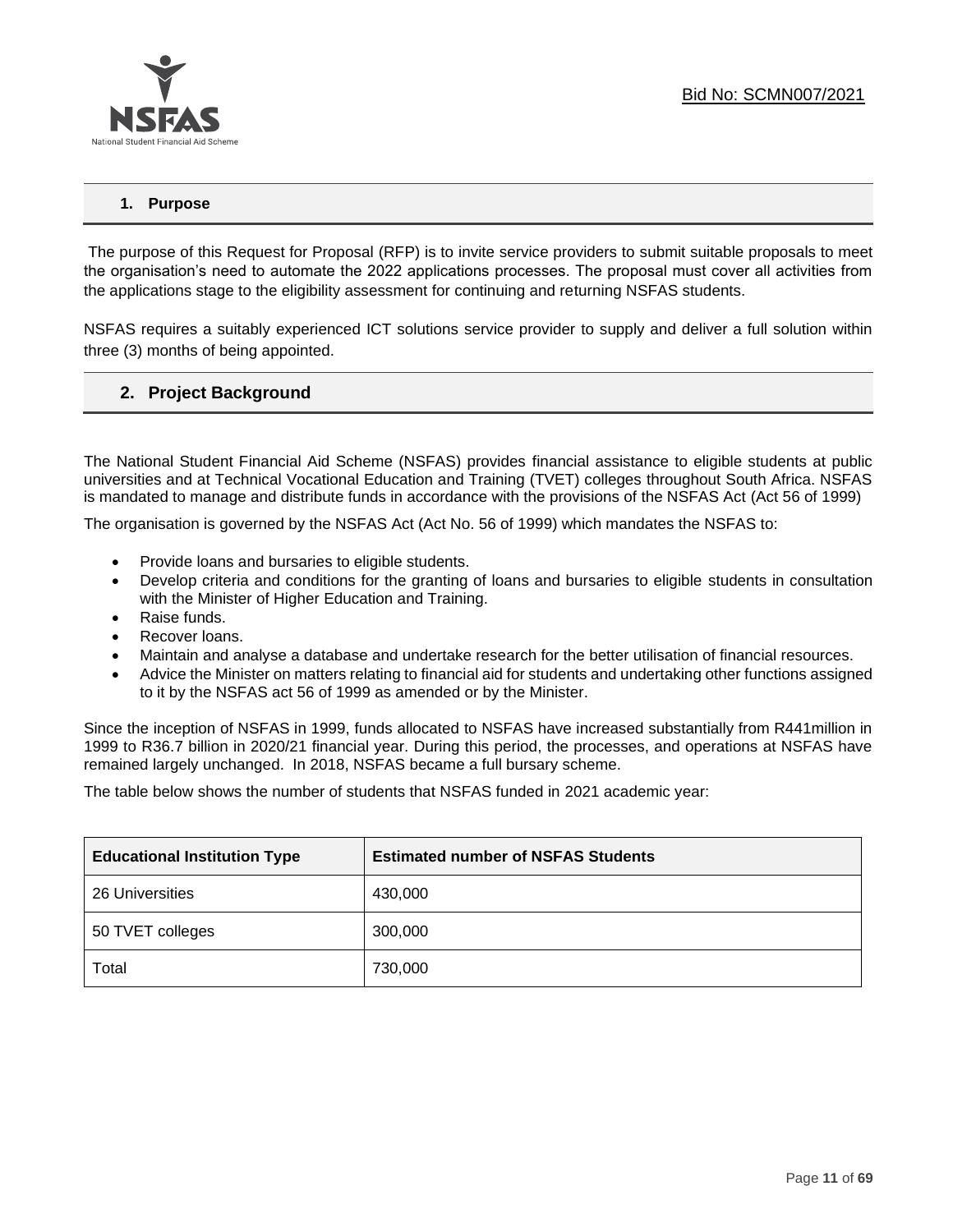# **1. Purpose**

The purpose of this Request for Proposal (RFP) is to invite service providers to submit suitable proposals to meet the organisation's need to automate the 2022 applications processes. The proposal must cover all activities from the applications stage to the eligibility assessment for continuing and returning NSFAS students.

NSFAS requires a suitably experienced ICT solutions service provider to supply and deliver a full solution within three (3) months of being appointed.

# **2. Project Background**

The National Student Financial Aid Scheme (NSFAS) provides financial assistance to eligible students at public universities and at Technical Vocational Education and Training (TVET) colleges throughout South Africa. NSFAS is mandated to manage and distribute funds in accordance with the provisions of the NSFAS Act (Act 56 of 1999)

The organisation is governed by the NSFAS Act (Act No. 56 of 1999) which mandates the NSFAS to:

- Provide loans and bursaries to eligible students.
- Develop criteria and conditions for the granting of loans and bursaries to eligible students in consultation with the Minister of Higher Education and Training.
- Raise funds.
- Recover loans.
- Maintain and analyse a database and undertake research for the better utilisation of financial resources.
- Advice the Minister on matters relating to financial aid for students and undertaking other functions assigned to it by the NSFAS act 56 of 1999 as amended or by the Minister.

Since the inception of NSFAS in 1999, funds allocated to NSFAS have increased substantially from R441million in 1999 to R36.7 billion in 2020/21 financial year. During this period, the processes, and operations at NSFAS have remained largely unchanged. In 2018, NSFAS became a full bursary scheme.

The table below shows the number of students that NSFAS funded in 2021 academic year:

| <b>Educational Institution Type</b> | <b>Estimated number of NSFAS Students</b> |
|-------------------------------------|-------------------------------------------|
| 26 Universities                     | 430,000                                   |
| 50 TVET colleges                    | 300,000                                   |
| Total                               | 730,000                                   |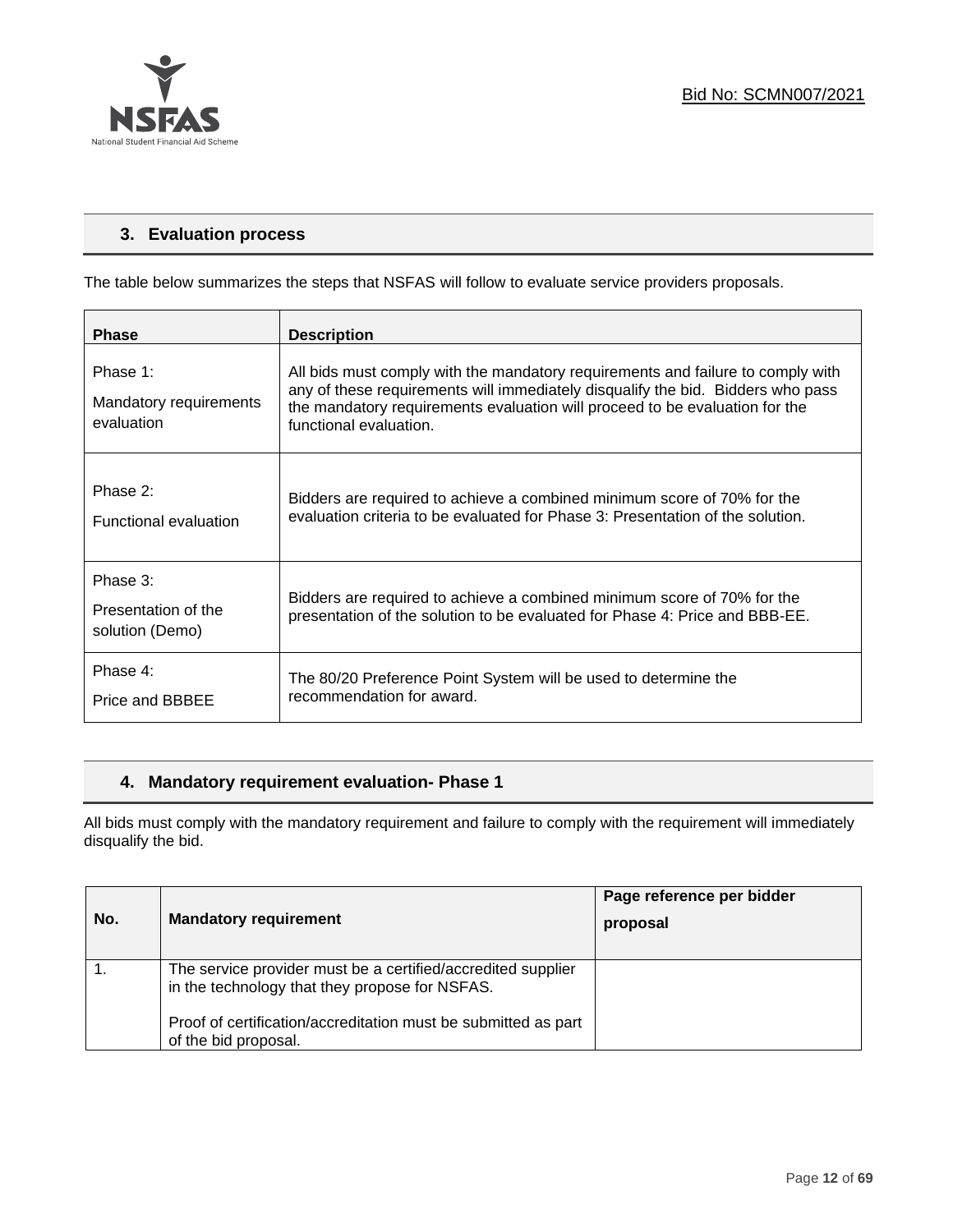

# **3. Evaluation process**

The table below summarizes the steps that NSFAS will follow to evaluate service providers proposals.

| <b>Phase</b>                                       | <b>Description</b>                                                                                                                                                                                                                                                          |
|----------------------------------------------------|-----------------------------------------------------------------------------------------------------------------------------------------------------------------------------------------------------------------------------------------------------------------------------|
| Phase 1:<br>Mandatory requirements<br>evaluation   | All bids must comply with the mandatory requirements and failure to comply with<br>any of these requirements will immediately disqualify the bid. Bidders who pass<br>the mandatory requirements evaluation will proceed to be evaluation for the<br>functional evaluation. |
| Phase 2:<br><b>Functional evaluation</b>           | Bidders are required to achieve a combined minimum score of 70% for the<br>evaluation criteria to be evaluated for Phase 3: Presentation of the solution.                                                                                                                   |
| Phase 3:<br>Presentation of the<br>solution (Demo) | Bidders are required to achieve a combined minimum score of 70% for the<br>presentation of the solution to be evaluated for Phase 4: Price and BBB-EE.                                                                                                                      |
| Phase 4:<br>Price and BBBEE                        | The 80/20 Preference Point System will be used to determine the<br>recommendation for award.                                                                                                                                                                                |

# **4. Mandatory requirement evaluation- Phase 1**

All bids must comply with the mandatory requirement and failure to comply with the requirement will immediately disqualify the bid.

| No. | <b>Mandatory requirement</b>                                                                                   | Page reference per bidder<br>proposal |
|-----|----------------------------------------------------------------------------------------------------------------|---------------------------------------|
|     | The service provider must be a certified/accredited supplier<br>in the technology that they propose for NSFAS. |                                       |
|     | Proof of certification/accreditation must be submitted as part<br>of the bid proposal.                         |                                       |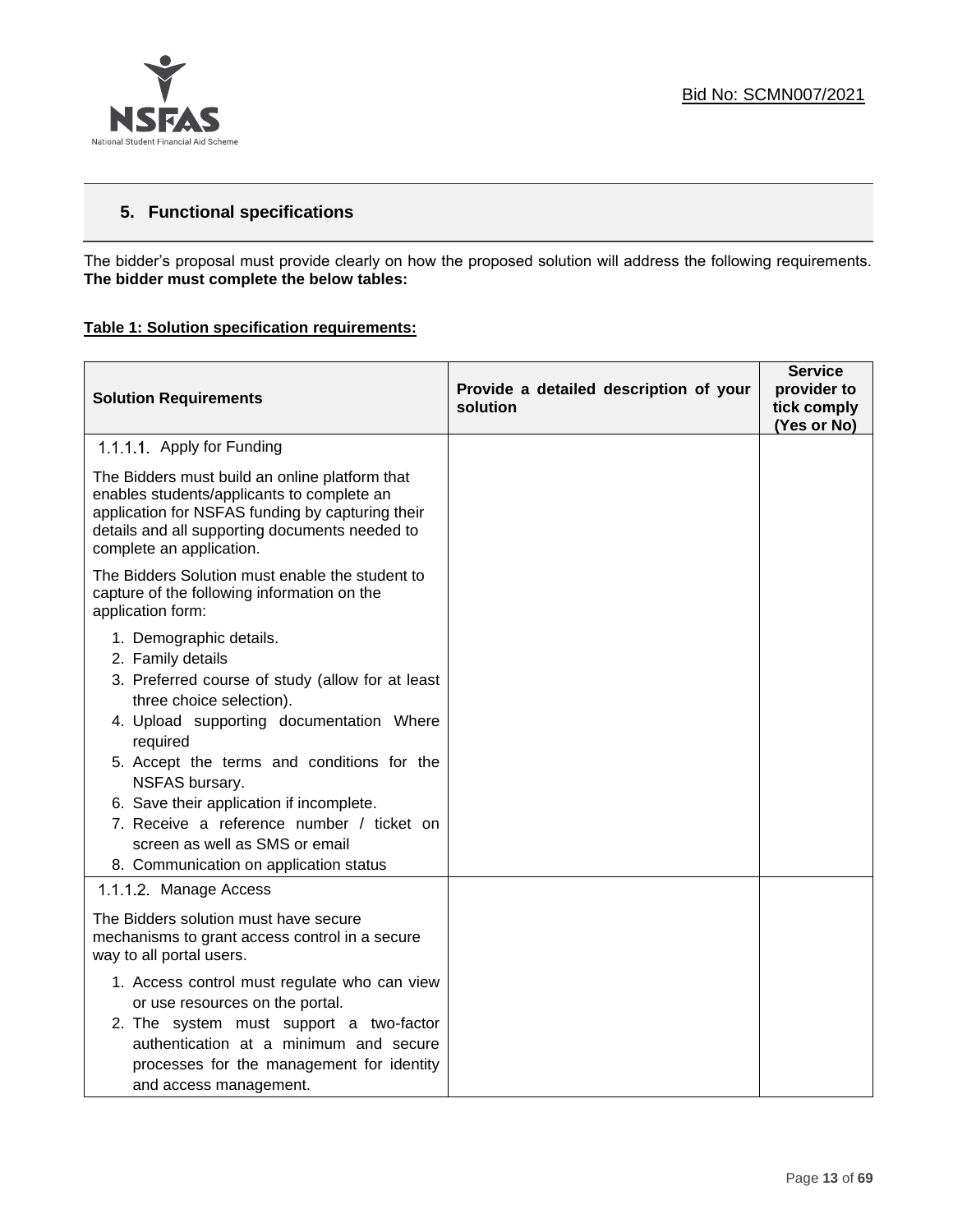

# **5. Functional specifications**

The bidder's proposal must provide clearly on how the proposed solution will address the following requirements. **The bidder must complete the below tables:**

#### **Table 1: Solution specification requirements:**

| <b>Solution Requirements</b>                                                                                                                                                                                                                                                                                                                                                                                              | Provide a detailed description of your<br>solution | <b>Service</b><br>provider to<br>tick comply<br>(Yes or No) |
|---------------------------------------------------------------------------------------------------------------------------------------------------------------------------------------------------------------------------------------------------------------------------------------------------------------------------------------------------------------------------------------------------------------------------|----------------------------------------------------|-------------------------------------------------------------|
| 1.1.1.1 Apply for Funding                                                                                                                                                                                                                                                                                                                                                                                                 |                                                    |                                                             |
| The Bidders must build an online platform that<br>enables students/applicants to complete an<br>application for NSFAS funding by capturing their<br>details and all supporting documents needed to<br>complete an application.                                                                                                                                                                                            |                                                    |                                                             |
| The Bidders Solution must enable the student to<br>capture of the following information on the<br>application form:                                                                                                                                                                                                                                                                                                       |                                                    |                                                             |
| 1. Demographic details.<br>2. Family details<br>3. Preferred course of study (allow for at least<br>three choice selection).<br>4. Upload supporting documentation Where<br>required<br>5. Accept the terms and conditions for the<br>NSFAS bursary.<br>6. Save their application if incomplete.<br>7. Receive a reference number / ticket on<br>screen as well as SMS or email<br>8. Communication on application status |                                                    |                                                             |
| 1.1.1.2. Manage Access<br>The Bidders solution must have secure<br>mechanisms to grant access control in a secure<br>way to all portal users.                                                                                                                                                                                                                                                                             |                                                    |                                                             |
| 1. Access control must regulate who can view<br>or use resources on the portal.<br>2. The system must support a two-factor<br>authentication at a minimum and secure<br>processes for the management for identity<br>and access management.                                                                                                                                                                               |                                                    |                                                             |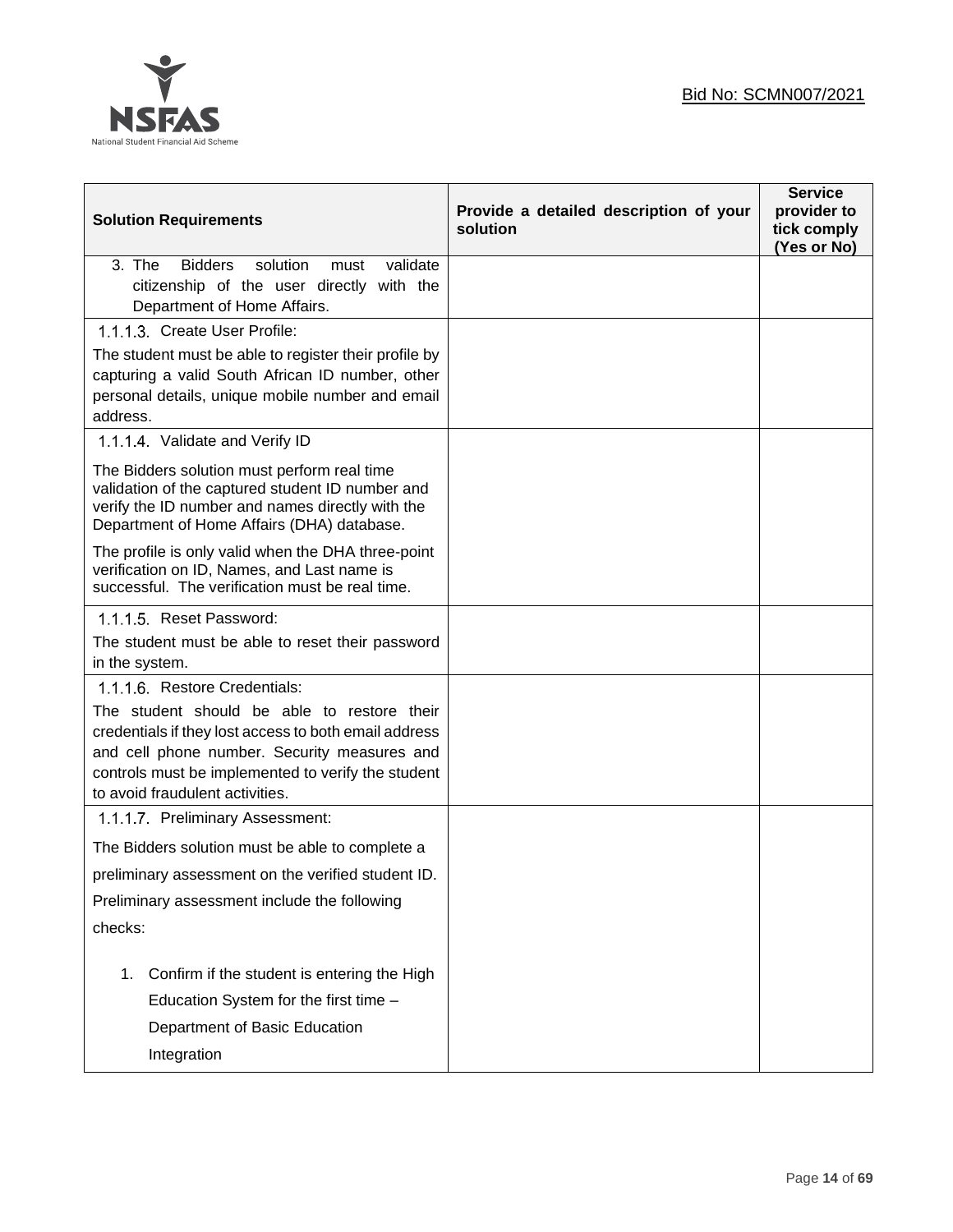

| <b>Solution Requirements</b>                                                                                                                                                                                                                                                   | Provide a detailed description of your<br>solution | <b>Service</b><br>provider to<br>tick comply<br>(Yes or No) |
|--------------------------------------------------------------------------------------------------------------------------------------------------------------------------------------------------------------------------------------------------------------------------------|----------------------------------------------------|-------------------------------------------------------------|
| 3. The<br><b>Bidders</b><br>solution<br>validate<br>must<br>citizenship of the user directly with the<br>Department of Home Affairs.                                                                                                                                           |                                                    |                                                             |
| 1.1.1.3. Create User Profile:<br>The student must be able to register their profile by                                                                                                                                                                                         |                                                    |                                                             |
| capturing a valid South African ID number, other<br>personal details, unique mobile number and email<br>address.                                                                                                                                                               |                                                    |                                                             |
| 1.1.1.4 Validate and Verify ID                                                                                                                                                                                                                                                 |                                                    |                                                             |
| The Bidders solution must perform real time<br>validation of the captured student ID number and<br>verify the ID number and names directly with the<br>Department of Home Affairs (DHA) database.                                                                              |                                                    |                                                             |
| The profile is only valid when the DHA three-point<br>verification on ID, Names, and Last name is<br>successful. The verification must be real time.                                                                                                                           |                                                    |                                                             |
| 1.1.1.5 Reset Password:                                                                                                                                                                                                                                                        |                                                    |                                                             |
| The student must be able to reset their password<br>in the system.                                                                                                                                                                                                             |                                                    |                                                             |
| 1.1.1.6. Restore Credentials:<br>The student should be able to restore their<br>credentials if they lost access to both email address<br>and cell phone number. Security measures and<br>controls must be implemented to verify the student<br>to avoid fraudulent activities. |                                                    |                                                             |
| 1.1.1.7 Preliminary Assessment:                                                                                                                                                                                                                                                |                                                    |                                                             |
| The Bidders solution must be able to complete a                                                                                                                                                                                                                                |                                                    |                                                             |
| preliminary assessment on the verified student ID.                                                                                                                                                                                                                             |                                                    |                                                             |
| Preliminary assessment include the following                                                                                                                                                                                                                                   |                                                    |                                                             |
| checks:                                                                                                                                                                                                                                                                        |                                                    |                                                             |
| Confirm if the student is entering the High<br>1.                                                                                                                                                                                                                              |                                                    |                                                             |
| Education System for the first time -                                                                                                                                                                                                                                          |                                                    |                                                             |
| Department of Basic Education                                                                                                                                                                                                                                                  |                                                    |                                                             |
| Integration                                                                                                                                                                                                                                                                    |                                                    |                                                             |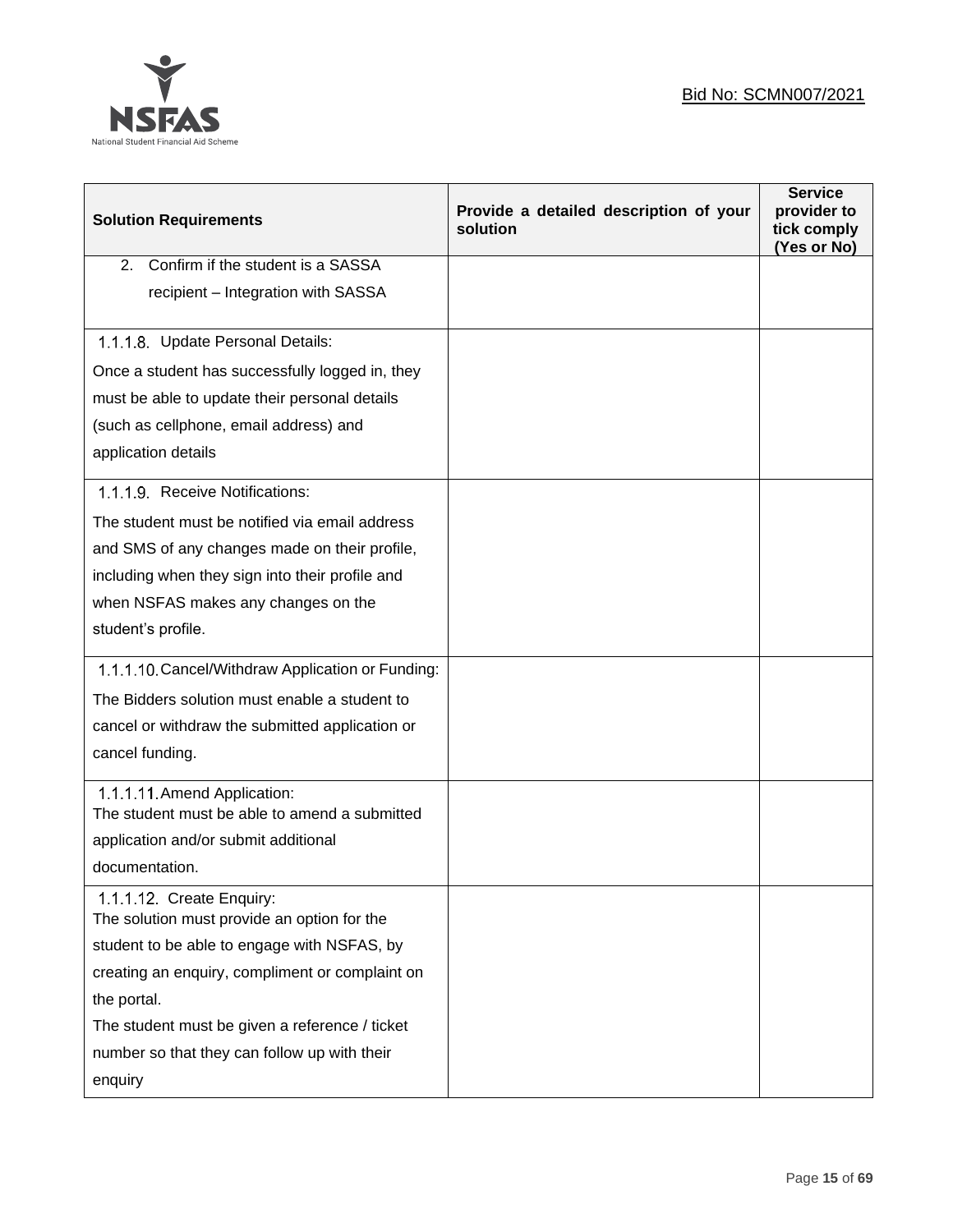

| <b>Solution Requirements</b>                                                 | Provide a detailed description of your<br>solution | <b>Service</b><br>provider to<br>tick comply<br>(Yes or No) |
|------------------------------------------------------------------------------|----------------------------------------------------|-------------------------------------------------------------|
| Confirm if the student is a SASSA<br>2.                                      |                                                    |                                                             |
| recipient - Integration with SASSA                                           |                                                    |                                                             |
| 1.1.1.8. Update Personal Details:                                            |                                                    |                                                             |
| Once a student has successfully logged in, they                              |                                                    |                                                             |
| must be able to update their personal details                                |                                                    |                                                             |
| (such as cellphone, email address) and                                       |                                                    |                                                             |
| application details                                                          |                                                    |                                                             |
| 1.1.1.9. Receive Notifications:                                              |                                                    |                                                             |
| The student must be notified via email address                               |                                                    |                                                             |
| and SMS of any changes made on their profile,                                |                                                    |                                                             |
| including when they sign into their profile and                              |                                                    |                                                             |
| when NSFAS makes any changes on the                                          |                                                    |                                                             |
| student's profile.                                                           |                                                    |                                                             |
| 1.1.1.10. Cancel/Withdraw Application or Funding:                            |                                                    |                                                             |
| The Bidders solution must enable a student to                                |                                                    |                                                             |
| cancel or withdraw the submitted application or                              |                                                    |                                                             |
| cancel funding.                                                              |                                                    |                                                             |
| 1.1.1.11 Amend Application:<br>The student must be able to amend a submitted |                                                    |                                                             |
| application and/or submit additional                                         |                                                    |                                                             |
| documentation.                                                               |                                                    |                                                             |
| 1.1.1.12. Create Enquiry:<br>The solution must provide an option for the     |                                                    |                                                             |
| student to be able to engage with NSFAS, by                                  |                                                    |                                                             |
| creating an enquiry, compliment or complaint on                              |                                                    |                                                             |
| the portal.                                                                  |                                                    |                                                             |
| The student must be given a reference / ticket                               |                                                    |                                                             |
| number so that they can follow up with their                                 |                                                    |                                                             |
| enquiry                                                                      |                                                    |                                                             |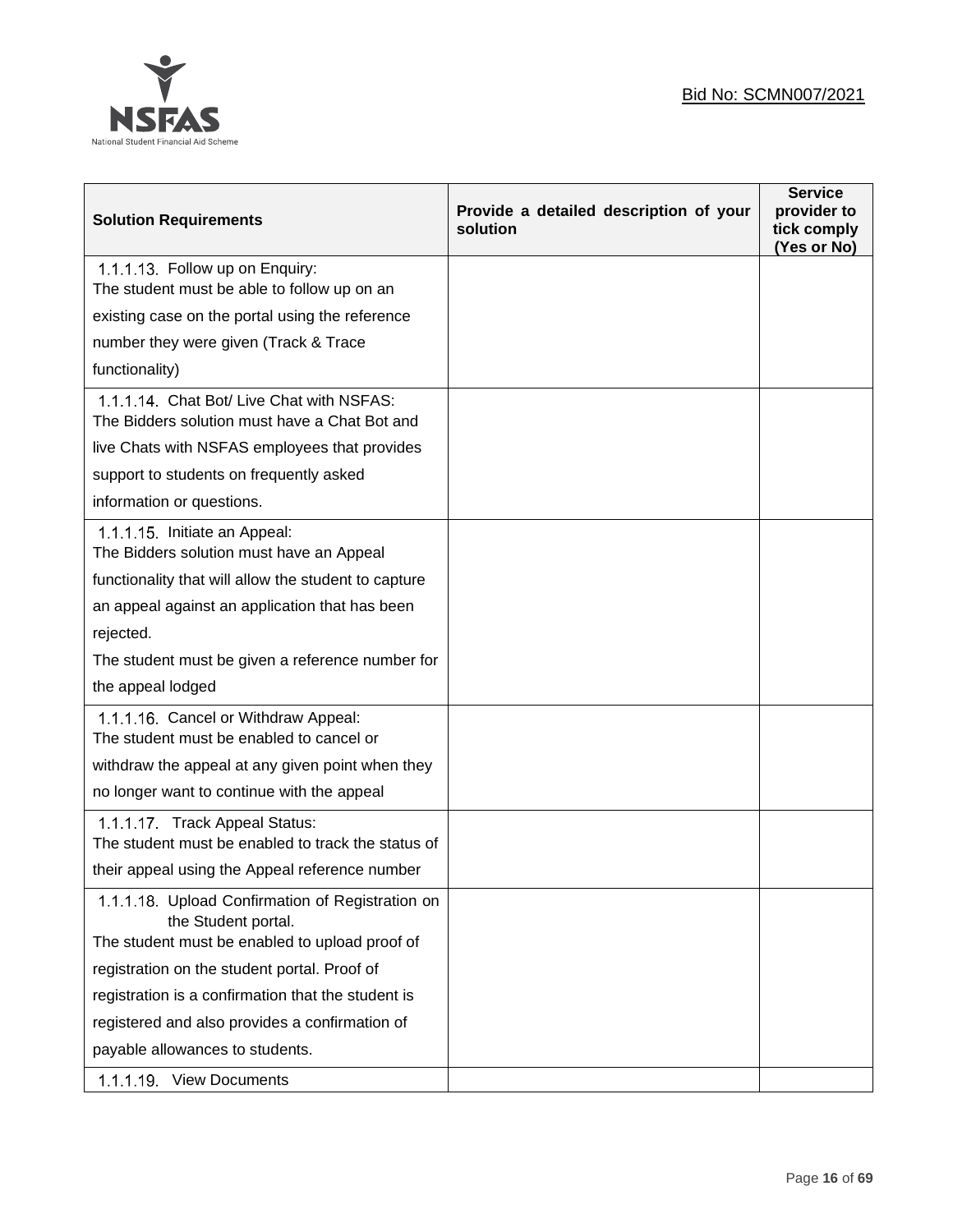

| <b>Solution Requirements</b>                                                                                              | Provide a detailed description of your<br>solution | <b>Service</b><br>provider to<br>tick comply<br>(Yes or No) |
|---------------------------------------------------------------------------------------------------------------------------|----------------------------------------------------|-------------------------------------------------------------|
| 1.1.1.13. Follow up on Enquiry:<br>The student must be able to follow up on an                                            |                                                    |                                                             |
| existing case on the portal using the reference                                                                           |                                                    |                                                             |
| number they were given (Track & Trace                                                                                     |                                                    |                                                             |
| functionality)                                                                                                            |                                                    |                                                             |
| 1.1.1.14 Chat Bot/ Live Chat with NSFAS:<br>The Bidders solution must have a Chat Bot and                                 |                                                    |                                                             |
| live Chats with NSFAS employees that provides                                                                             |                                                    |                                                             |
| support to students on frequently asked                                                                                   |                                                    |                                                             |
| information or questions.                                                                                                 |                                                    |                                                             |
| 1.1.1.15. Initiate an Appeal:<br>The Bidders solution must have an Appeal                                                 |                                                    |                                                             |
| functionality that will allow the student to capture                                                                      |                                                    |                                                             |
| an appeal against an application that has been                                                                            |                                                    |                                                             |
| rejected.                                                                                                                 |                                                    |                                                             |
| The student must be given a reference number for                                                                          |                                                    |                                                             |
| the appeal lodged                                                                                                         |                                                    |                                                             |
| 1.1.1.16. Cancel or Withdraw Appeal:<br>The student must be enabled to cancel or                                          |                                                    |                                                             |
| withdraw the appeal at any given point when they                                                                          |                                                    |                                                             |
| no longer want to continue with the appeal                                                                                |                                                    |                                                             |
| 1.1.1.17 Track Appeal Status:<br>The student must be enabled to track the status of                                       |                                                    |                                                             |
| their appeal using the Appeal reference number                                                                            |                                                    |                                                             |
| 1.1.1.18. Upload Confirmation of Registration on<br>the Student portal.<br>The student must be enabled to upload proof of |                                                    |                                                             |
| registration on the student portal. Proof of                                                                              |                                                    |                                                             |
| registration is a confirmation that the student is                                                                        |                                                    |                                                             |
| registered and also provides a confirmation of                                                                            |                                                    |                                                             |
| payable allowances to students.                                                                                           |                                                    |                                                             |
| 1.1.1.19. View Documents                                                                                                  |                                                    |                                                             |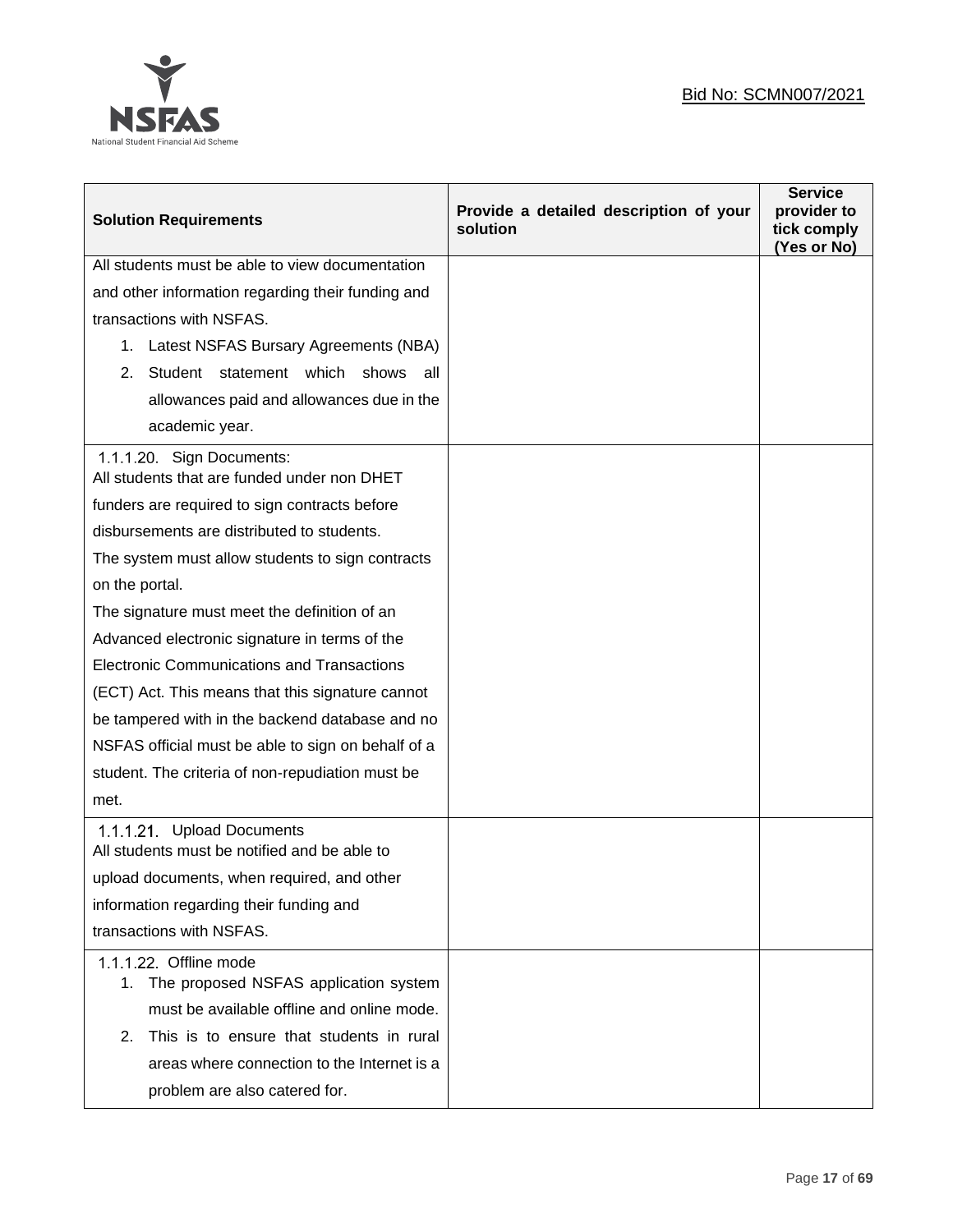

| <b>Solution Requirements</b>                                              | Provide a detailed description of your<br>solution | <b>Service</b><br>provider to<br>tick comply<br>(Yes or No) |
|---------------------------------------------------------------------------|----------------------------------------------------|-------------------------------------------------------------|
| All students must be able to view documentation                           |                                                    |                                                             |
| and other information regarding their funding and                         |                                                    |                                                             |
| transactions with NSFAS.                                                  |                                                    |                                                             |
| 1. Latest NSFAS Bursary Agreements (NBA)                                  |                                                    |                                                             |
| Student statement which<br>shows<br>2.<br>all                             |                                                    |                                                             |
| allowances paid and allowances due in the                                 |                                                    |                                                             |
| academic year.                                                            |                                                    |                                                             |
| 1.1.1.20. Sign Documents:<br>All students that are funded under non DHET  |                                                    |                                                             |
| funders are required to sign contracts before                             |                                                    |                                                             |
| disbursements are distributed to students.                                |                                                    |                                                             |
| The system must allow students to sign contracts                          |                                                    |                                                             |
| on the portal.                                                            |                                                    |                                                             |
| The signature must meet the definition of an                              |                                                    |                                                             |
| Advanced electronic signature in terms of the                             |                                                    |                                                             |
| <b>Electronic Communications and Transactions</b>                         |                                                    |                                                             |
| (ECT) Act. This means that this signature cannot                          |                                                    |                                                             |
| be tampered with in the backend database and no                           |                                                    |                                                             |
| NSFAS official must be able to sign on behalf of a                        |                                                    |                                                             |
| student. The criteria of non-repudiation must be                          |                                                    |                                                             |
| met.                                                                      |                                                    |                                                             |
| 1.1.1.21 Upload Documents<br>All students must be notified and be able to |                                                    |                                                             |
| upload documents, when required, and other                                |                                                    |                                                             |
| information regarding their funding and                                   |                                                    |                                                             |
| transactions with NSFAS.                                                  |                                                    |                                                             |
| 1.1.1.22. Offline mode                                                    |                                                    |                                                             |
| The proposed NSFAS application system<br>1.                               |                                                    |                                                             |
| must be available offline and online mode.                                |                                                    |                                                             |
| This is to ensure that students in rural<br>2.                            |                                                    |                                                             |
| areas where connection to the Internet is a                               |                                                    |                                                             |
| problem are also catered for.                                             |                                                    |                                                             |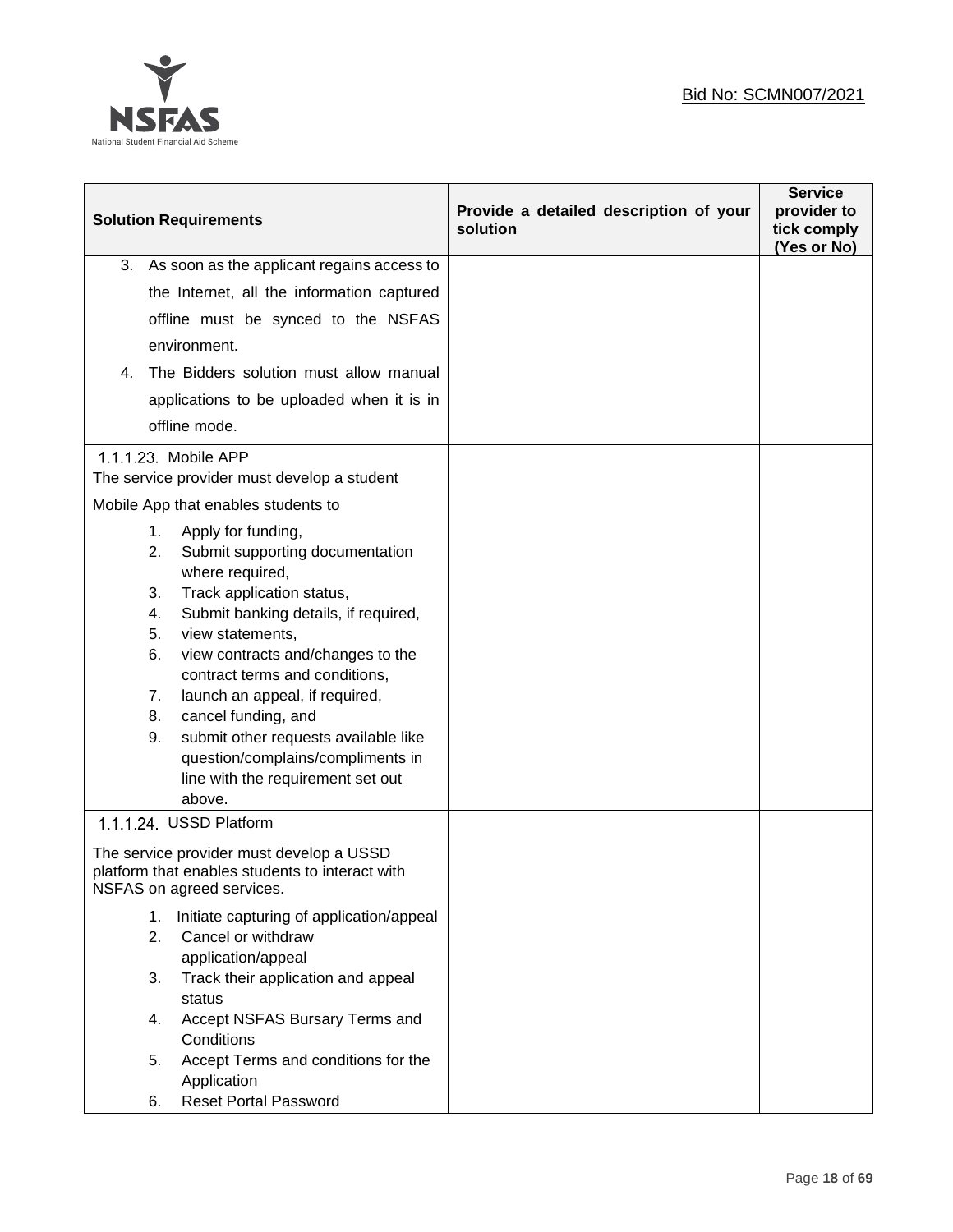

|    | <b>Solution Requirements</b>                                                                                                                                                                                                                                                                                                                                                                                                                                                        | Provide a detailed description of your<br>solution | <b>Service</b><br>provider to<br>tick comply<br>(Yes or No) |
|----|-------------------------------------------------------------------------------------------------------------------------------------------------------------------------------------------------------------------------------------------------------------------------------------------------------------------------------------------------------------------------------------------------------------------------------------------------------------------------------------|----------------------------------------------------|-------------------------------------------------------------|
| 3. | As soon as the applicant regains access to                                                                                                                                                                                                                                                                                                                                                                                                                                          |                                                    |                                                             |
|    | the Internet, all the information captured                                                                                                                                                                                                                                                                                                                                                                                                                                          |                                                    |                                                             |
|    | offline must be synced to the NSFAS                                                                                                                                                                                                                                                                                                                                                                                                                                                 |                                                    |                                                             |
|    | environment.                                                                                                                                                                                                                                                                                                                                                                                                                                                                        |                                                    |                                                             |
| 4. | The Bidders solution must allow manual                                                                                                                                                                                                                                                                                                                                                                                                                                              |                                                    |                                                             |
|    | applications to be uploaded when it is in                                                                                                                                                                                                                                                                                                                                                                                                                                           |                                                    |                                                             |
|    | offline mode.                                                                                                                                                                                                                                                                                                                                                                                                                                                                       |                                                    |                                                             |
|    | 1.1.1.23. Mobile APP<br>The service provider must develop a student                                                                                                                                                                                                                                                                                                                                                                                                                 |                                                    |                                                             |
|    | Mobile App that enables students to                                                                                                                                                                                                                                                                                                                                                                                                                                                 |                                                    |                                                             |
|    | 1.<br>Apply for funding,<br>Submit supporting documentation<br>2.<br>where required,<br>3.<br>Track application status,<br>Submit banking details, if required,<br>4.<br>5.<br>view statements,<br>6.<br>view contracts and/changes to the<br>contract terms and conditions,<br>launch an appeal, if required,<br>7.<br>cancel funding, and<br>8.<br>submit other requests available like<br>9.<br>question/complains/compliments in<br>line with the requirement set out<br>above. |                                                    |                                                             |
|    | 1.1.1.24 USSD Platform                                                                                                                                                                                                                                                                                                                                                                                                                                                              |                                                    |                                                             |
|    | The service provider must develop a USSD<br>platform that enables students to interact with<br>NSFAS on agreed services.                                                                                                                                                                                                                                                                                                                                                            |                                                    |                                                             |
|    | Initiate capturing of application/appeal<br>1.<br>2.<br>Cancel or withdraw<br>application/appeal                                                                                                                                                                                                                                                                                                                                                                                    |                                                    |                                                             |
|    | 3.<br>Track their application and appeal<br>status                                                                                                                                                                                                                                                                                                                                                                                                                                  |                                                    |                                                             |
|    | Accept NSFAS Bursary Terms and<br>4.<br>Conditions                                                                                                                                                                                                                                                                                                                                                                                                                                  |                                                    |                                                             |
|    | Accept Terms and conditions for the<br>5.<br>Application                                                                                                                                                                                                                                                                                                                                                                                                                            |                                                    |                                                             |
|    | <b>Reset Portal Password</b><br>6.                                                                                                                                                                                                                                                                                                                                                                                                                                                  |                                                    |                                                             |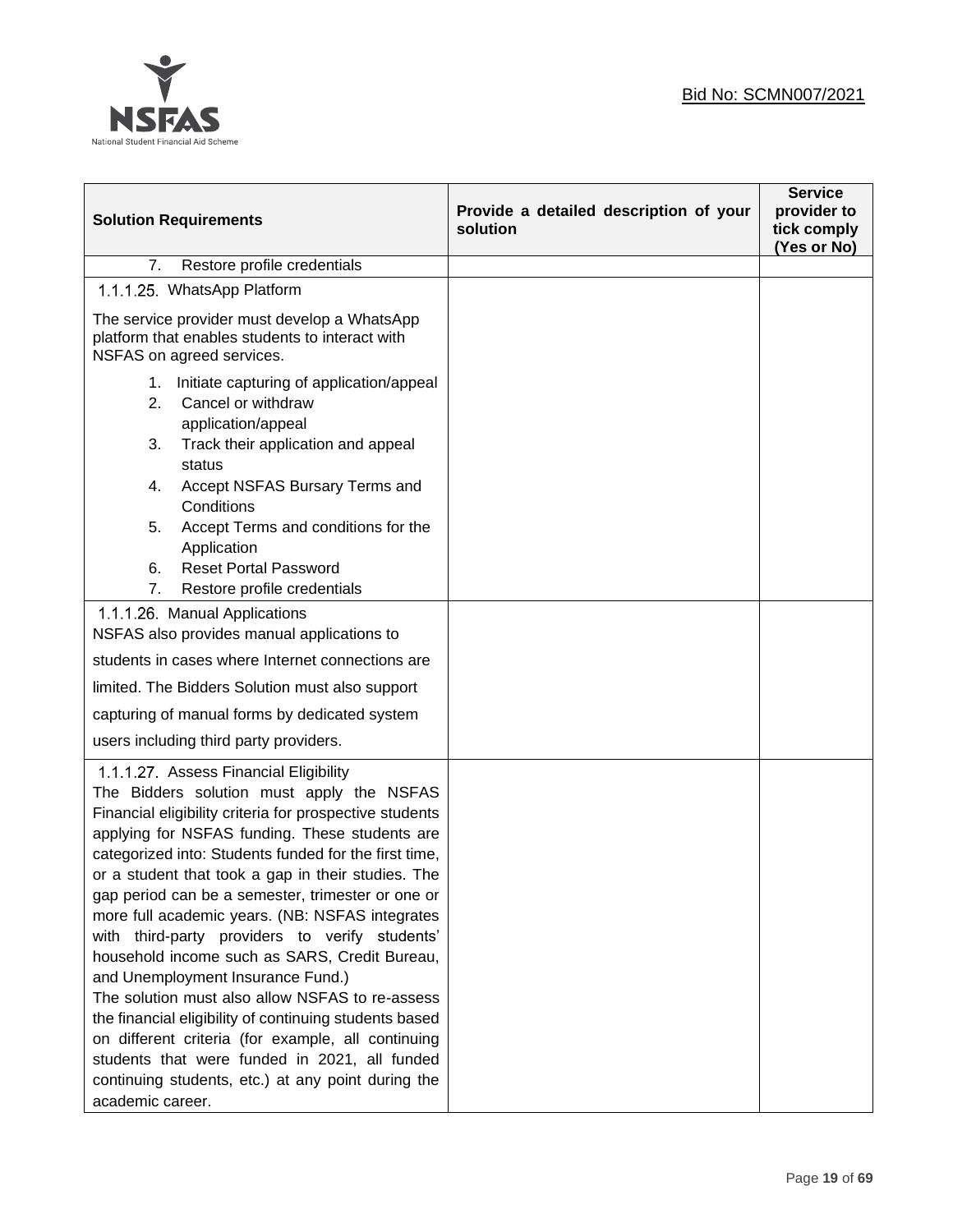

| <b>Solution Requirements</b>                                                                                                                                                                                                                                                                                                                                                                                                                                                                                                                                                                                                                                                                                                                                                                                                                                 | Provide a detailed description of your<br>solution | <b>Service</b><br>provider to<br>tick comply<br>(Yes or No) |
|--------------------------------------------------------------------------------------------------------------------------------------------------------------------------------------------------------------------------------------------------------------------------------------------------------------------------------------------------------------------------------------------------------------------------------------------------------------------------------------------------------------------------------------------------------------------------------------------------------------------------------------------------------------------------------------------------------------------------------------------------------------------------------------------------------------------------------------------------------------|----------------------------------------------------|-------------------------------------------------------------|
| Restore profile credentials<br>7.                                                                                                                                                                                                                                                                                                                                                                                                                                                                                                                                                                                                                                                                                                                                                                                                                            |                                                    |                                                             |
| 1.1.1.25. WhatsApp Platform                                                                                                                                                                                                                                                                                                                                                                                                                                                                                                                                                                                                                                                                                                                                                                                                                                  |                                                    |                                                             |
| The service provider must develop a WhatsApp<br>platform that enables students to interact with<br>NSFAS on agreed services.                                                                                                                                                                                                                                                                                                                                                                                                                                                                                                                                                                                                                                                                                                                                 |                                                    |                                                             |
| Initiate capturing of application/appeal<br>1.<br>Cancel or withdraw<br>2.<br>application/appeal<br>Track their application and appeal<br>3.<br>status<br>Accept NSFAS Bursary Terms and<br>4.<br>Conditions<br>5.<br>Accept Terms and conditions for the<br>Application<br><b>Reset Portal Password</b><br>6.<br>7.<br>Restore profile credentials                                                                                                                                                                                                                                                                                                                                                                                                                                                                                                          |                                                    |                                                             |
| 1.1.1.26. Manual Applications<br>NSFAS also provides manual applications to<br>students in cases where Internet connections are<br>limited. The Bidders Solution must also support<br>capturing of manual forms by dedicated system<br>users including third party providers.                                                                                                                                                                                                                                                                                                                                                                                                                                                                                                                                                                                |                                                    |                                                             |
| 1.1.1.27 Assess Financial Eligibility<br>The Bidders solution must apply the NSFAS<br>Financial eligibility criteria for prospective students<br>applying for NSFAS funding. These students are<br>categorized into: Students funded for the first time,<br>or a student that took a gap in their studies. The<br>gap period can be a semester, trimester or one or<br>more full academic years. (NB: NSFAS integrates<br>with third-party providers to verify students'<br>household income such as SARS, Credit Bureau,<br>and Unemployment Insurance Fund.)<br>The solution must also allow NSFAS to re-assess<br>the financial eligibility of continuing students based<br>on different criteria (for example, all continuing<br>students that were funded in 2021, all funded<br>continuing students, etc.) at any point during the<br>academic career. |                                                    |                                                             |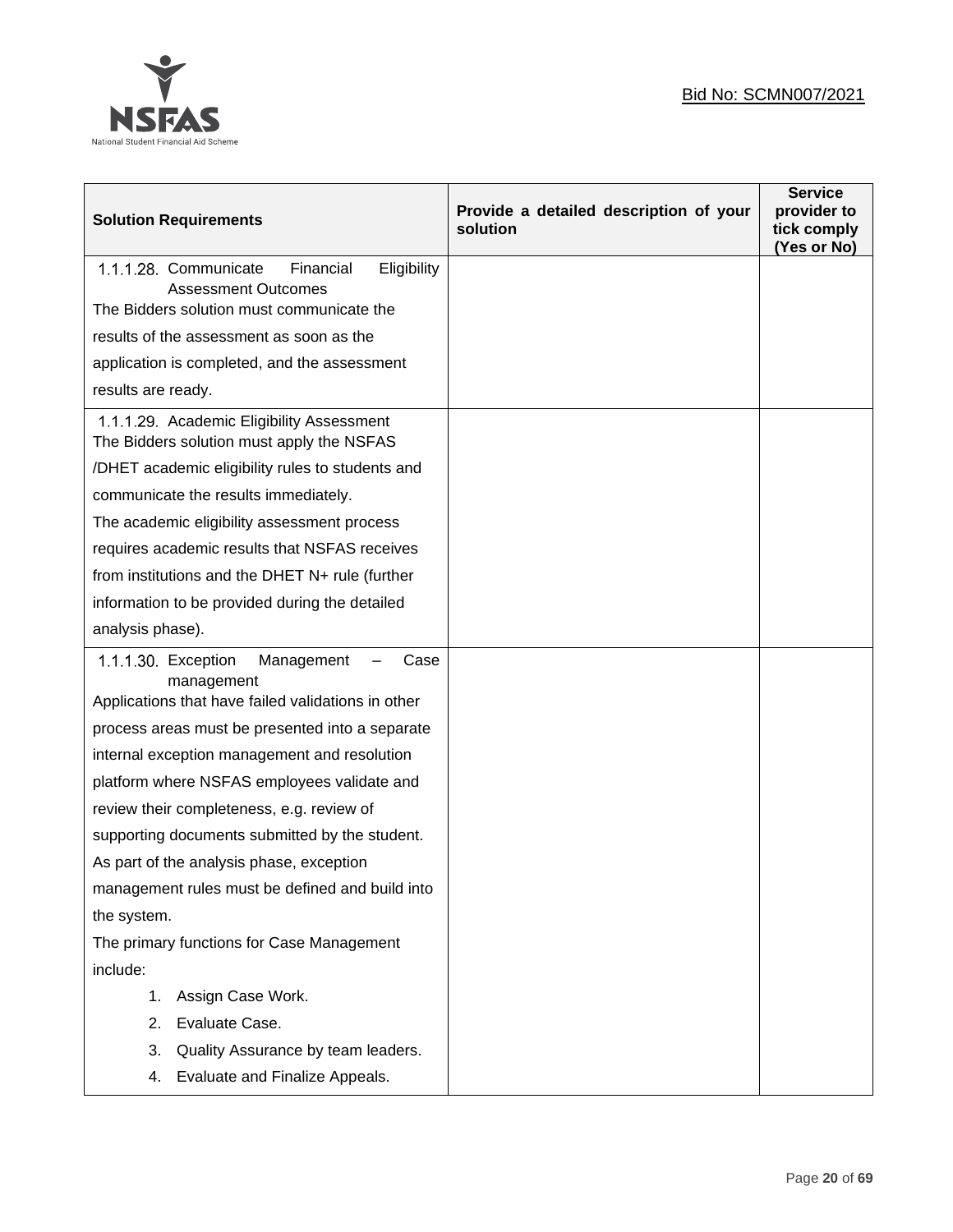

| <b>Solution Requirements</b>                                                                                  | Provide a detailed description of your<br>solution | <b>Service</b><br>provider to<br>tick comply<br>(Yes or No) |
|---------------------------------------------------------------------------------------------------------------|----------------------------------------------------|-------------------------------------------------------------|
| 1.1.1.28. Communicate<br>Financial<br>Eligibility<br><b>Assessment Outcomes</b>                               |                                                    |                                                             |
| The Bidders solution must communicate the                                                                     |                                                    |                                                             |
| results of the assessment as soon as the                                                                      |                                                    |                                                             |
| application is completed, and the assessment                                                                  |                                                    |                                                             |
| results are ready.                                                                                            |                                                    |                                                             |
| 1.1.1.29. Academic Eligibility Assessment<br>The Bidders solution must apply the NSFAS                        |                                                    |                                                             |
| /DHET academic eligibility rules to students and                                                              |                                                    |                                                             |
| communicate the results immediately.                                                                          |                                                    |                                                             |
| The academic eligibility assessment process                                                                   |                                                    |                                                             |
| requires academic results that NSFAS receives                                                                 |                                                    |                                                             |
| from institutions and the DHET N+ rule (further                                                               |                                                    |                                                             |
| information to be provided during the detailed                                                                |                                                    |                                                             |
| analysis phase).                                                                                              |                                                    |                                                             |
| 1.1.1.30. Exception<br>Management<br>Case<br>management<br>Applications that have failed validations in other |                                                    |                                                             |
| process areas must be presented into a separate                                                               |                                                    |                                                             |
| internal exception management and resolution                                                                  |                                                    |                                                             |
| platform where NSFAS employees validate and                                                                   |                                                    |                                                             |
| review their completeness, e.g. review of                                                                     |                                                    |                                                             |
| supporting documents submitted by the student.                                                                |                                                    |                                                             |
| As part of the analysis phase, exception                                                                      |                                                    |                                                             |
| management rules must be defined and build into                                                               |                                                    |                                                             |
| the system.                                                                                                   |                                                    |                                                             |
| The primary functions for Case Management                                                                     |                                                    |                                                             |
| include:                                                                                                      |                                                    |                                                             |
| Assign Case Work.<br>1.                                                                                       |                                                    |                                                             |
| Evaluate Case.<br>2.                                                                                          |                                                    |                                                             |
| Quality Assurance by team leaders.<br>3.                                                                      |                                                    |                                                             |
| Evaluate and Finalize Appeals.<br>4.                                                                          |                                                    |                                                             |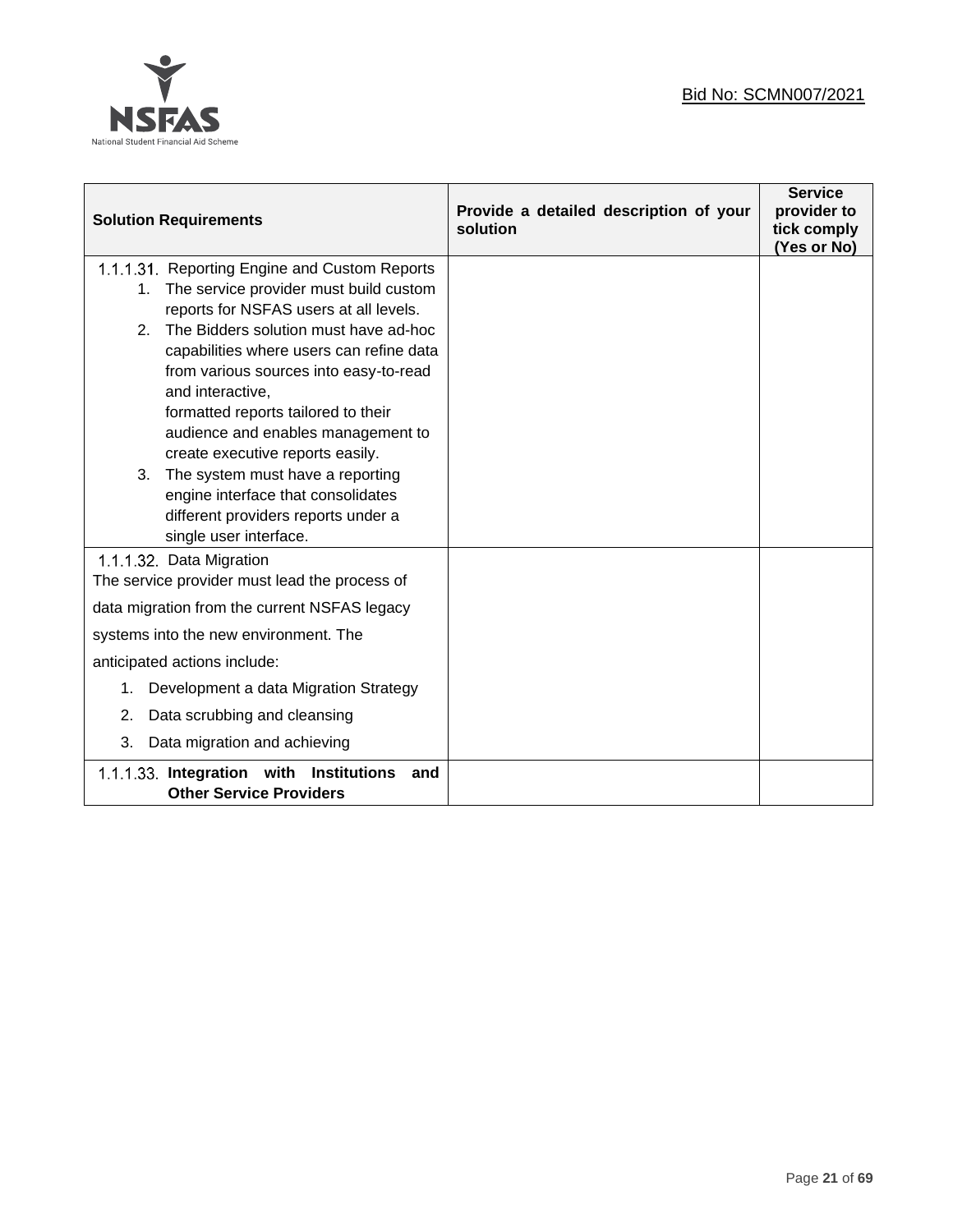

| <b>Solution Requirements</b>                                                               | Provide a detailed description of your<br>solution | <b>Service</b><br>provider to<br>tick comply<br>(Yes or No) |
|--------------------------------------------------------------------------------------------|----------------------------------------------------|-------------------------------------------------------------|
| 1.1.1.31. Reporting Engine and Custom Reports                                              |                                                    |                                                             |
| The service provider must build custom<br>1.                                               |                                                    |                                                             |
| reports for NSFAS users at all levels.                                                     |                                                    |                                                             |
| The Bidders solution must have ad-hoc<br>2 <sub>1</sub>                                    |                                                    |                                                             |
| capabilities where users can refine data                                                   |                                                    |                                                             |
| from various sources into easy-to-read                                                     |                                                    |                                                             |
| and interactive,                                                                           |                                                    |                                                             |
| formatted reports tailored to their                                                        |                                                    |                                                             |
| audience and enables management to<br>create executive reports easily.                     |                                                    |                                                             |
| The system must have a reporting<br>3.                                                     |                                                    |                                                             |
| engine interface that consolidates                                                         |                                                    |                                                             |
| different providers reports under a                                                        |                                                    |                                                             |
| single user interface.                                                                     |                                                    |                                                             |
| 1.1.1.32. Data Migration                                                                   |                                                    |                                                             |
| The service provider must lead the process of                                              |                                                    |                                                             |
| data migration from the current NSFAS legacy                                               |                                                    |                                                             |
| systems into the new environment. The                                                      |                                                    |                                                             |
| anticipated actions include:                                                               |                                                    |                                                             |
| Development a data Migration Strategy<br>1.                                                |                                                    |                                                             |
| Data scrubbing and cleansing<br>2.                                                         |                                                    |                                                             |
| 3.<br>Data migration and achieving                                                         |                                                    |                                                             |
| 1.1.1.33. Integration with<br><b>Institutions</b><br>and<br><b>Other Service Providers</b> |                                                    |                                                             |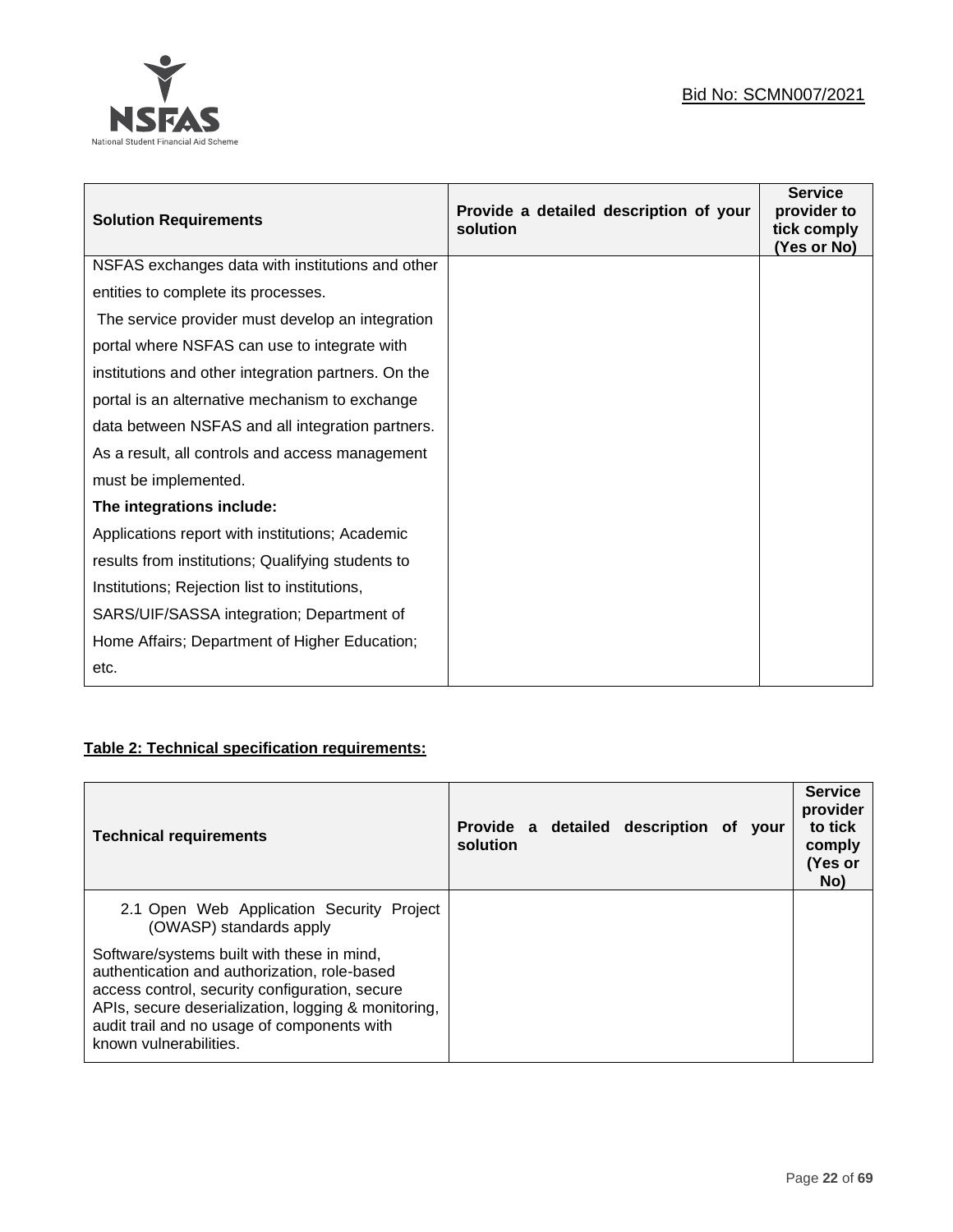

| <b>Solution Requirements</b>                        | Provide a detailed description of your<br>solution | <b>Service</b><br>provider to<br>tick comply<br>(Yes or No) |
|-----------------------------------------------------|----------------------------------------------------|-------------------------------------------------------------|
| NSFAS exchanges data with institutions and other    |                                                    |                                                             |
| entities to complete its processes.                 |                                                    |                                                             |
| The service provider must develop an integration    |                                                    |                                                             |
| portal where NSFAS can use to integrate with        |                                                    |                                                             |
| institutions and other integration partners. On the |                                                    |                                                             |
| portal is an alternative mechanism to exchange      |                                                    |                                                             |
| data between NSFAS and all integration partners.    |                                                    |                                                             |
| As a result, all controls and access management     |                                                    |                                                             |
| must be implemented.                                |                                                    |                                                             |
| The integrations include:                           |                                                    |                                                             |
| Applications report with institutions; Academic     |                                                    |                                                             |
| results from institutions; Qualifying students to   |                                                    |                                                             |
| Institutions; Rejection list to institutions,       |                                                    |                                                             |
| SARS/UIF/SASSA integration; Department of           |                                                    |                                                             |
| Home Affairs; Department of Higher Education;       |                                                    |                                                             |
| etc.                                                |                                                    |                                                             |

# **Table 2: Technical specification requirements:**

| <b>Technical requirements</b>                                                                                                                                                                                                                                                | solution |  | Provide a detailed description of your |  | <b>Service</b><br>provider<br>to tick<br>comply<br>(Yes or<br>No) |
|------------------------------------------------------------------------------------------------------------------------------------------------------------------------------------------------------------------------------------------------------------------------------|----------|--|----------------------------------------|--|-------------------------------------------------------------------|
| 2.1 Open Web Application Security Project<br>(OWASP) standards apply                                                                                                                                                                                                         |          |  |                                        |  |                                                                   |
| Software/systems built with these in mind,<br>authentication and authorization, role-based<br>access control, security configuration, secure<br>APIs, secure deserialization, logging & monitoring,<br>audit trail and no usage of components with<br>known vulnerabilities. |          |  |                                        |  |                                                                   |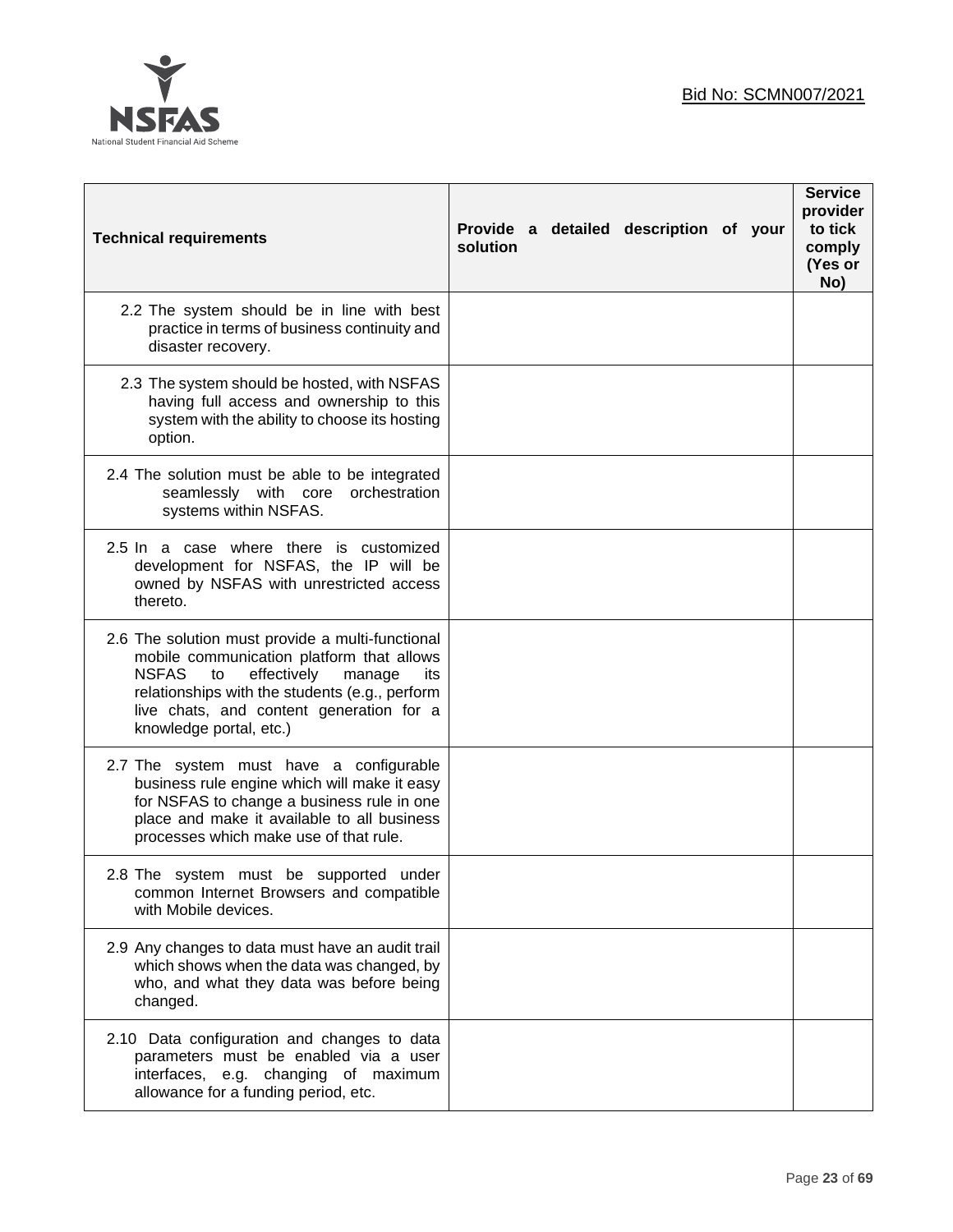

| <b>Technical requirements</b>                                                                                                                                                                                                                                                | Provide a detailed description of your<br>solution | <b>Service</b><br>provider<br>to tick<br>comply<br>(Yes or<br>No) |
|------------------------------------------------------------------------------------------------------------------------------------------------------------------------------------------------------------------------------------------------------------------------------|----------------------------------------------------|-------------------------------------------------------------------|
| 2.2 The system should be in line with best<br>practice in terms of business continuity and<br>disaster recovery.                                                                                                                                                             |                                                    |                                                                   |
| 2.3 The system should be hosted, with NSFAS<br>having full access and ownership to this<br>system with the ability to choose its hosting<br>option.                                                                                                                          |                                                    |                                                                   |
| 2.4 The solution must be able to be integrated<br>seamlessly with core orchestration<br>systems within NSFAS.                                                                                                                                                                |                                                    |                                                                   |
| 2.5 In a case where there is customized<br>development for NSFAS, the IP will be<br>owned by NSFAS with unrestricted access<br>thereto.                                                                                                                                      |                                                    |                                                                   |
| 2.6 The solution must provide a multi-functional<br>mobile communication platform that allows<br><b>NSFAS</b><br>effectively<br>manage<br>to<br>its<br>relationships with the students (e.g., perform<br>live chats, and content generation for a<br>knowledge portal, etc.) |                                                    |                                                                   |
| 2.7 The system must have a configurable<br>business rule engine which will make it easy<br>for NSFAS to change a business rule in one<br>place and make it available to all business<br>processes which make use of that rule.                                               |                                                    |                                                                   |
| 2.8 The system must be supported under<br>common Internet Browsers and compatible<br>with Mobile devices.                                                                                                                                                                    |                                                    |                                                                   |
| 2.9 Any changes to data must have an audit trail<br>which shows when the data was changed, by<br>who, and what they data was before being<br>changed.                                                                                                                        |                                                    |                                                                   |
| 2.10 Data configuration and changes to data<br>parameters must be enabled via a user<br>interfaces, e.g. changing of maximum<br>allowance for a funding period, etc.                                                                                                         |                                                    |                                                                   |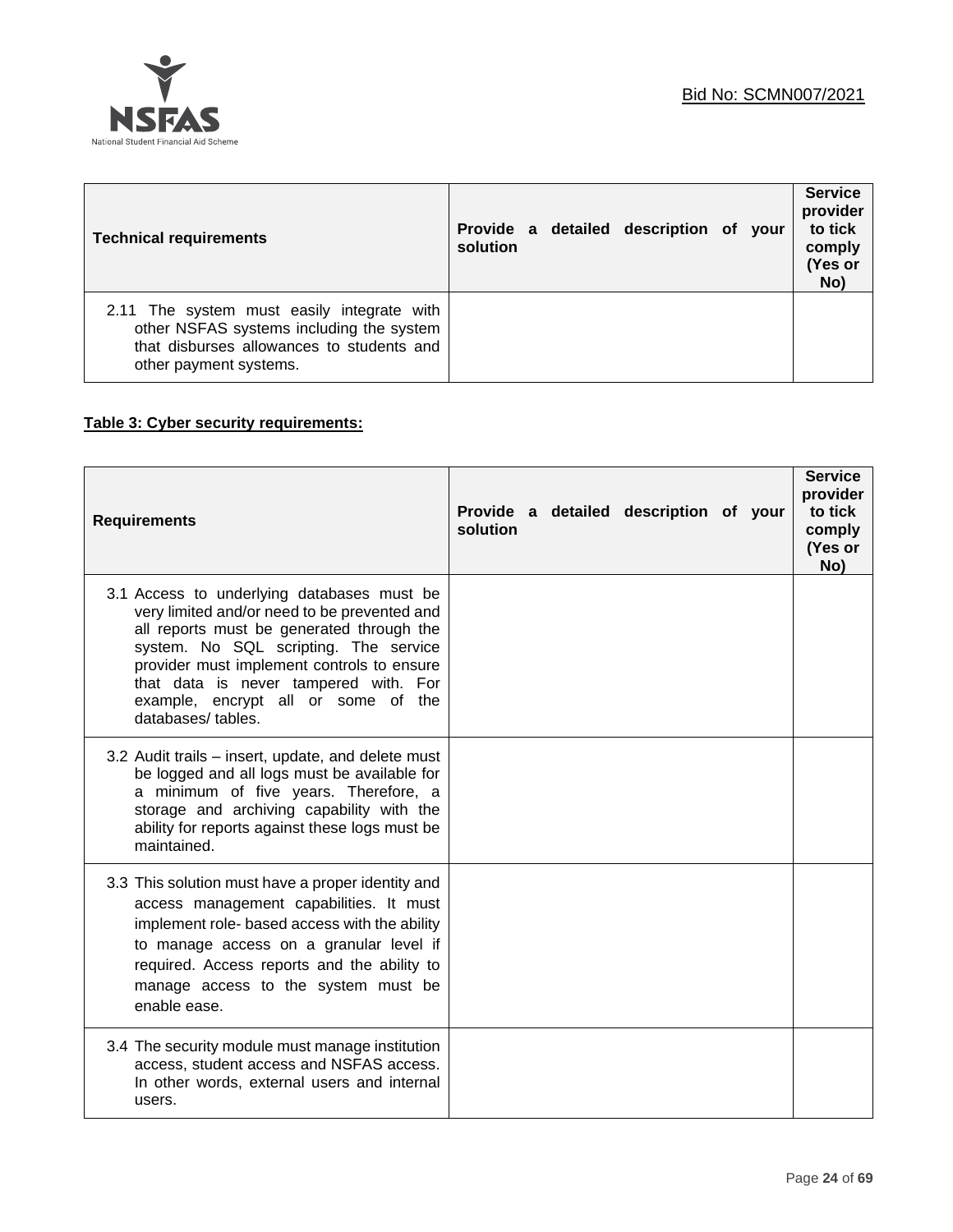

| <b>Technical requirements</b>                                                                                                                                 | solution |  | Provide a detailed description of your |  | <b>Service</b><br>provider<br>to tick<br>comply<br>(Yes or<br>No) |
|---------------------------------------------------------------------------------------------------------------------------------------------------------------|----------|--|----------------------------------------|--|-------------------------------------------------------------------|
| 2.11 The system must easily integrate with<br>other NSFAS systems including the system<br>that disburses allowances to students and<br>other payment systems. |          |  |                                        |  |                                                                   |

# **Table 3: Cyber security requirements:**

| <b>Requirements</b>                                                                                                                                                                                                                                                                                                                 | Provide a detailed description of your<br>solution | <b>Service</b><br>provider<br>to tick<br>comply<br>(Yes or<br>No) |
|-------------------------------------------------------------------------------------------------------------------------------------------------------------------------------------------------------------------------------------------------------------------------------------------------------------------------------------|----------------------------------------------------|-------------------------------------------------------------------|
| 3.1 Access to underlying databases must be<br>very limited and/or need to be prevented and<br>all reports must be generated through the<br>system. No SQL scripting. The service<br>provider must implement controls to ensure<br>that data is never tampered with. For<br>example, encrypt all or some of the<br>databases/tables. |                                                    |                                                                   |
| 3.2 Audit trails – insert, update, and delete must<br>be logged and all logs must be available for<br>a minimum of five years. Therefore, a<br>storage and archiving capability with the<br>ability for reports against these logs must be<br>maintained.                                                                           |                                                    |                                                                   |
| 3.3 This solution must have a proper identity and<br>access management capabilities. It must<br>implement role- based access with the ability<br>to manage access on a granular level if<br>required. Access reports and the ability to<br>manage access to the system must be<br>enable ease.                                      |                                                    |                                                                   |
| 3.4 The security module must manage institution<br>access, student access and NSFAS access.<br>In other words, external users and internal<br>users.                                                                                                                                                                                |                                                    |                                                                   |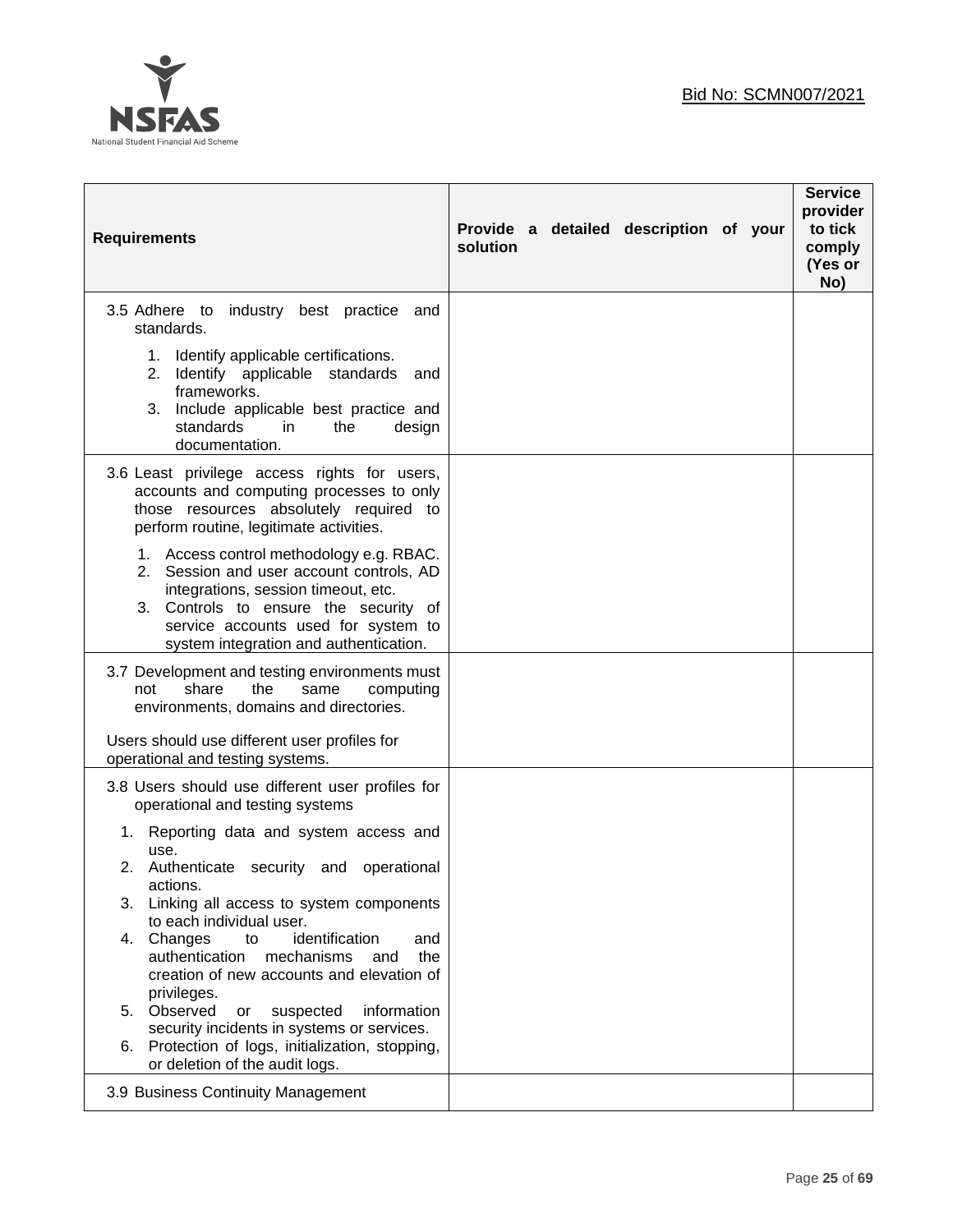

| <b>Requirements</b>                                                                                                                                                                                                                                                                                                                                                                                                                                                                                                                                                                                                                                               | Provide a detailed description of your<br>solution | <b>Service</b><br>provider<br>to tick<br>comply<br>(Yes or<br>No) |
|-------------------------------------------------------------------------------------------------------------------------------------------------------------------------------------------------------------------------------------------------------------------------------------------------------------------------------------------------------------------------------------------------------------------------------------------------------------------------------------------------------------------------------------------------------------------------------------------------------------------------------------------------------------------|----------------------------------------------------|-------------------------------------------------------------------|
| 3.5 Adhere to industry best practice<br>and<br>standards.<br>1. Identify applicable certifications.<br>Identify applicable standards<br>2.<br>and<br>frameworks.<br>3. Include applicable best practice and<br>standards<br>in.<br>the<br>design<br>documentation.                                                                                                                                                                                                                                                                                                                                                                                                |                                                    |                                                                   |
| 3.6 Least privilege access rights for users,<br>accounts and computing processes to only<br>those resources absolutely required to<br>perform routine, legitimate activities.<br>1. Access control methodology e.g. RBAC.<br>2. Session and user account controls, AD<br>integrations, session timeout, etc.<br>3. Controls to ensure the security of<br>service accounts used for system to<br>system integration and authentication.                                                                                                                                                                                                                            |                                                    |                                                                   |
| 3.7 Development and testing environments must<br>share<br>the<br>computing<br>not<br>same<br>environments, domains and directories.<br>Users should use different user profiles for                                                                                                                                                                                                                                                                                                                                                                                                                                                                               |                                                    |                                                                   |
| operational and testing systems.<br>3.8 Users should use different user profiles for<br>operational and testing systems<br>1. Reporting data and system access and<br>use.<br>Authenticate security and operational<br>2.<br>actions.<br>3.<br>Linking all access to system components<br>to each individual user.<br>4. Changes<br>identification<br>to<br>and<br>authentication<br>mechanisms<br>the<br>and<br>creation of new accounts and elevation of<br>privileges.<br>5. Observed<br>information<br>suspected<br>or<br>security incidents in systems or services.<br>Protection of logs, initialization, stopping,<br>6.<br>or deletion of the audit logs. |                                                    |                                                                   |
| 3.9 Business Continuity Management                                                                                                                                                                                                                                                                                                                                                                                                                                                                                                                                                                                                                                |                                                    |                                                                   |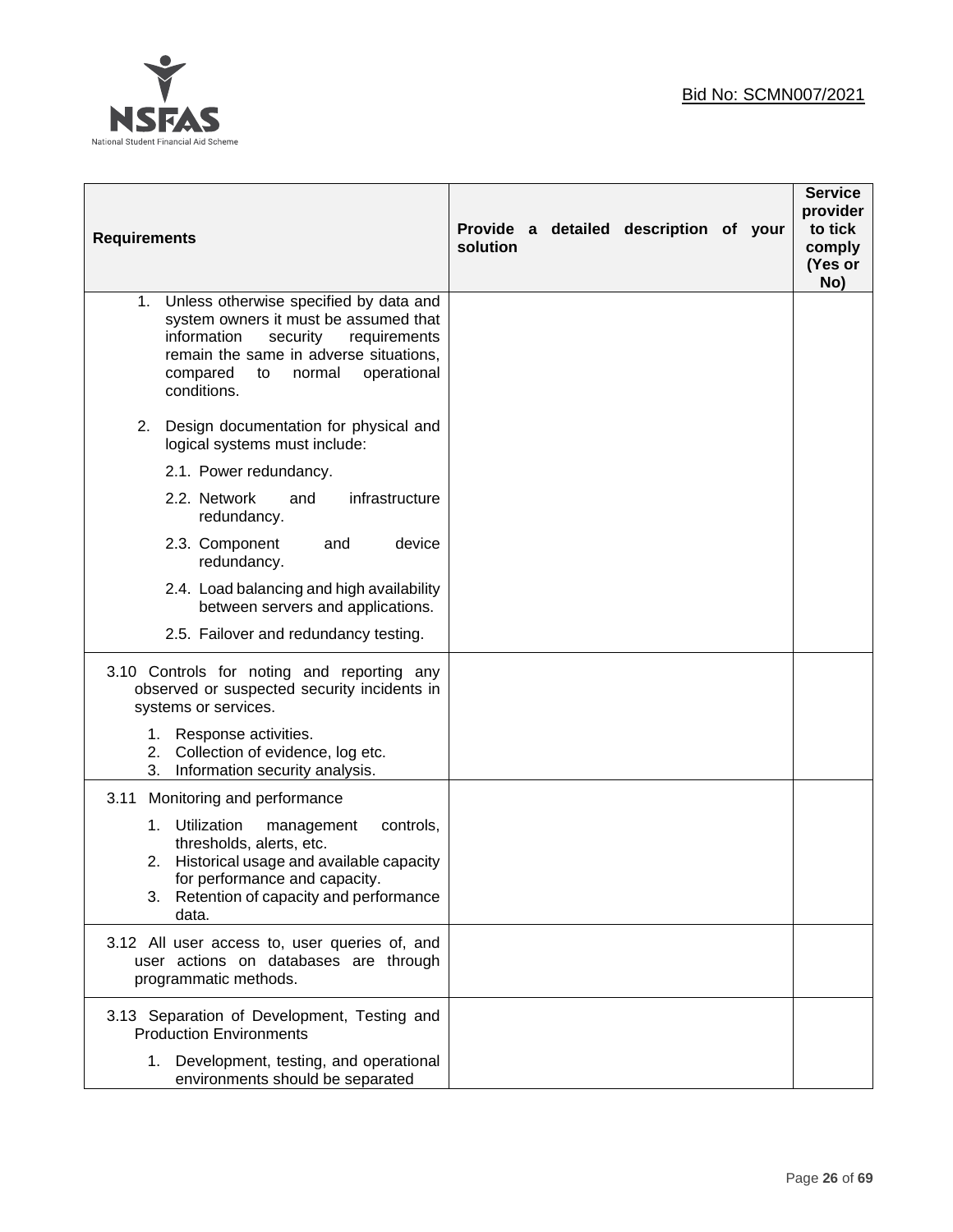

| <b>Requirements</b>                                                                                                                                                                                                                  | solution | Provide a detailed description of your | <b>Service</b><br>provider<br>to tick<br>comply<br>(Yes or<br>No) |
|--------------------------------------------------------------------------------------------------------------------------------------------------------------------------------------------------------------------------------------|----------|----------------------------------------|-------------------------------------------------------------------|
| Unless otherwise specified by data and<br>1.<br>system owners it must be assumed that<br>information<br>security<br>requirements<br>remain the same in adverse situations,<br>compared<br>normal<br>operational<br>to<br>conditions. |          |                                        |                                                                   |
| Design documentation for physical and<br>2.<br>logical systems must include:                                                                                                                                                         |          |                                        |                                                                   |
| 2.1. Power redundancy.                                                                                                                                                                                                               |          |                                        |                                                                   |
| 2.2. Network<br>infrastructure<br>and<br>redundancy.                                                                                                                                                                                 |          |                                        |                                                                   |
| 2.3. Component<br>and<br>device<br>redundancy.                                                                                                                                                                                       |          |                                        |                                                                   |
| 2.4. Load balancing and high availability<br>between servers and applications.                                                                                                                                                       |          |                                        |                                                                   |
| 2.5. Failover and redundancy testing.                                                                                                                                                                                                |          |                                        |                                                                   |
| 3.10 Controls for noting and reporting any<br>observed or suspected security incidents in<br>systems or services.                                                                                                                    |          |                                        |                                                                   |
| 1.<br>Response activities.<br>2. Collection of evidence, log etc.<br>3.<br>Information security analysis.                                                                                                                            |          |                                        |                                                                   |
| 3.11<br>Monitoring and performance                                                                                                                                                                                                   |          |                                        |                                                                   |
| 1. Utilization<br>controls,<br>management<br>thresholds, alerts, etc.<br>Historical usage and available capacity<br>2.<br>for performance and capacity.<br>3. Retention of capacity and performance<br>data.                         |          |                                        |                                                                   |
| 3.12 All user access to, user queries of, and<br>user actions on databases are through<br>programmatic methods.                                                                                                                      |          |                                        |                                                                   |
| 3.13 Separation of Development, Testing and<br><b>Production Environments</b>                                                                                                                                                        |          |                                        |                                                                   |
| Development, testing, and operational<br>1.<br>environments should be separated                                                                                                                                                      |          |                                        |                                                                   |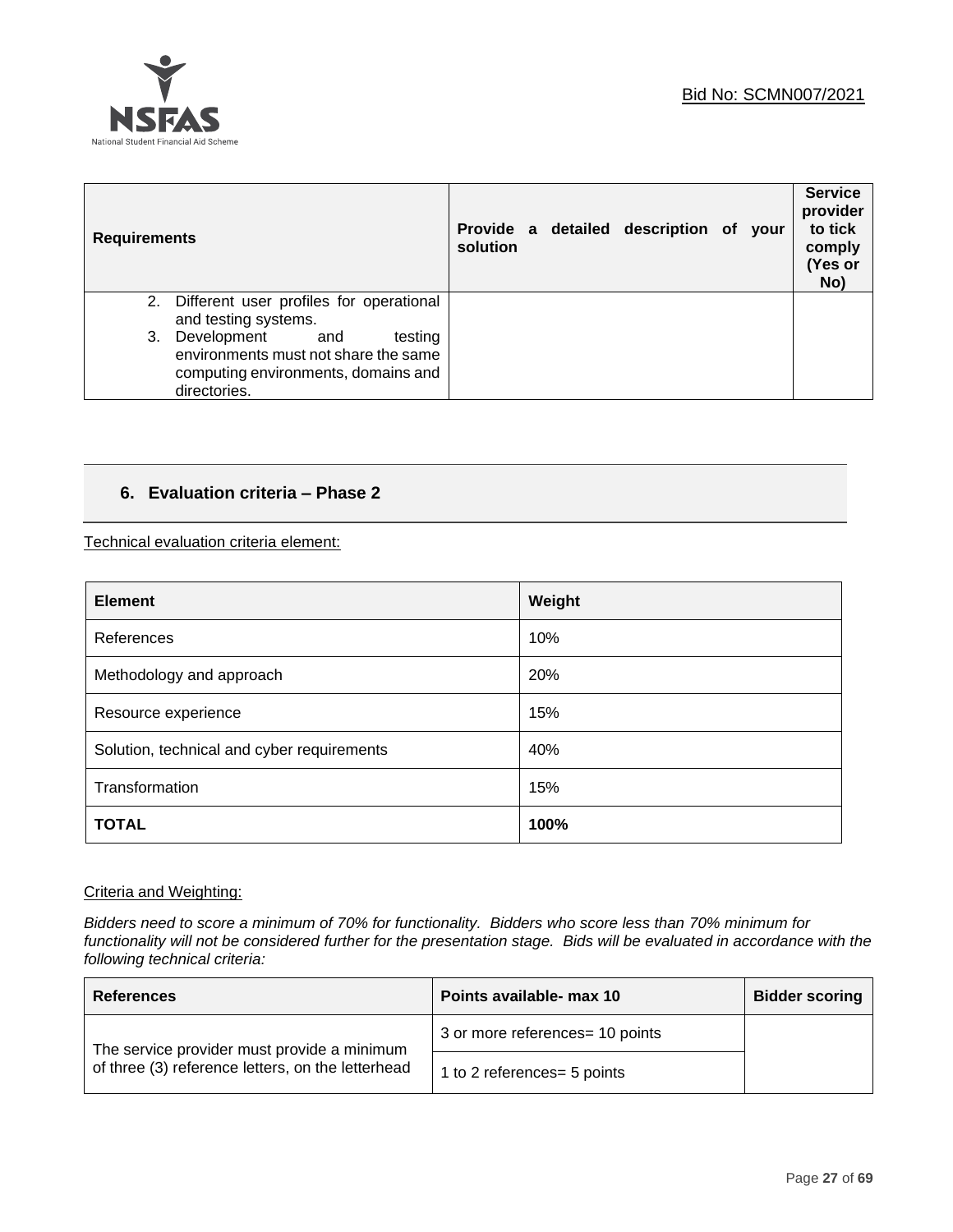

| <b>Requirements</b>                                                                                                                | solution |  | Provide a detailed description of your |  | <b>Service</b><br>provider<br>to tick<br>comply<br>(Yes or<br>No) |
|------------------------------------------------------------------------------------------------------------------------------------|----------|--|----------------------------------------|--|-------------------------------------------------------------------|
| Different user profiles for operational<br>2.<br>and testing systems.                                                              |          |  |                                        |  |                                                                   |
| Development<br>and<br>testing<br>3.<br>environments must not share the same<br>computing environments, domains and<br>directories. |          |  |                                        |  |                                                                   |

# **6. Evaluation criteria – Phase 2**

Technical evaluation criteria element:

| <b>Element</b>                             | Weight |
|--------------------------------------------|--------|
| References                                 | 10%    |
| Methodology and approach                   | 20%    |
| Resource experience                        | 15%    |
| Solution, technical and cyber requirements | 40%    |
| Transformation                             | 15%    |
| <b>TOTAL</b>                               | 100%   |

# Criteria and Weighting:

*Bidders need to score a minimum of 70% for functionality. Bidders who score less than 70% minimum for functionality will not be considered further for the presentation stage. Bids will be evaluated in accordance with the following technical criteria:*

| <b>References</b>                                                                                | Points available- max 10        | <b>Bidder scoring</b> |
|--------------------------------------------------------------------------------------------------|---------------------------------|-----------------------|
| The service provider must provide a minimum<br>of three (3) reference letters, on the letterhead | 3 or more references= 10 points |                       |
|                                                                                                  | 1 to 2 references = 5 points    |                       |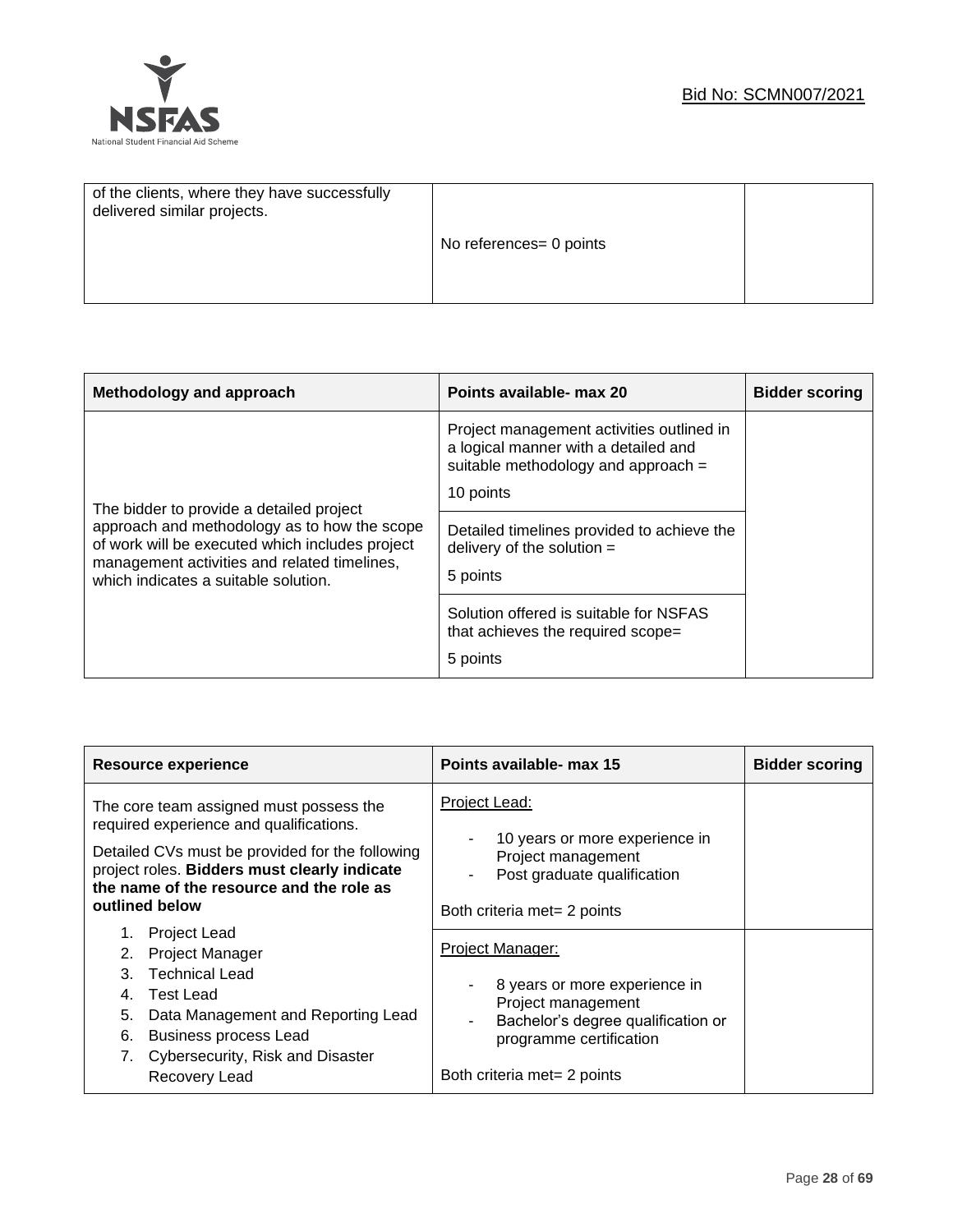

| of the clients, where they have successfully<br>delivered similar projects. |                         |  |
|-----------------------------------------------------------------------------|-------------------------|--|
|                                                                             | No references= 0 points |  |
|                                                                             |                         |  |

| Methodology and approach                                                                                                                                                                                                            | Points available- max 20                                                                                                              | <b>Bidder scoring</b> |
|-------------------------------------------------------------------------------------------------------------------------------------------------------------------------------------------------------------------------------------|---------------------------------------------------------------------------------------------------------------------------------------|-----------------------|
| The bidder to provide a detailed project<br>approach and methodology as to how the scope<br>of work will be executed which includes project<br>management activities and related timelines,<br>which indicates a suitable solution. | Project management activities outlined in<br>a logical manner with a detailed and<br>suitable methodology and approach =<br>10 points |                       |
|                                                                                                                                                                                                                                     | Detailed timelines provided to achieve the<br>delivery of the solution $=$                                                            |                       |
|                                                                                                                                                                                                                                     | 5 points                                                                                                                              |                       |
|                                                                                                                                                                                                                                     | Solution offered is suitable for NSFAS<br>that achieves the required scope=                                                           |                       |
|                                                                                                                                                                                                                                     | 5 points                                                                                                                              |                       |

| <b>Resource experience</b>                                                                                                                                                                                                                                                                                                                                                                                                                                                                                | Points available- max 15                                                                                                                                                                                                                                                                                            | <b>Bidder scoring</b> |
|-----------------------------------------------------------------------------------------------------------------------------------------------------------------------------------------------------------------------------------------------------------------------------------------------------------------------------------------------------------------------------------------------------------------------------------------------------------------------------------------------------------|---------------------------------------------------------------------------------------------------------------------------------------------------------------------------------------------------------------------------------------------------------------------------------------------------------------------|-----------------------|
| The core team assigned must possess the<br>required experience and qualifications.<br>Detailed CVs must be provided for the following<br>project roles. Bidders must clearly indicate<br>the name of the resource and the role as<br>outlined below<br><b>Project Lead</b><br><b>Project Manager</b><br><b>Technical Lead</b><br>3<br><b>Test Lead</b><br>4.<br>Data Management and Reporting Lead<br>5.<br><b>Business process Lead</b><br>6.<br>Cybersecurity, Risk and Disaster<br>7.<br>Recovery Lead | Project Lead:<br>10 years or more experience in<br>۰<br>Project management<br>Post graduate qualification<br>Both criteria met= 2 points<br>Project Manager:<br>8 years or more experience in<br>Project management<br>Bachelor's degree qualification or<br>programme certification<br>Both criteria met= 2 points |                       |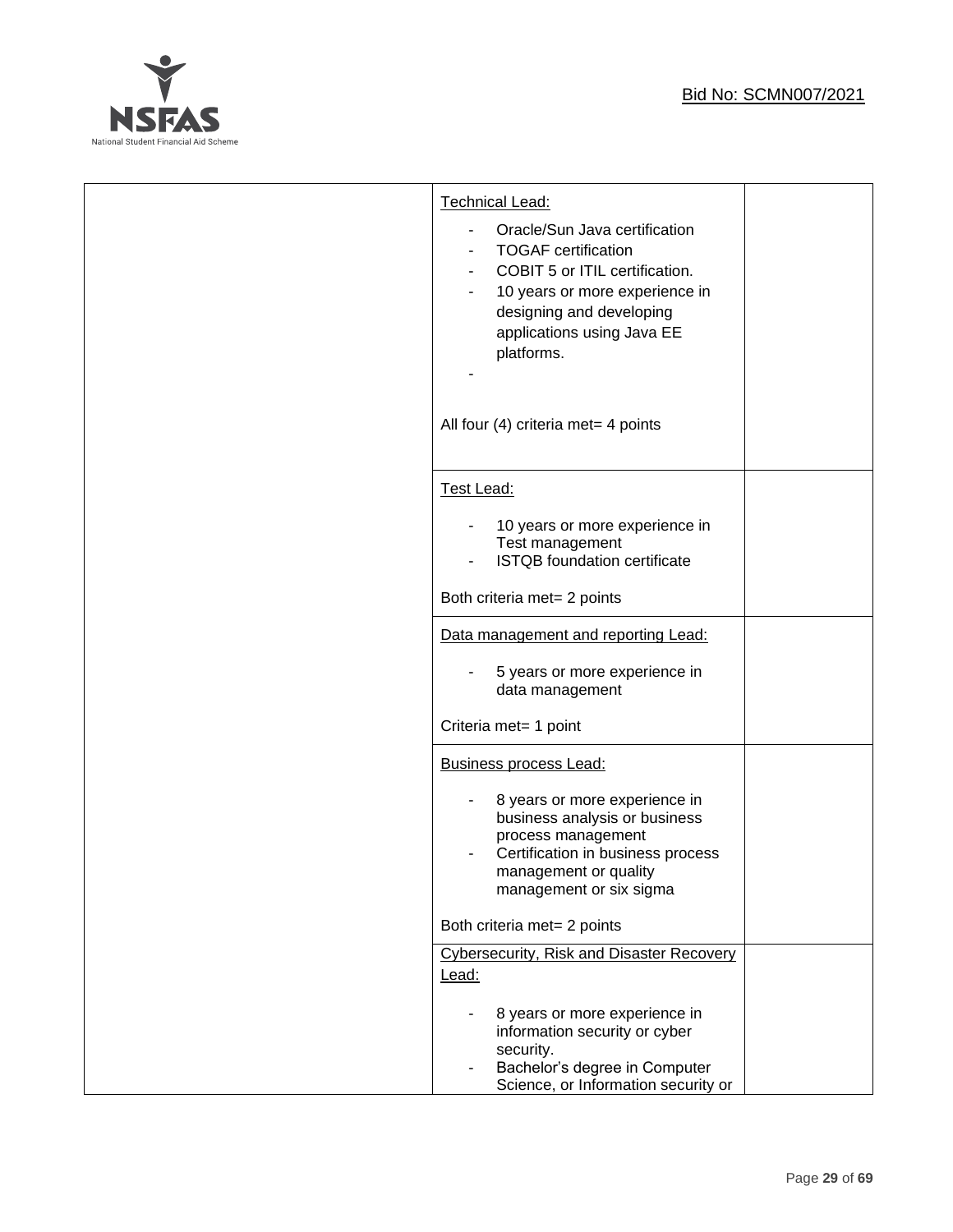

| Technical Lead:<br>Oracle/Sun Java certification<br><b>TOGAF</b> certification<br>COBIT 5 or ITIL certification.<br>10 years or more experience in<br>designing and developing<br>applications using Java EE<br>platforms.<br>All four (4) criteria met= 4 points |  |
|-------------------------------------------------------------------------------------------------------------------------------------------------------------------------------------------------------------------------------------------------------------------|--|
| Test Lead:                                                                                                                                                                                                                                                        |  |
| 10 years or more experience in<br>Test management<br><b>ISTQB</b> foundation certificate                                                                                                                                                                          |  |
| Both criteria met= 2 points                                                                                                                                                                                                                                       |  |
| Data management and reporting Lead:<br>5 years or more experience in<br>data management<br>Criteria met= 1 point                                                                                                                                                  |  |
| <b>Business process Lead:</b>                                                                                                                                                                                                                                     |  |
| 8 years or more experience in<br>business analysis or business<br>process management<br>Certification in business process<br>management or quality<br>management or six sigma                                                                                     |  |
| Both criteria met= 2 points                                                                                                                                                                                                                                       |  |
| <b>Cybersecurity, Risk and Disaster Recovery</b><br>Lead:<br>8 years or more experience in<br>information security or cyber                                                                                                                                       |  |
| security.<br>Bachelor's degree in Computer<br>Science, or Information security or                                                                                                                                                                                 |  |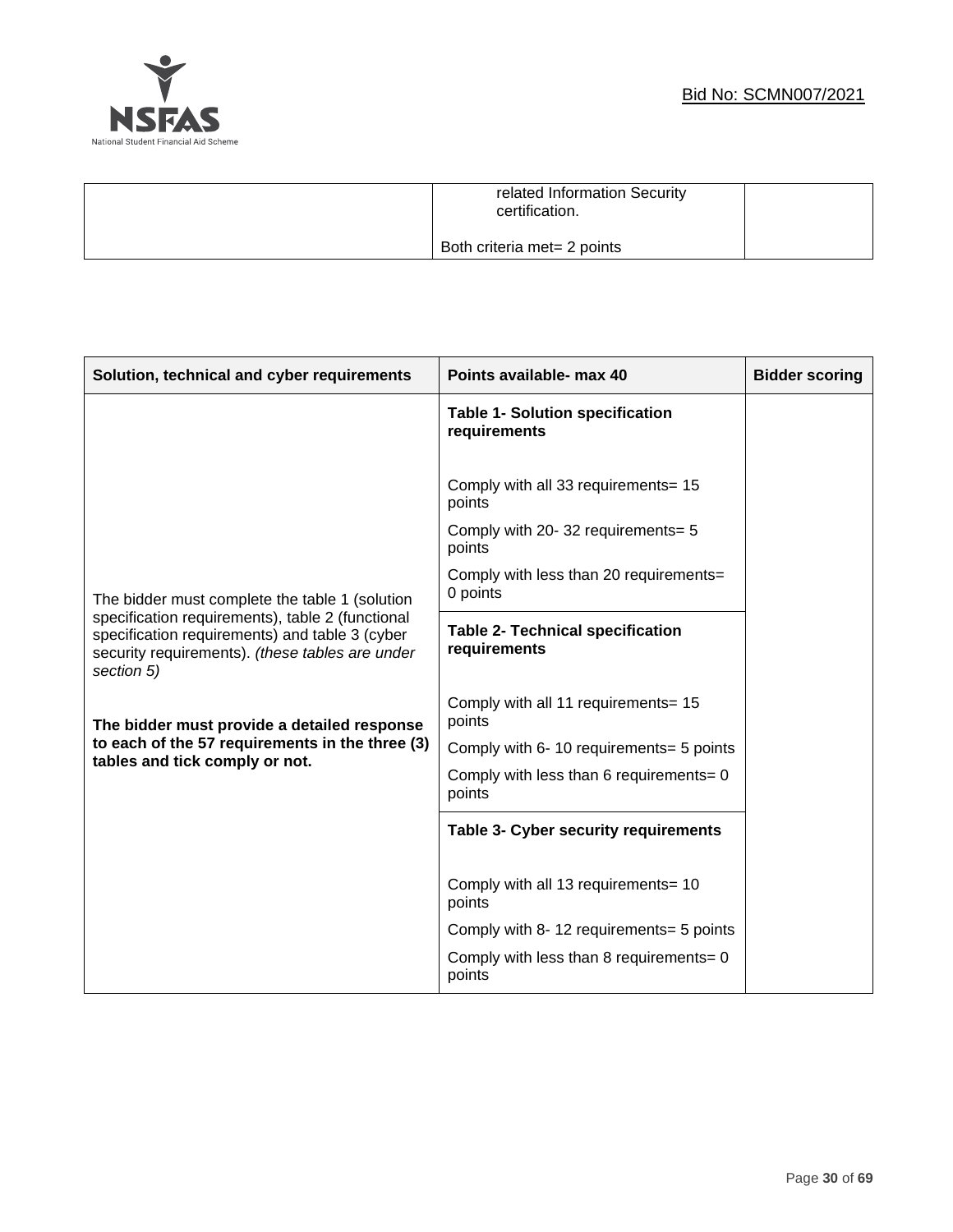# **NSFAS** National Student Financial Aid Scheme

| related Information Security<br>certification. |  |
|------------------------------------------------|--|
| Both criteria met= 2 points                    |  |

| Solution, technical and cyber requirements                                                                                                                          | Points available- max 40                                | <b>Bidder scoring</b> |
|---------------------------------------------------------------------------------------------------------------------------------------------------------------------|---------------------------------------------------------|-----------------------|
|                                                                                                                                                                     | <b>Table 1- Solution specification</b><br>requirements  |                       |
|                                                                                                                                                                     | Comply with all 33 requirements= 15<br>points           |                       |
|                                                                                                                                                                     | Comply with 20-32 requirements= 5<br>points             |                       |
| The bidder must complete the table 1 (solution                                                                                                                      | Comply with less than 20 requirements=<br>0 points      |                       |
| specification requirements), table 2 (functional<br>specification requirements) and table 3 (cyber<br>security requirements). (these tables are under<br>section 5) | <b>Table 2- Technical specification</b><br>requirements |                       |
| The bidder must provide a detailed response                                                                                                                         | Comply with all 11 requirements= 15<br>points           |                       |
| to each of the 57 requirements in the three (3)                                                                                                                     | Comply with 6-10 requirements= 5 points                 |                       |
| tables and tick comply or not.                                                                                                                                      | Comply with less than 6 requirements= 0<br>points       |                       |
|                                                                                                                                                                     | <b>Table 3- Cyber security requirements</b>             |                       |
|                                                                                                                                                                     | Comply with all 13 requirements= 10<br>points           |                       |
|                                                                                                                                                                     | Comply with 8-12 requirements= 5 points                 |                       |
|                                                                                                                                                                     | Comply with less than 8 requirements= 0<br>points       |                       |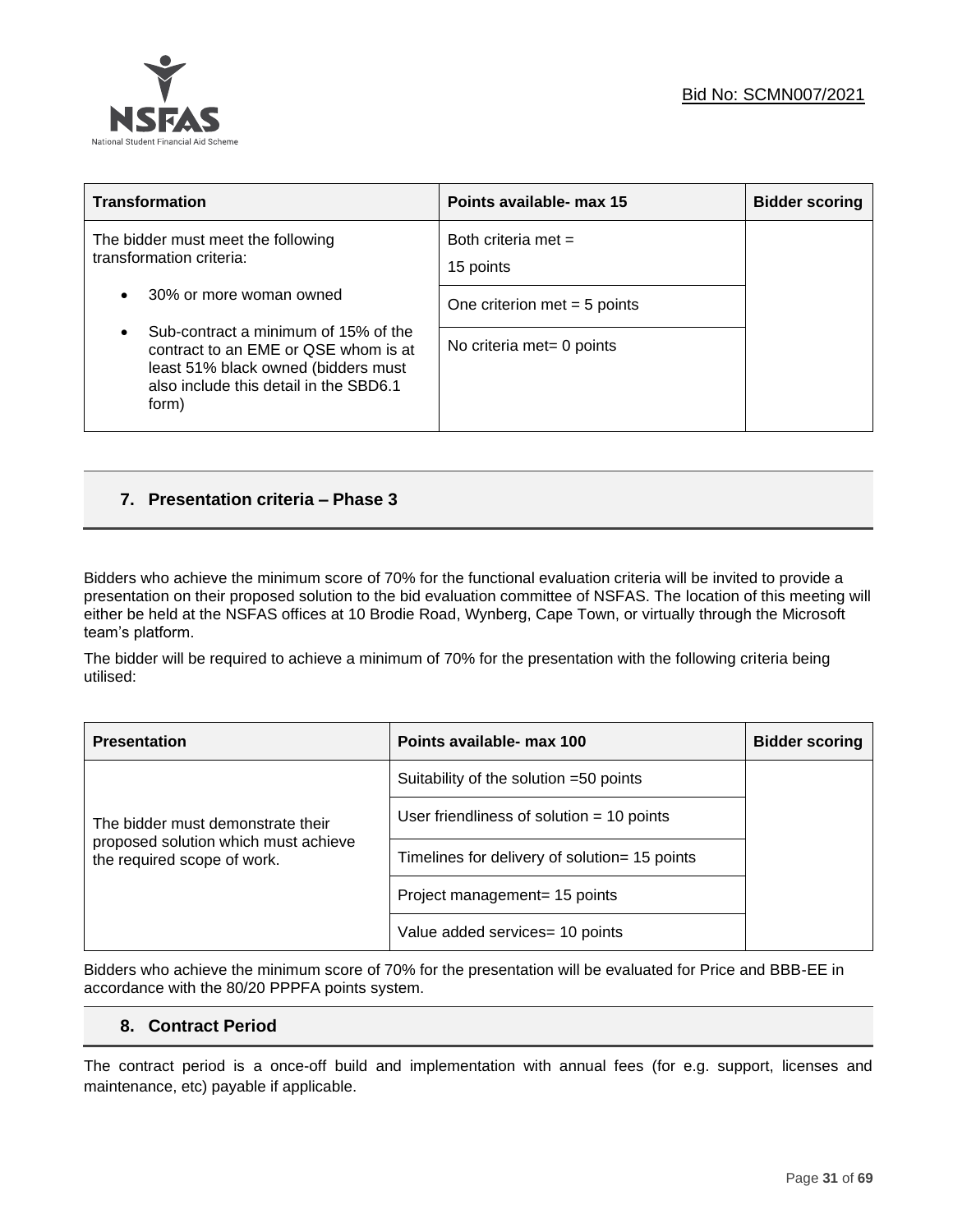

| <b>Transformation</b>                                                                                                                                                               | Points available- max 15           | <b>Bidder scoring</b> |
|-------------------------------------------------------------------------------------------------------------------------------------------------------------------------------------|------------------------------------|-----------------------|
| The bidder must meet the following<br>transformation criteria:                                                                                                                      | Both criteria met $=$<br>15 points |                       |
| 30% or more woman owned<br>$\bullet$                                                                                                                                                | One criterion met $=$ 5 points     |                       |
| Sub-contract a minimum of 15% of the<br>$\bullet$<br>contract to an EME or QSE whom is at<br>least 51% black owned (bidders must<br>also include this detail in the SBD6.1<br>form) | No criteria met= 0 points          |                       |

# **7. Presentation criteria – Phase 3**

Bidders who achieve the minimum score of 70% for the functional evaluation criteria will be invited to provide a presentation on their proposed solution to the bid evaluation committee of NSFAS. The location of this meeting will either be held at the NSFAS offices at 10 Brodie Road, Wynberg, Cape Town, or virtually through the Microsoft team's platform.

The bidder will be required to achieve a minimum of 70% for the presentation with the following criteria being utilised:

| <b>Presentation</b>                                                 | Points available- max 100                     | <b>Bidder scoring</b> |
|---------------------------------------------------------------------|-----------------------------------------------|-----------------------|
|                                                                     | Suitability of the solution =50 points        |                       |
| The bidder must demonstrate their                                   | User friendliness of solution $=$ 10 points   |                       |
| proposed solution which must achieve<br>the required scope of work. | Timelines for delivery of solution= 15 points |                       |
|                                                                     | Project management= 15 points                 |                       |
|                                                                     | Value added services= 10 points               |                       |

Bidders who achieve the minimum score of 70% for the presentation will be evaluated for Price and BBB-EE in accordance with the 80/20 PPPFA points system.

# **8. Contract Period**

The contract period is a once-off build and implementation with annual fees (for e.g. support, licenses and maintenance, etc) payable if applicable.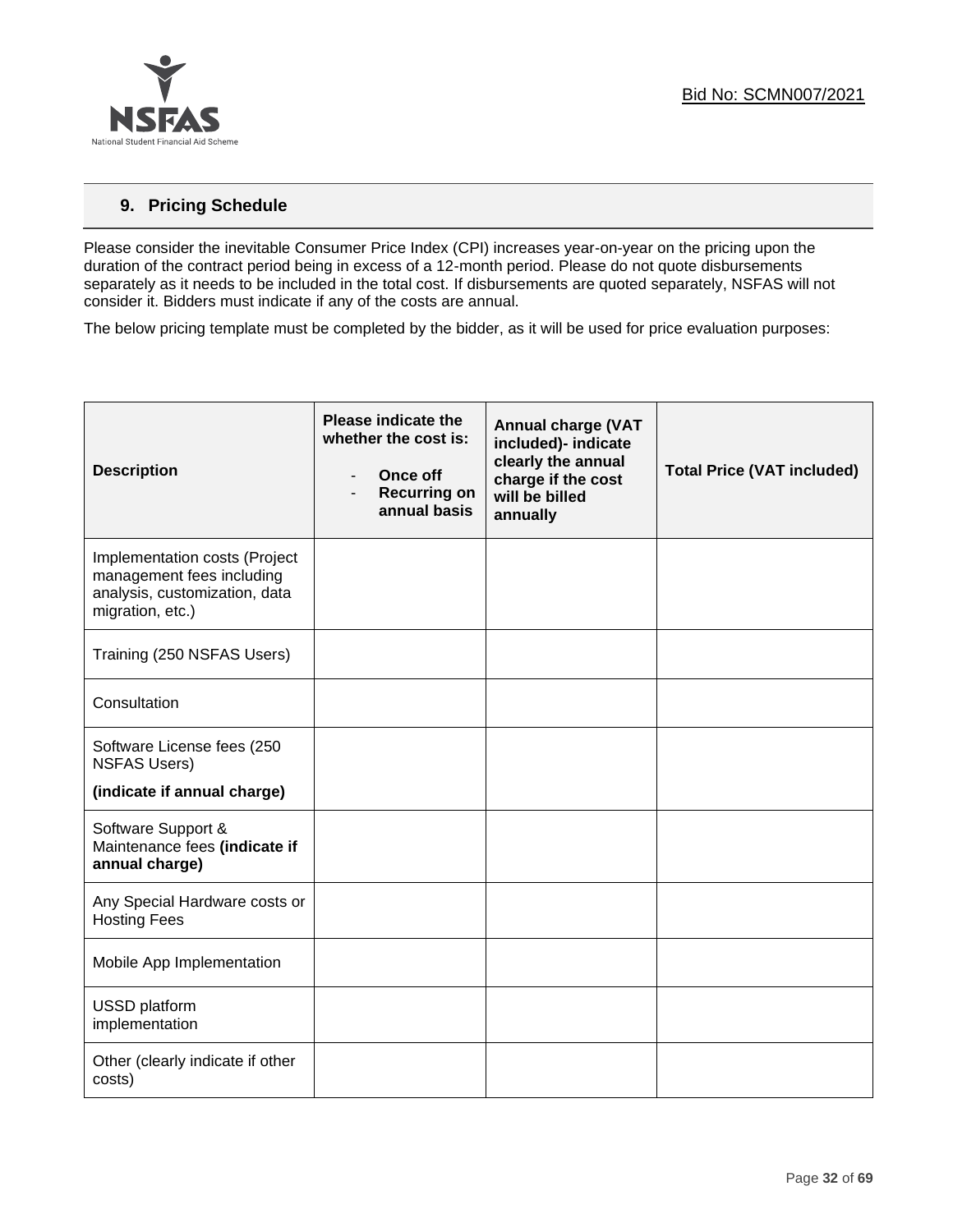

# **9. Pricing Schedule**

Please consider the inevitable Consumer Price Index (CPI) increases year-on-year on the pricing upon the duration of the contract period being in excess of a 12-month period. Please do not quote disbursements separately as it needs to be included in the total cost. If disbursements are quoted separately, NSFAS will not consider it. Bidders must indicate if any of the costs are annual.

The below pricing template must be completed by the bidder, as it will be used for price evaluation purposes:

| <b>Description</b>                                                                                              | $\overline{\phantom{0}}$ | <b>Please indicate the</b><br>whether the cost is:<br>Once off<br><b>Recurring on</b><br>annual basis | <b>Annual charge (VAT</b><br>included)- indicate<br>clearly the annual<br>charge if the cost<br>will be billed<br>annually | <b>Total Price (VAT included)</b> |
|-----------------------------------------------------------------------------------------------------------------|--------------------------|-------------------------------------------------------------------------------------------------------|----------------------------------------------------------------------------------------------------------------------------|-----------------------------------|
| Implementation costs (Project<br>management fees including<br>analysis, customization, data<br>migration, etc.) |                          |                                                                                                       |                                                                                                                            |                                   |
| Training (250 NSFAS Users)                                                                                      |                          |                                                                                                       |                                                                                                                            |                                   |
| Consultation                                                                                                    |                          |                                                                                                       |                                                                                                                            |                                   |
| Software License fees (250<br><b>NSFAS Users)</b>                                                               |                          |                                                                                                       |                                                                                                                            |                                   |
| (indicate if annual charge)                                                                                     |                          |                                                                                                       |                                                                                                                            |                                   |
| Software Support &<br>Maintenance fees (indicate if<br>annual charge)                                           |                          |                                                                                                       |                                                                                                                            |                                   |
| Any Special Hardware costs or<br><b>Hosting Fees</b>                                                            |                          |                                                                                                       |                                                                                                                            |                                   |
| Mobile App Implementation                                                                                       |                          |                                                                                                       |                                                                                                                            |                                   |
| USSD platform<br>implementation                                                                                 |                          |                                                                                                       |                                                                                                                            |                                   |
| Other (clearly indicate if other<br>costs)                                                                      |                          |                                                                                                       |                                                                                                                            |                                   |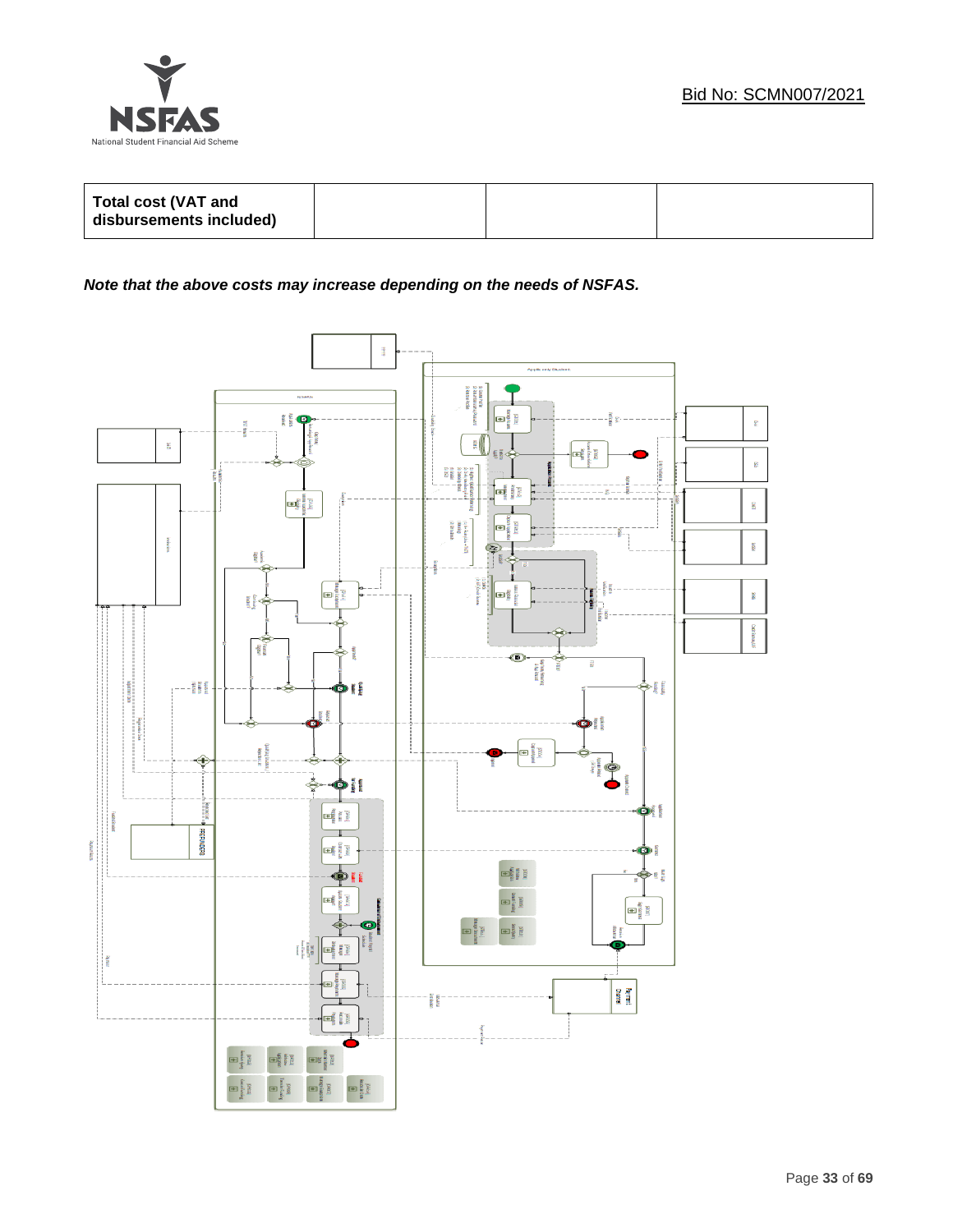

| Total cost (VAT and<br>disbursements included) |  |  |
|------------------------------------------------|--|--|
|                                                |  |  |

# *Note that the above costs may increase depending on the needs of NSFAS.*

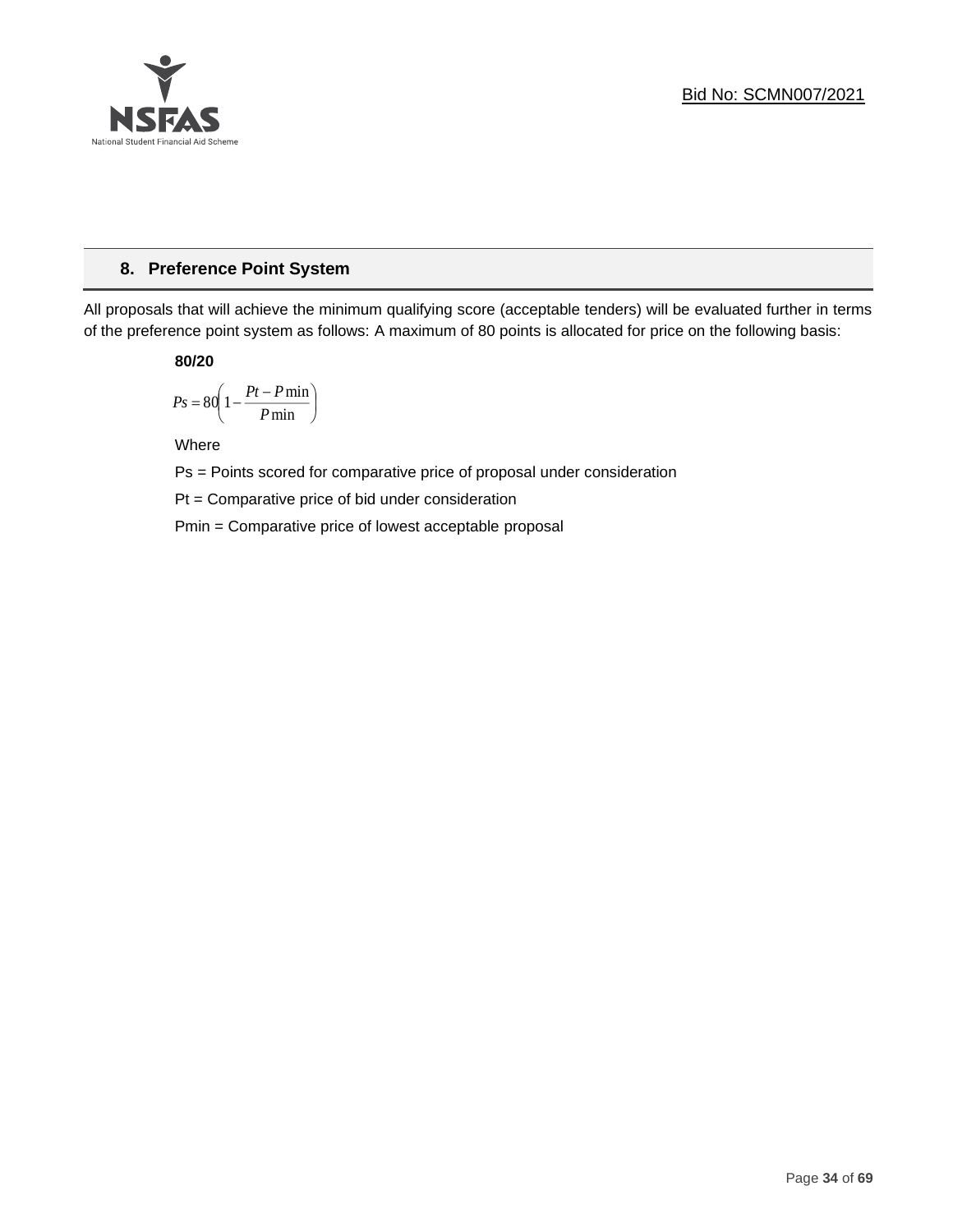

# **8. Preference Point System**

All proposals that will achieve the minimum qualifying score (acceptable tenders) will be evaluated further in terms of the preference point system as follows: A maximum of 80 points is allocated for price on the following basis:

**80/20**

$$
Ps = 80 \left( 1 - \frac{Pt - P \min}{P \min} \right)
$$

Where

Ps = Points scored for comparative price of proposal under consideration

Pt = Comparative price of bid under consideration

Pmin = Comparative price of lowest acceptable proposal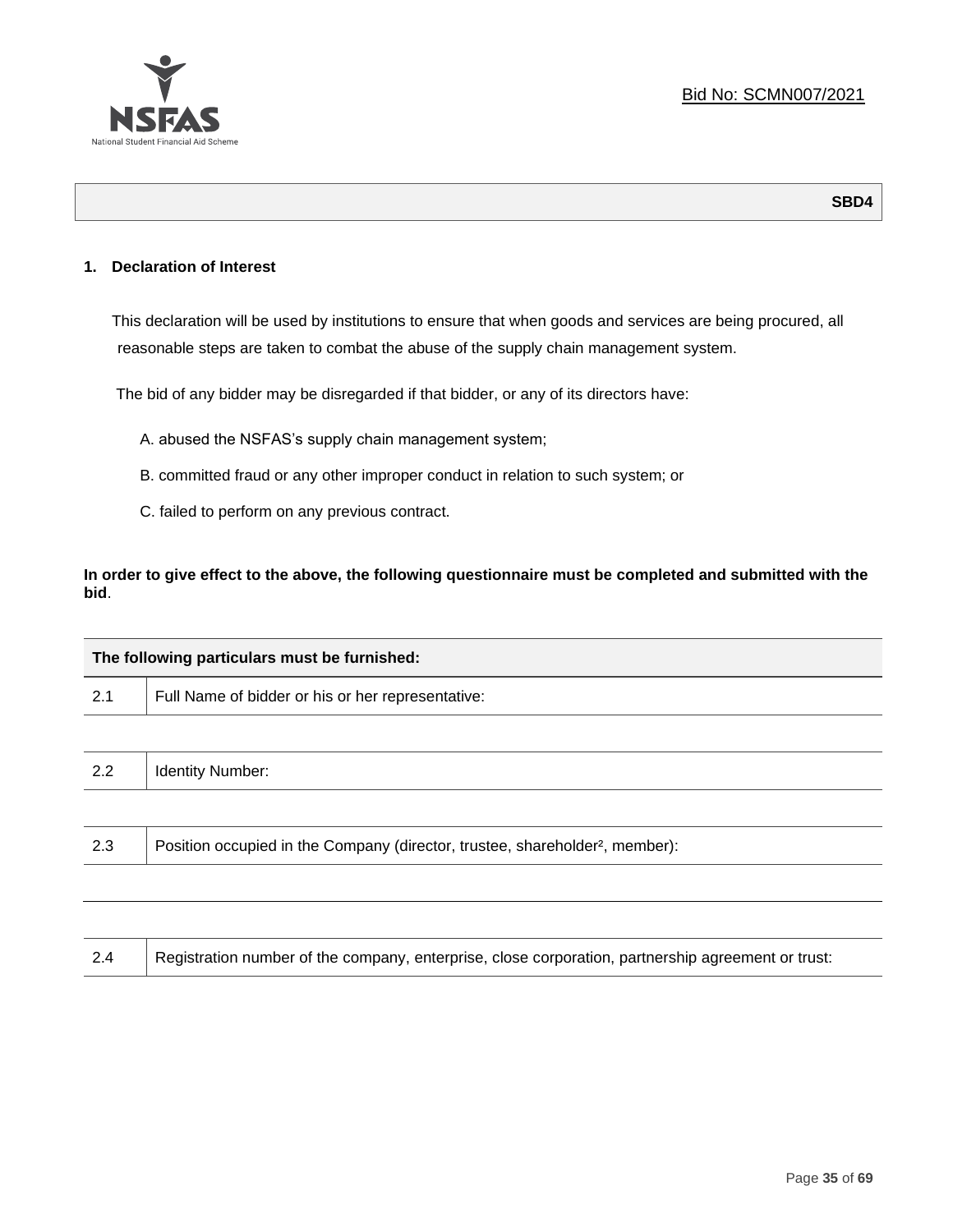

**SBD4**

#### **1. Declaration of Interest**

This declaration will be used by institutions to ensure that when goods and services are being procured, all reasonable steps are taken to combat the abuse of the supply chain management system.

The bid of any bidder may be disregarded if that bidder, or any of its directors have:

- A. abused the NSFAS's supply chain management system;
- B. committed fraud or any other improper conduct in relation to such system; or
- C. failed to perform on any previous contract.

**In order to give effect to the above, the following questionnaire must be completed and submitted with the bid**.

| The following particulars must be furnished: |                                                                                          |  |  |
|----------------------------------------------|------------------------------------------------------------------------------------------|--|--|
| 2.1                                          | Full Name of bidder or his or her representative:                                        |  |  |
|                                              |                                                                                          |  |  |
| 2.2                                          | <b>Identity Number:</b>                                                                  |  |  |
|                                              |                                                                                          |  |  |
| 2.3                                          | Position occupied in the Company (director, trustee, shareholder <sup>2</sup> , member): |  |  |
|                                              |                                                                                          |  |  |

| Registration number of the company, enterprise, close corporation, partnership agreement or trust:<br>2.4 |  |
|-----------------------------------------------------------------------------------------------------------|--|
|-----------------------------------------------------------------------------------------------------------|--|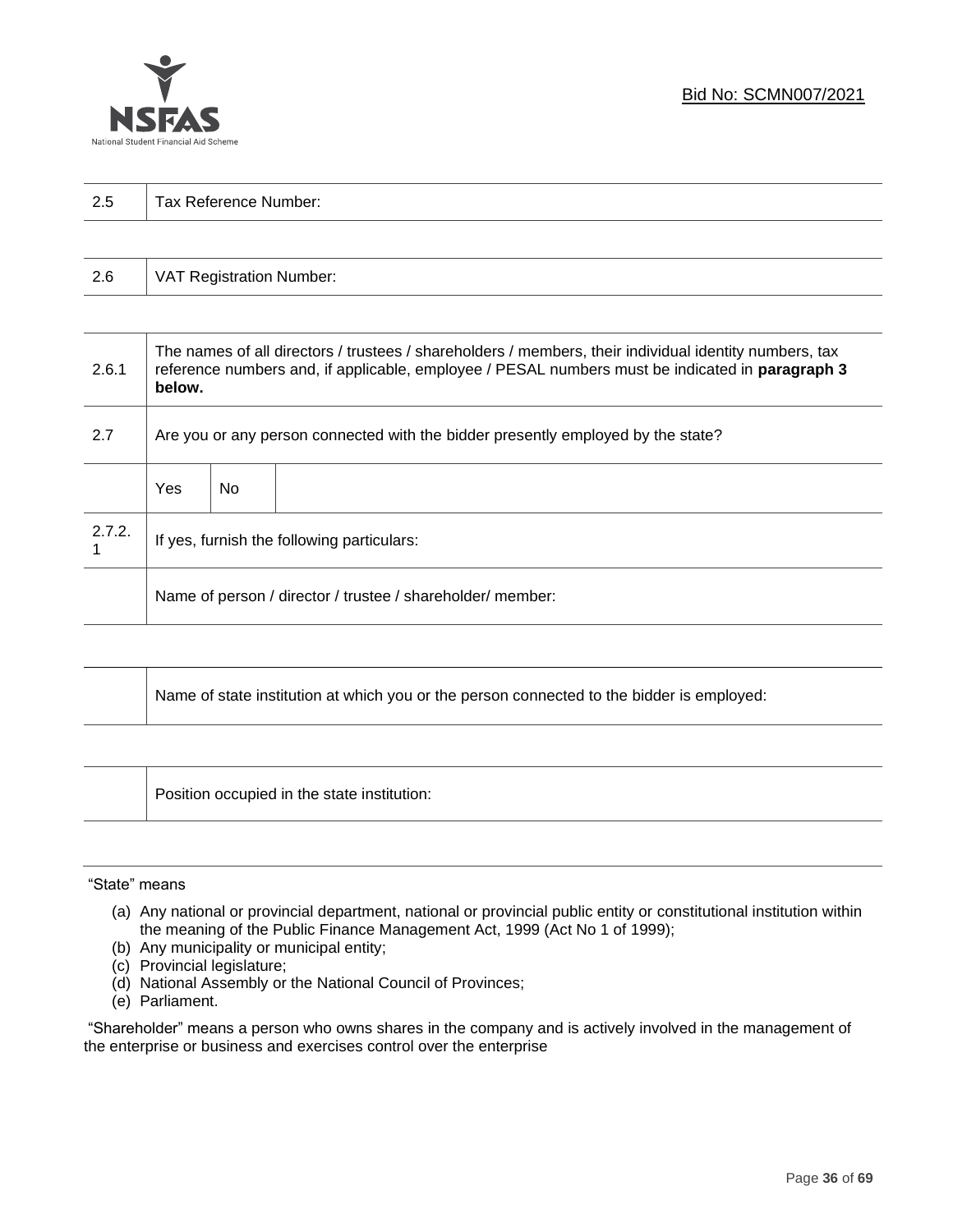

| 2.5 | Tax Reference Number: |
|-----|-----------------------|
|     |                       |

| 2.6 | VAT Registration Number: |
|-----|--------------------------|
|-----|--------------------------|

| 2.6.1  | The names of all directors / trustees / shareholders / members, their individual identity numbers, tax<br>reference numbers and, if applicable, employee / PESAL numbers must be indicated in paragraph 3<br>below. |     |  |  |  |
|--------|---------------------------------------------------------------------------------------------------------------------------------------------------------------------------------------------------------------------|-----|--|--|--|
| 2.7    | Are you or any person connected with the bidder presently employed by the state?                                                                                                                                    |     |  |  |  |
|        | Yes                                                                                                                                                                                                                 | No. |  |  |  |
| 2.7.2. | If yes, furnish the following particulars:                                                                                                                                                                          |     |  |  |  |
|        | Name of person / director / trustee / shareholder/ member:                                                                                                                                                          |     |  |  |  |

| Name of state institution at which you or the person connected to the bidder is employed: |
|-------------------------------------------------------------------------------------------|
|                                                                                           |

Position occupied in the state institution:

#### "State" means

┱

- (a) Any national or provincial department, national or provincial public entity or constitutional institution within the meaning of the Public Finance Management Act, 1999 (Act No 1 of 1999);
- (b) Any municipality or municipal entity;
- (c) Provincial legislature;
- (d) National Assembly or the National Council of Provinces;
- (e) Parliament.

"Shareholder" means a person who owns shares in the company and is actively involved in the management of the enterprise or business and exercises control over the enterprise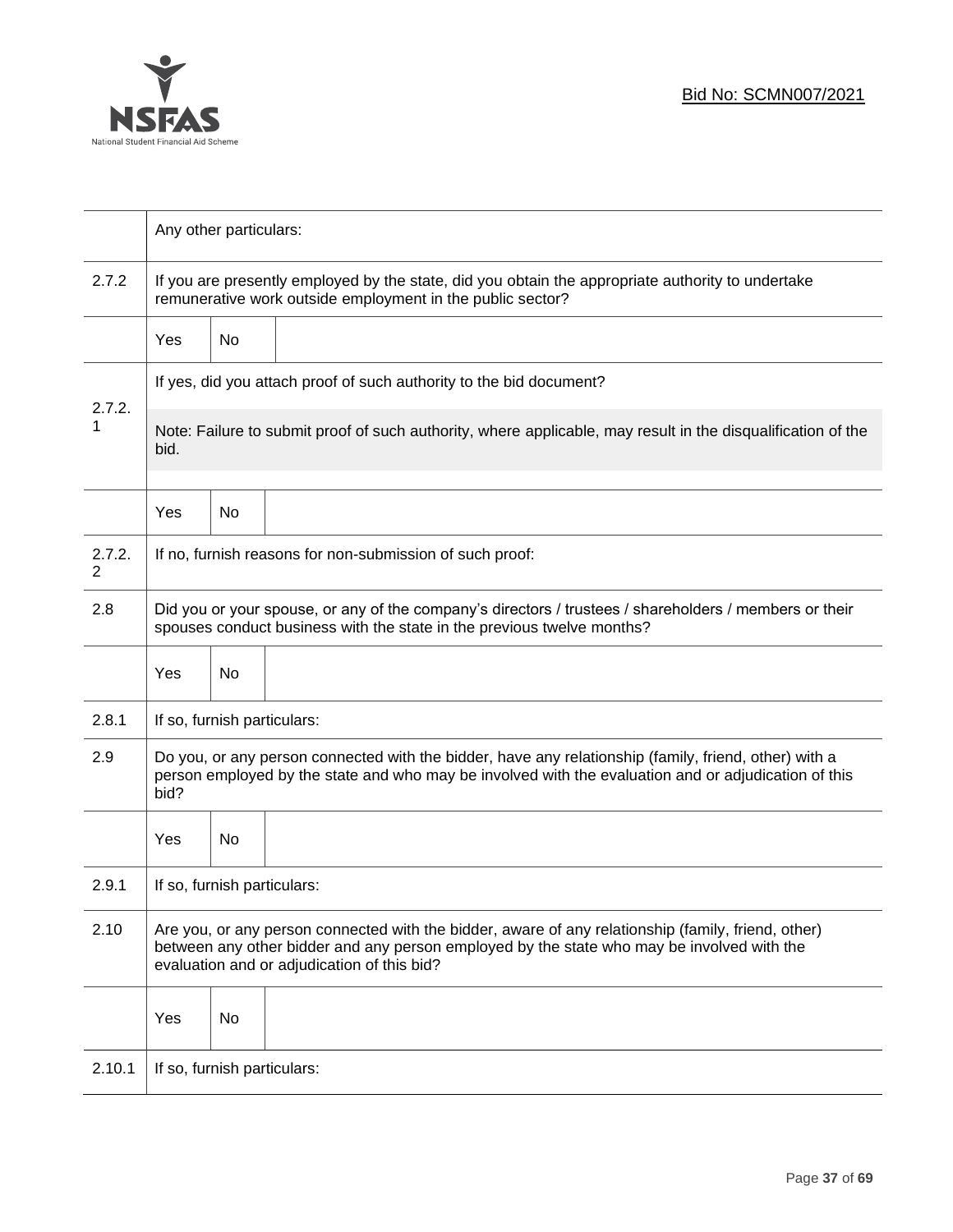

|                          | Any other particulars:                                                                                                                                                                                                                           |                             |                                                                                                                                                                                  |  |  |  |
|--------------------------|--------------------------------------------------------------------------------------------------------------------------------------------------------------------------------------------------------------------------------------------------|-----------------------------|----------------------------------------------------------------------------------------------------------------------------------------------------------------------------------|--|--|--|
| 2.7.2                    | If you are presently employed by the state, did you obtain the appropriate authority to undertake<br>remunerative work outside employment in the public sector?                                                                                  |                             |                                                                                                                                                                                  |  |  |  |
|                          | Yes                                                                                                                                                                                                                                              | No                          |                                                                                                                                                                                  |  |  |  |
|                          |                                                                                                                                                                                                                                                  |                             | If yes, did you attach proof of such authority to the bid document?                                                                                                              |  |  |  |
| 2.7.2.<br>1              | Note: Failure to submit proof of such authority, where applicable, may result in the disqualification of the<br>bid.                                                                                                                             |                             |                                                                                                                                                                                  |  |  |  |
|                          | Yes                                                                                                                                                                                                                                              | No                          |                                                                                                                                                                                  |  |  |  |
| 2.7.2.<br>$\overline{2}$ |                                                                                                                                                                                                                                                  |                             | If no, furnish reasons for non-submission of such proof:                                                                                                                         |  |  |  |
| 2.8                      |                                                                                                                                                                                                                                                  |                             | Did you or your spouse, or any of the company's directors / trustees / shareholders / members or their<br>spouses conduct business with the state in the previous twelve months? |  |  |  |
|                          | Yes                                                                                                                                                                                                                                              | No                          |                                                                                                                                                                                  |  |  |  |
| 2.8.1                    |                                                                                                                                                                                                                                                  | If so, furnish particulars: |                                                                                                                                                                                  |  |  |  |
| 2.9                      | Do you, or any person connected with the bidder, have any relationship (family, friend, other) with a<br>person employed by the state and who may be involved with the evaluation and or adjudication of this<br>bid?                            |                             |                                                                                                                                                                                  |  |  |  |
|                          | Yes                                                                                                                                                                                                                                              | No                          |                                                                                                                                                                                  |  |  |  |
| 2.9.1                    | If so, furnish particulars:                                                                                                                                                                                                                      |                             |                                                                                                                                                                                  |  |  |  |
| 2.10                     | Are you, or any person connected with the bidder, aware of any relationship (family, friend, other)<br>between any other bidder and any person employed by the state who may be involved with the<br>evaluation and or adjudication of this bid? |                             |                                                                                                                                                                                  |  |  |  |
|                          | Yes                                                                                                                                                                                                                                              | No                          |                                                                                                                                                                                  |  |  |  |
| 2.10.1                   | If so, furnish particulars:                                                                                                                                                                                                                      |                             |                                                                                                                                                                                  |  |  |  |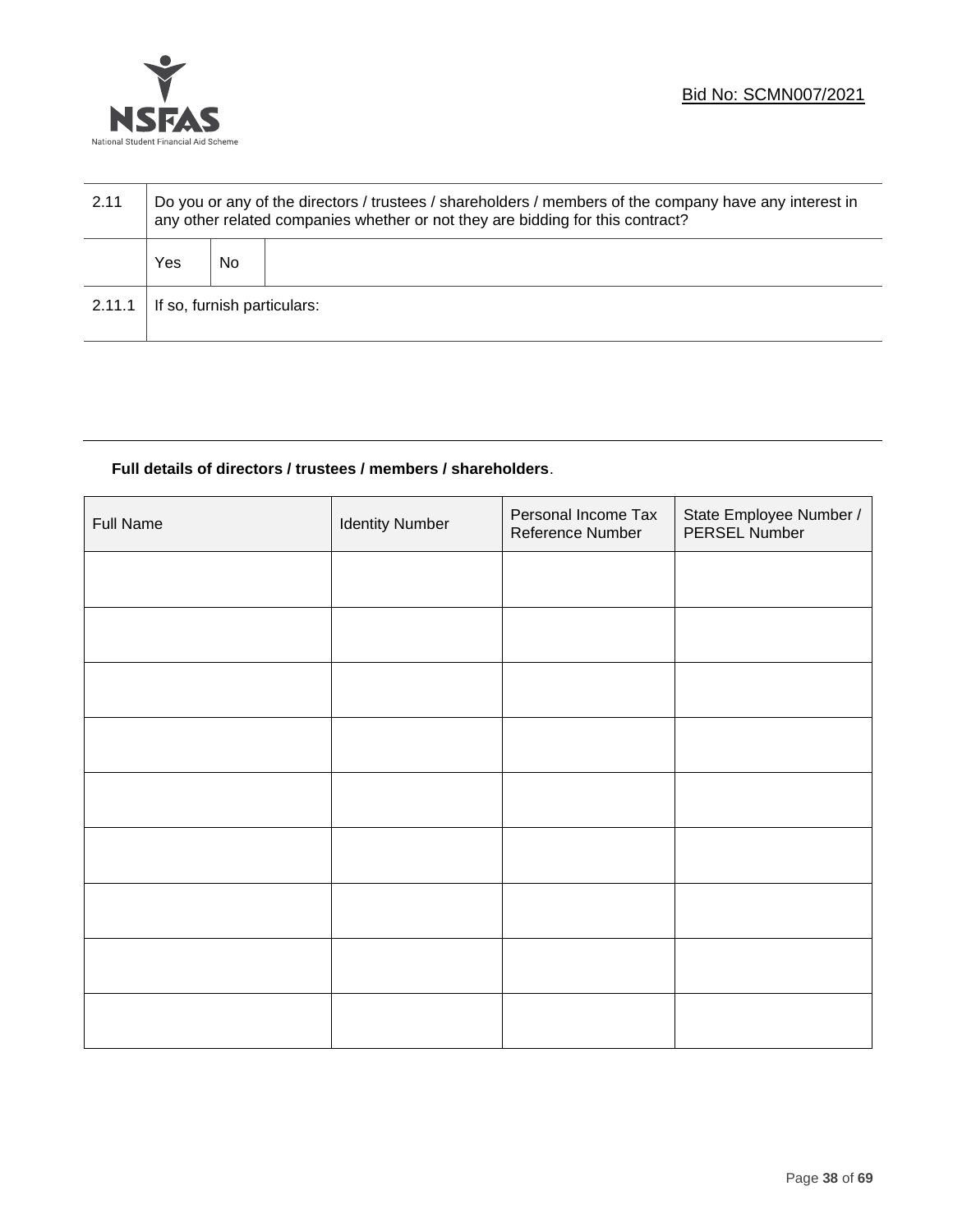

| 2.11   | Do you or any of the directors / trustees / shareholders / members of the company have any interest in<br>any other related companies whether or not they are bidding for this contract? |    |  |  |  |  |
|--------|------------------------------------------------------------------------------------------------------------------------------------------------------------------------------------------|----|--|--|--|--|
|        | Yes                                                                                                                                                                                      | No |  |  |  |  |
| 2.11.1 | If so, furnish particulars:                                                                                                                                                              |    |  |  |  |  |

# **Full details of directors / trustees / members / shareholders**.

| <b>Full Name</b> | <b>Identity Number</b> | Personal Income Tax<br>Reference Number | State Employee Number /<br>PERSEL Number |
|------------------|------------------------|-----------------------------------------|------------------------------------------|
|                  |                        |                                         |                                          |
|                  |                        |                                         |                                          |
|                  |                        |                                         |                                          |
|                  |                        |                                         |                                          |
|                  |                        |                                         |                                          |
|                  |                        |                                         |                                          |
|                  |                        |                                         |                                          |
|                  |                        |                                         |                                          |
|                  |                        |                                         |                                          |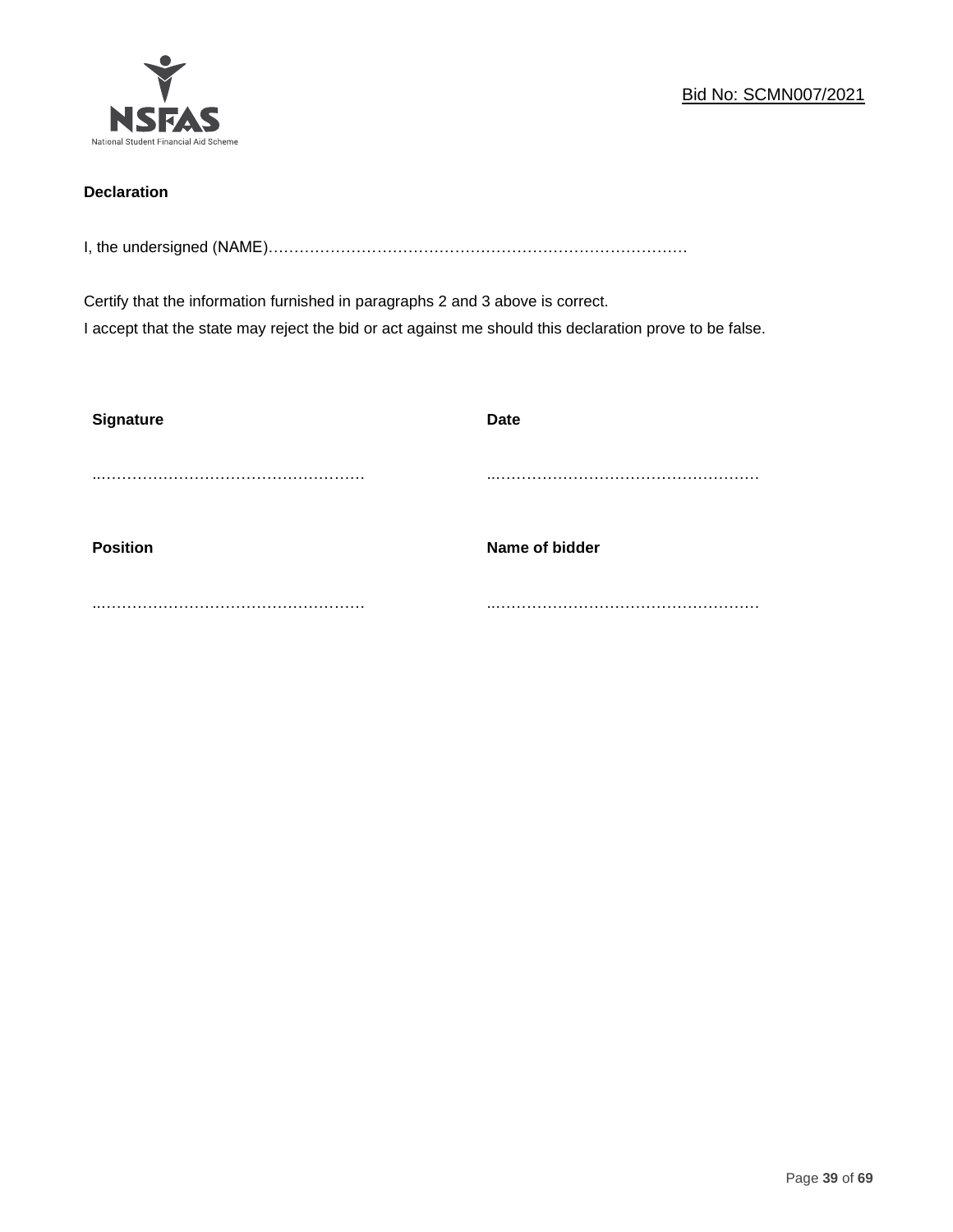

# **Declaration**

I, the undersigned (NAME)………………………………………………………………………

Certify that the information furnished in paragraphs 2 and 3 above is correct. I accept that the state may reject the bid or act against me should this declaration prove to be false.

| <b>Signature</b> | <b>Date</b>    |
|------------------|----------------|
|                  |                |
| <b>Position</b>  | Name of bidder |
|                  |                |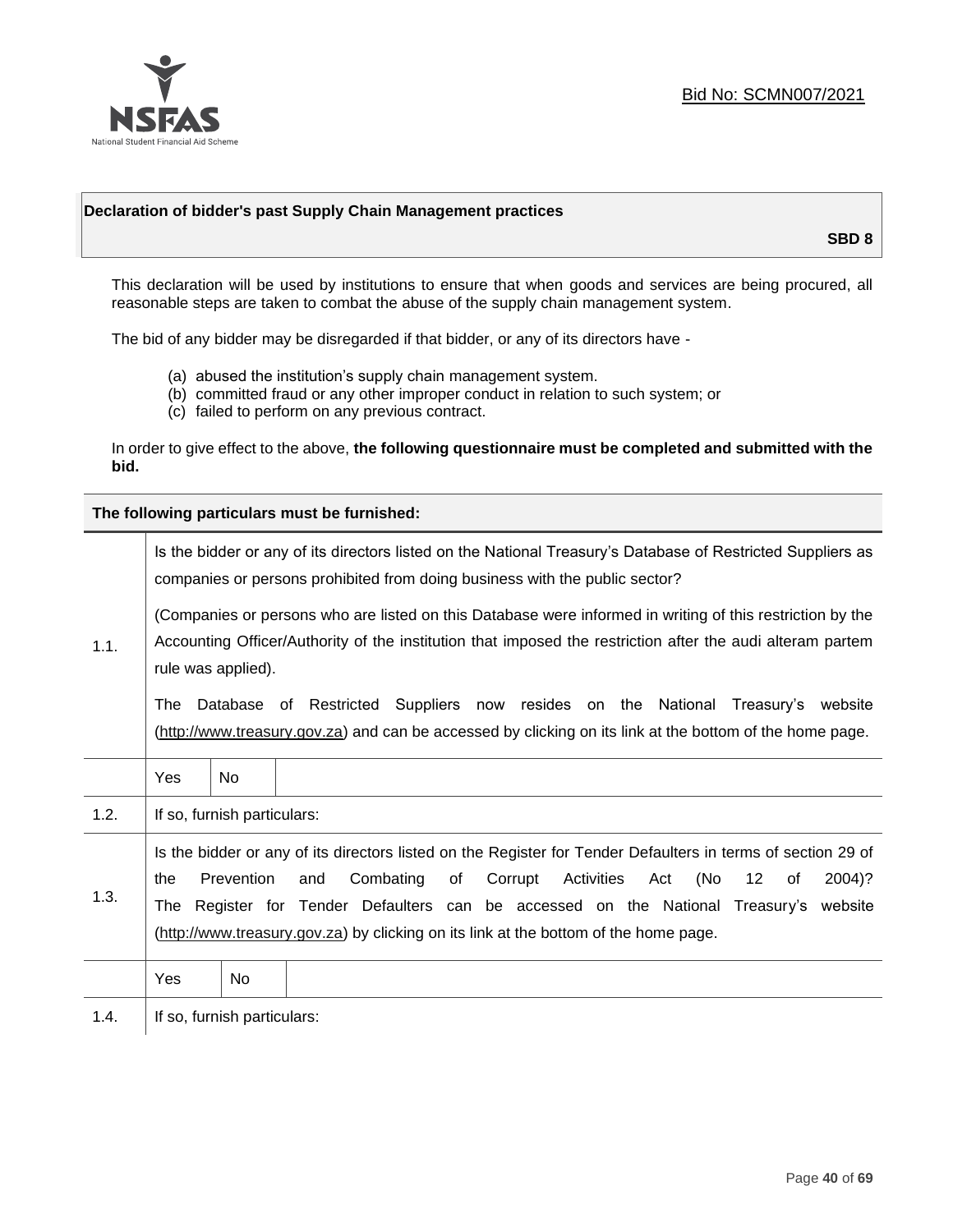

#### **Declaration of bidder's past Supply Chain Management practices**

**SBD 8**

This declaration will be used by institutions to ensure that when goods and services are being procured, all reasonable steps are taken to combat the abuse of the supply chain management system.

The bid of any bidder may be disregarded if that bidder, or any of its directors have -

- (a) abused the institution's supply chain management system.
- (b) committed fraud or any other improper conduct in relation to such system; or
- (c) failed to perform on any previous contract.

In order to give effect to the above, **the following questionnaire must be completed and submitted with the bid.**

**The following particulars must be furnished:**

|      | Is the bidder or any of its directors listed on the National Treasury's Database of Restricted Suppliers as<br>companies or persons prohibited from doing business with the public sector?                                                                                                                                                                                                                |                             |                                                                                                                                                                                                                         |  |
|------|-----------------------------------------------------------------------------------------------------------------------------------------------------------------------------------------------------------------------------------------------------------------------------------------------------------------------------------------------------------------------------------------------------------|-----------------------------|-------------------------------------------------------------------------------------------------------------------------------------------------------------------------------------------------------------------------|--|
| 1.1. |                                                                                                                                                                                                                                                                                                                                                                                                           | rule was applied).          | (Companies or persons who are listed on this Database were informed in writing of this restriction by the<br>Accounting Officer/Authority of the institution that imposed the restriction after the audi alteram partem |  |
|      | Database of Restricted Suppliers now resides on the National<br>Treasury's website<br>The<br>(http://www.treasury.gov.za) and can be accessed by clicking on its link at the bottom of the home page.                                                                                                                                                                                                     |                             |                                                                                                                                                                                                                         |  |
|      | Yes                                                                                                                                                                                                                                                                                                                                                                                                       | <b>No</b>                   |                                                                                                                                                                                                                         |  |
| 1.2. |                                                                                                                                                                                                                                                                                                                                                                                                           | If so, furnish particulars: |                                                                                                                                                                                                                         |  |
| 1.3. | Is the bidder or any of its directors listed on the Register for Tender Defaulters in terms of section 29 of<br>Prevention<br>Activities<br>(No<br>Combating<br>of<br>Corrupt<br>12<br>2004)?<br>the<br>and<br>Act<br>of<br>The Register for Tender Defaulters can be accessed on the National Treasury's website<br>(http://www.treasury.gov.za) by clicking on its link at the bottom of the home page. |                             |                                                                                                                                                                                                                         |  |
|      | Yes                                                                                                                                                                                                                                                                                                                                                                                                       | No.                         |                                                                                                                                                                                                                         |  |
| 1.4. |                                                                                                                                                                                                                                                                                                                                                                                                           | If so, furnish particulars: |                                                                                                                                                                                                                         |  |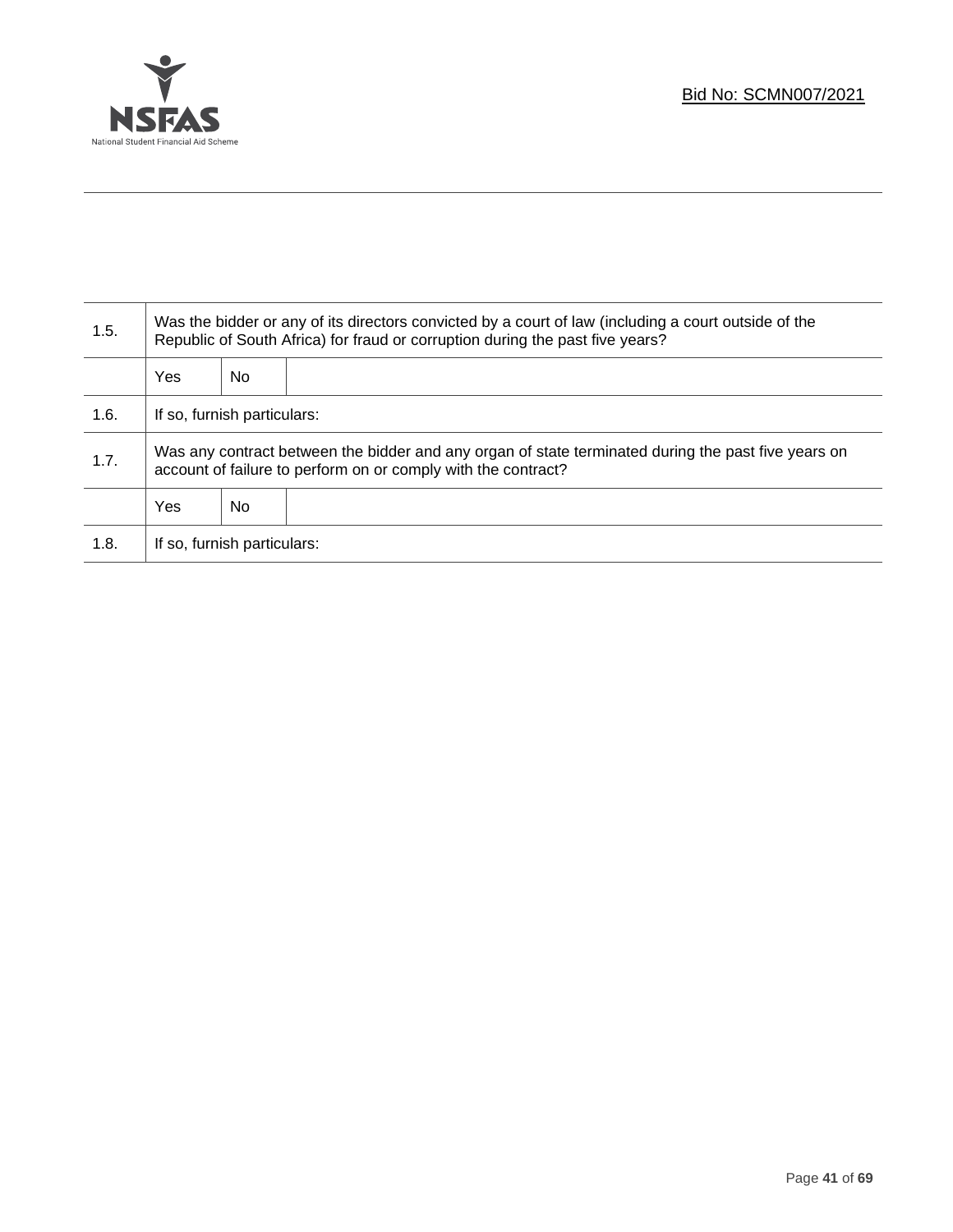

T

| 1.5. | Was the bidder or any of its directors convicted by a court of law (including a court outside of the<br>Republic of South Africa) for fraud or corruption during the past five years? |    |  |
|------|---------------------------------------------------------------------------------------------------------------------------------------------------------------------------------------|----|--|
|      | Yes                                                                                                                                                                                   | No |  |
| 1.6. | If so, furnish particulars:                                                                                                                                                           |    |  |
| 1.7. | Was any contract between the bidder and any organ of state terminated during the past five years on<br>account of failure to perform on or comply with the contract?                  |    |  |
|      | Yes                                                                                                                                                                                   | No |  |
| 1.8. | If so, furnish particulars:                                                                                                                                                           |    |  |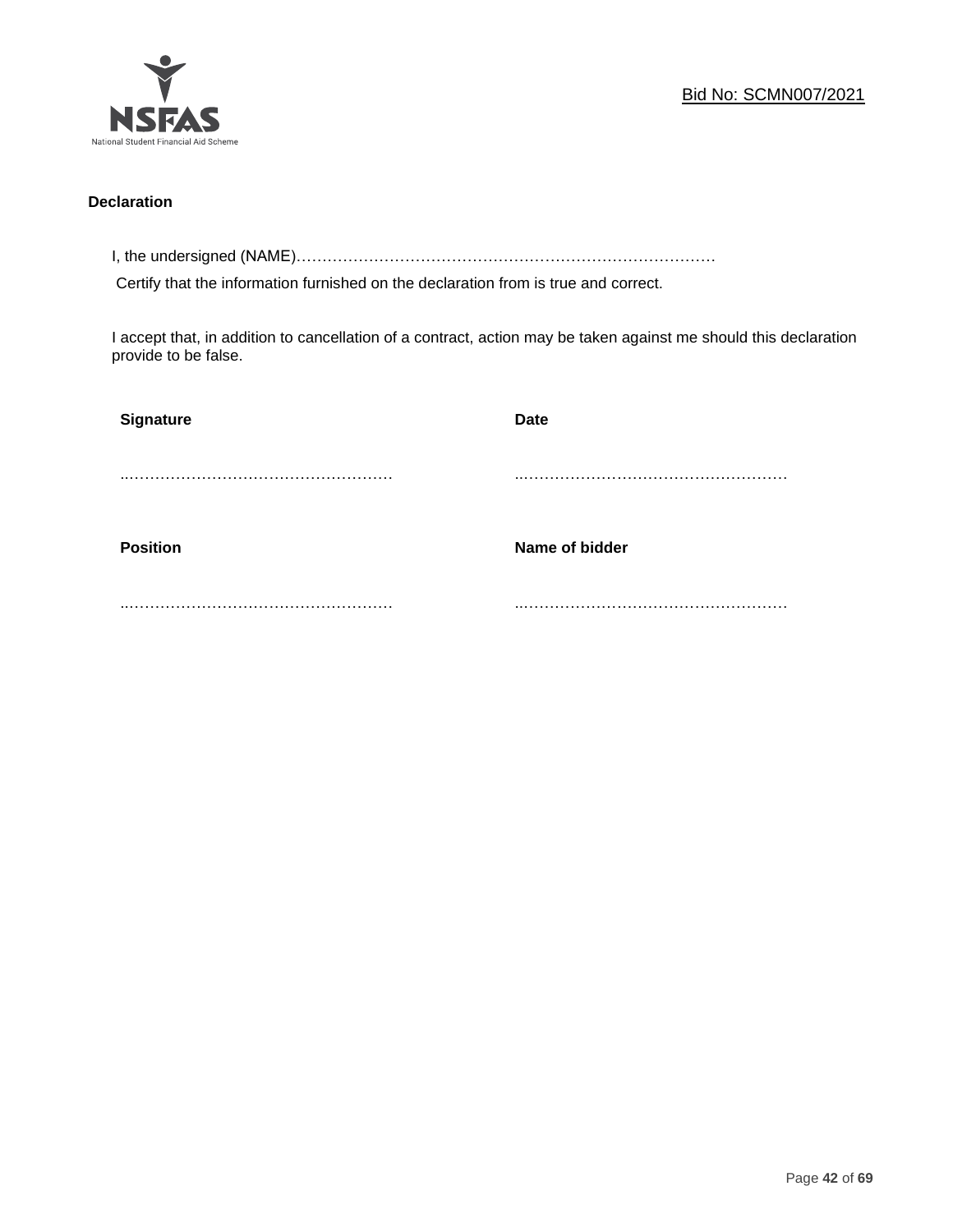

# **Declaration**

I, the undersigned (NAME)………………………………………………………………………

Certify that the information furnished on the declaration from is true and correct.

I accept that, in addition to cancellation of a contract, action may be taken against me should this declaration provide to be false.

| Signature       | <b>Date</b>    |
|-----------------|----------------|
|                 |                |
|                 |                |
| <b>Position</b> | Name of bidder |
|                 |                |
|                 |                |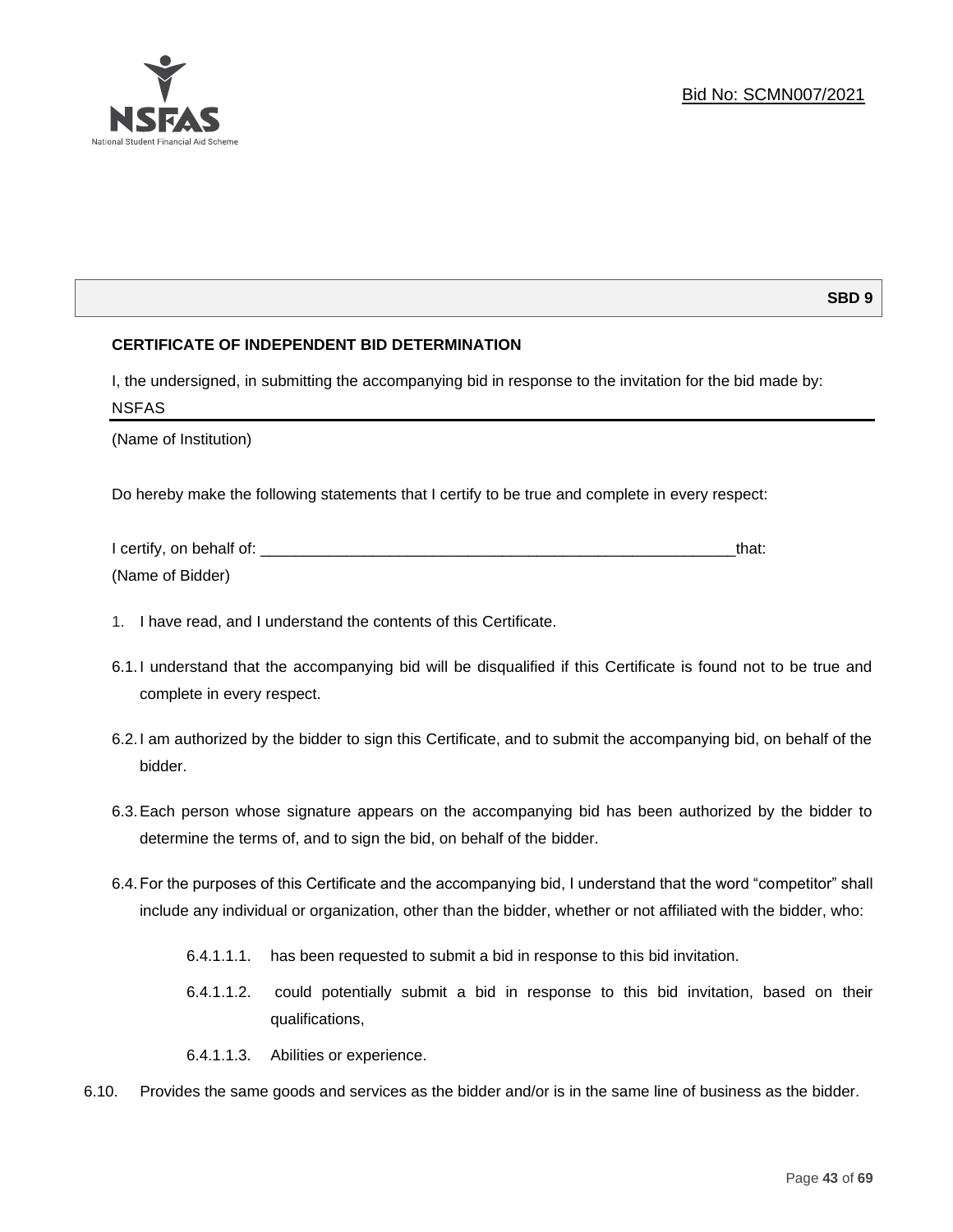

# **SBD 9**

# **CERTIFICATE OF INDEPENDENT BID DETERMINATION**

I, the undersigned, in submitting the accompanying bid in response to the invitation for the bid made by: NSFAS

(Name of Institution)

Do hereby make the following statements that I certify to be true and complete in every respect:

| I certify, on behalf of: |  |
|--------------------------|--|
| (Name of Bidder)         |  |

- 1. I have read, and I understand the contents of this Certificate.
- 6.1.I understand that the accompanying bid will be disqualified if this Certificate is found not to be true and complete in every respect.
- 6.2.I am authorized by the bidder to sign this Certificate, and to submit the accompanying bid, on behalf of the bidder.
- 6.3.Each person whose signature appears on the accompanying bid has been authorized by the bidder to determine the terms of, and to sign the bid, on behalf of the bidder.
- 6.4.For the purposes of this Certificate and the accompanying bid, I understand that the word "competitor" shall include any individual or organization, other than the bidder, whether or not affiliated with the bidder, who:
	- 6.4.1.1.1. has been requested to submit a bid in response to this bid invitation.
	- 6.4.1.1.2. could potentially submit a bid in response to this bid invitation, based on their qualifications,
	- 6.4.1.1.3. Abilities or experience.
- 6.10. Provides the same goods and services as the bidder and/or is in the same line of business as the bidder.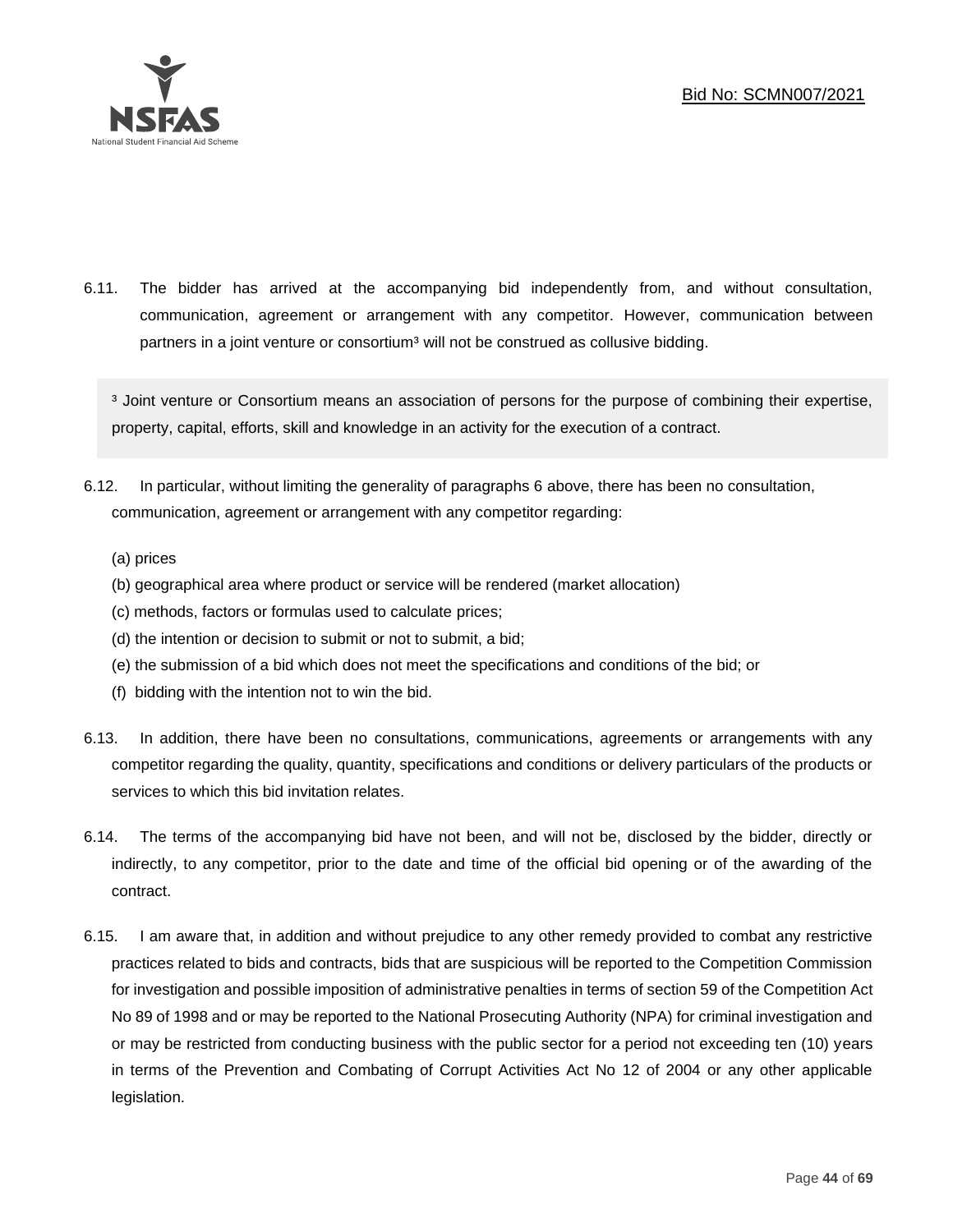

6.11. The bidder has arrived at the accompanying bid independently from, and without consultation, communication, agreement or arrangement with any competitor. However, communication between partners in a joint venture or consortium<sup>3</sup> will not be construed as collusive bidding.

<sup>3</sup> Joint venture or Consortium means an association of persons for the purpose of combining their expertise, property, capital, efforts, skill and knowledge in an activity for the execution of a contract.

- 6.12. In particular, without limiting the generality of paragraphs 6 above, there has been no consultation, communication, agreement or arrangement with any competitor regarding:
	- (a) prices
	- (b) geographical area where product or service will be rendered (market allocation)
	- (c) methods, factors or formulas used to calculate prices;
	- (d) the intention or decision to submit or not to submit, a bid;
	- (e) the submission of a bid which does not meet the specifications and conditions of the bid; or
	- (f) bidding with the intention not to win the bid.
- 6.13. In addition, there have been no consultations, communications, agreements or arrangements with any competitor regarding the quality, quantity, specifications and conditions or delivery particulars of the products or services to which this bid invitation relates.
- 6.14. The terms of the accompanying bid have not been, and will not be, disclosed by the bidder, directly or indirectly, to any competitor, prior to the date and time of the official bid opening or of the awarding of the contract.
- 6.15. I am aware that, in addition and without prejudice to any other remedy provided to combat any restrictive practices related to bids and contracts, bids that are suspicious will be reported to the Competition Commission for investigation and possible imposition of administrative penalties in terms of section 59 of the Competition Act No 89 of 1998 and or may be reported to the National Prosecuting Authority (NPA) for criminal investigation and or may be restricted from conducting business with the public sector for a period not exceeding ten (10) years in terms of the Prevention and Combating of Corrupt Activities Act No 12 of 2004 or any other applicable legislation.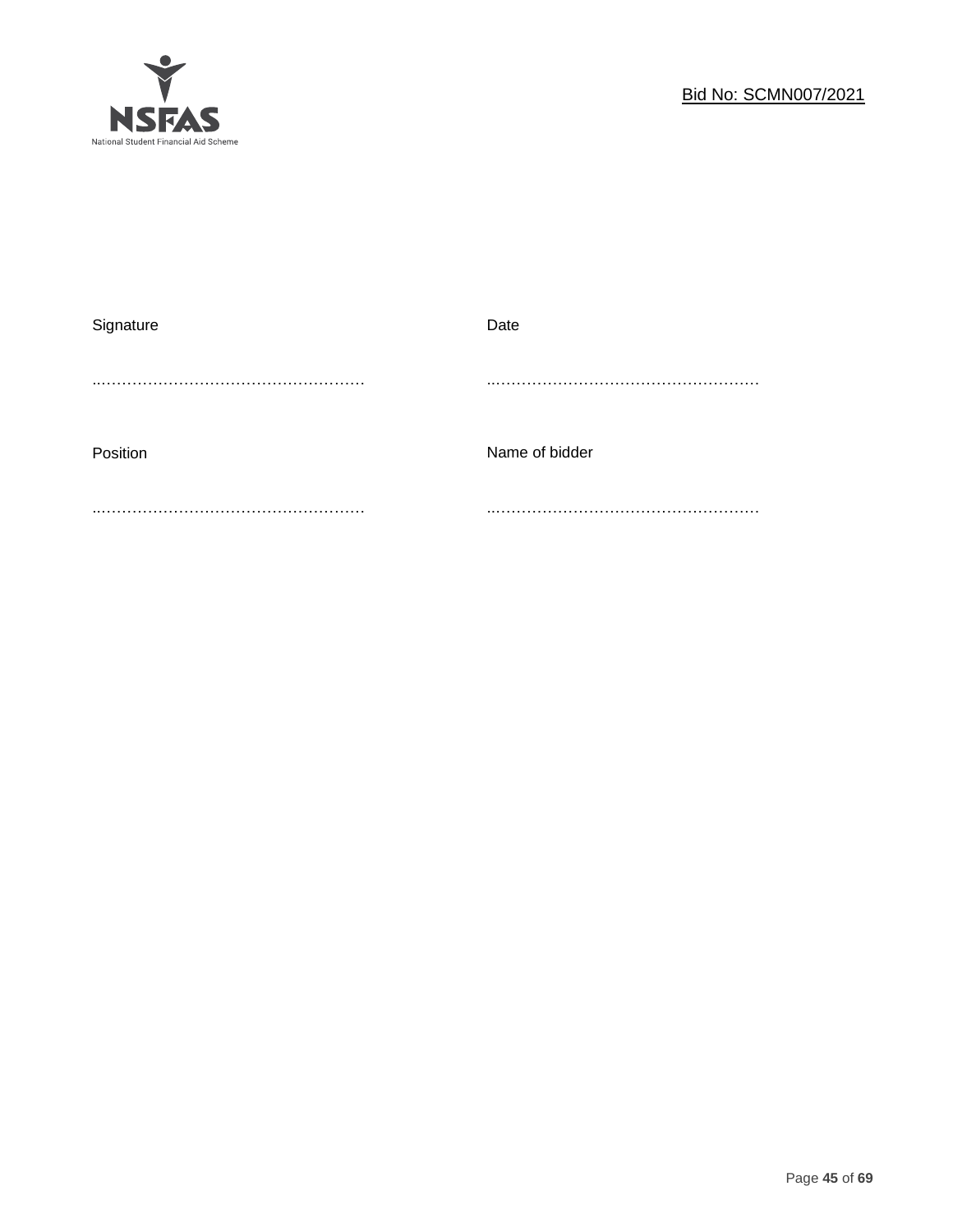

| Signature | Date           |
|-----------|----------------|
|           |                |
|           |                |
|           |                |
| Position  | Name of bidder |
|           |                |
|           |                |
|           |                |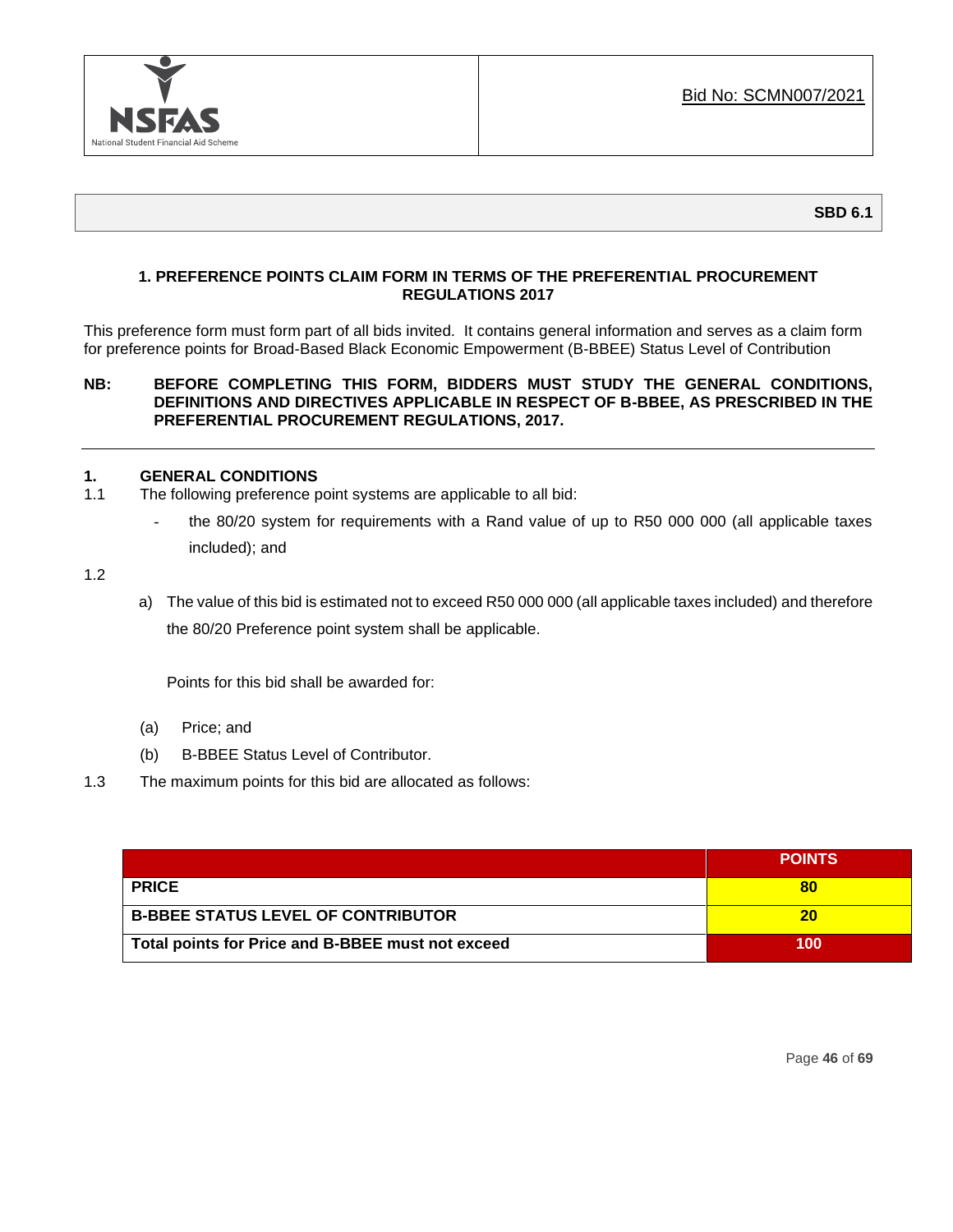

# **1. PREFERENCE POINTS CLAIM FORM IN TERMS OF THE PREFERENTIAL PROCUREMENT REGULATIONS 2017**

This preference form must form part of all bids invited. It contains general information and serves as a claim form for preference points for Broad-Based Black Economic Empowerment (B-BBEE) Status Level of Contribution

#### **NB: BEFORE COMPLETING THIS FORM, BIDDERS MUST STUDY THE GENERAL CONDITIONS, DEFINITIONS AND DIRECTIVES APPLICABLE IN RESPECT OF B-BBEE, AS PRESCRIBED IN THE PREFERENTIAL PROCUREMENT REGULATIONS, 2017.**

#### **1. GENERAL CONDITIONS**

- 1.1 The following preference point systems are applicable to all bid:
	- the 80/20 system for requirements with a Rand value of up to R50 000 000 (all applicable taxes included); and

1.2

a) The value of this bid is estimated not to exceed R50 000 000 (all applicable taxes included) and therefore the 80/20 Preference point system shall be applicable.

Points for this bid shall be awarded for:

- (a) Price; and
- (b) B-BBEE Status Level of Contributor.
- 1.3 The maximum points for this bid are allocated as follows:

|                                                   | <b>POINTS</b> |
|---------------------------------------------------|---------------|
| <b>PRICE</b>                                      | 80            |
| <b>B-BBEE STATUS LEVEL OF CONTRIBUTOR</b>         | 20            |
| Total points for Price and B-BBEE must not exceed | 100           |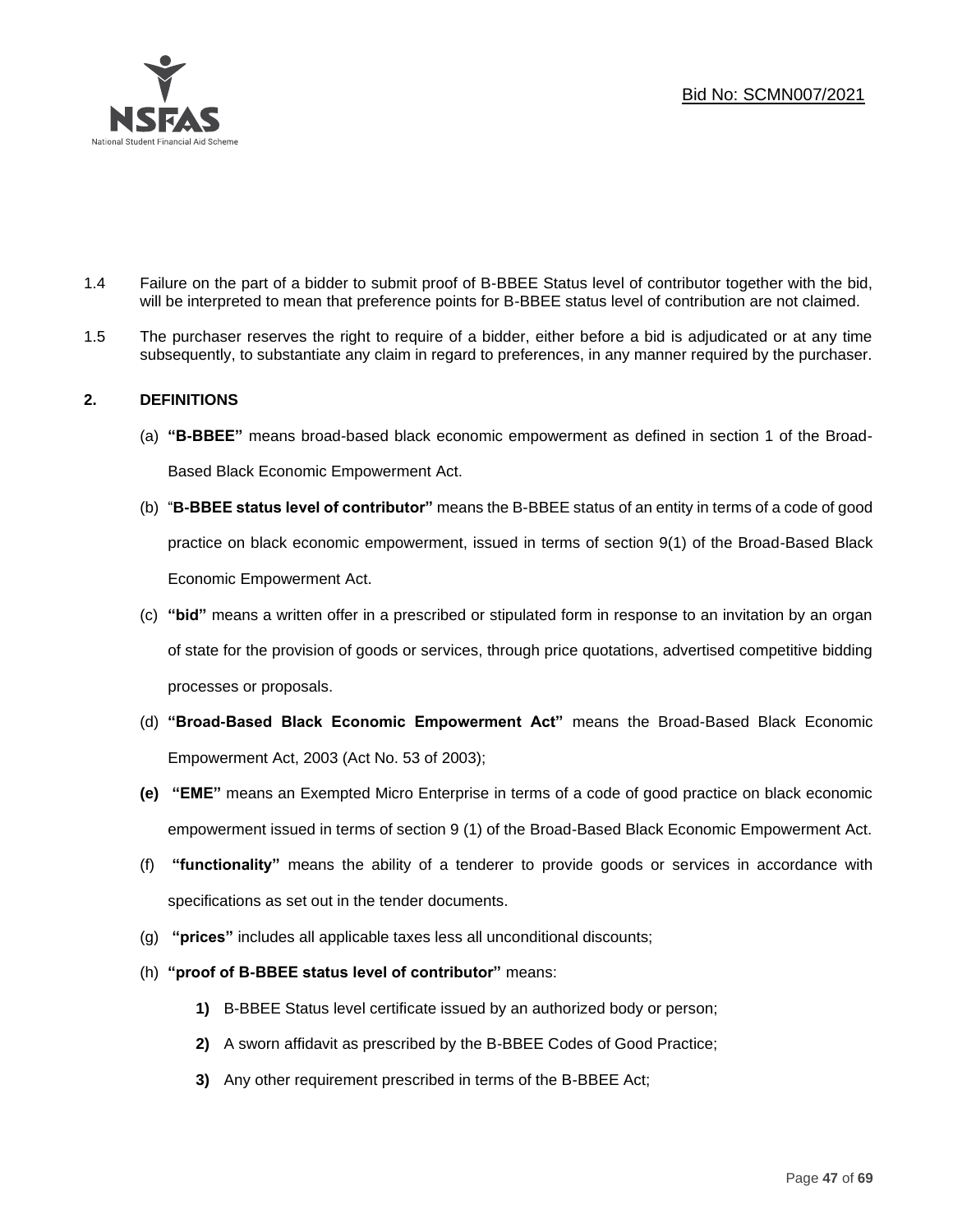

- 1.4 Failure on the part of a bidder to submit proof of B-BBEE Status level of contributor together with the bid, will be interpreted to mean that preference points for B-BBEE status level of contribution are not claimed.
- 1.5 The purchaser reserves the right to require of a bidder, either before a bid is adjudicated or at any time subsequently, to substantiate any claim in regard to preferences, in any manner required by the purchaser.

# **2. DEFINITIONS**

- (a) **"B-BBEE"** means broad-based black economic empowerment as defined in section 1 of the Broad-Based Black Economic Empowerment Act.
- (b) "**B-BBEE status level of contributor"** means the B-BBEE status of an entity in terms of a code of good practice on black economic empowerment, issued in terms of section 9(1) of the Broad-Based Black Economic Empowerment Act.
- (c) **"bid"** means a written offer in a prescribed or stipulated form in response to an invitation by an organ of state for the provision of goods or services, through price quotations, advertised competitive bidding processes or proposals.
- (d) **"Broad-Based Black Economic Empowerment Act"** means the Broad-Based Black Economic Empowerment Act, 2003 (Act No. 53 of 2003);
- **(e) "EME"** means an Exempted Micro Enterprise in terms of a code of good practice on black economic empowerment issued in terms of section 9 (1) of the Broad-Based Black Economic Empowerment Act.
- (f) **"functionality"** means the ability of a tenderer to provide goods or services in accordance with specifications as set out in the tender documents.
- (g) **"prices"** includes all applicable taxes less all unconditional discounts;
- (h) **"proof of B-BBEE status level of contributor"** means:
	- **1)** B-BBEE Status level certificate issued by an authorized body or person;
	- **2)** A sworn affidavit as prescribed by the B-BBEE Codes of Good Practice;
	- **3)** Any other requirement prescribed in terms of the B-BBEE Act;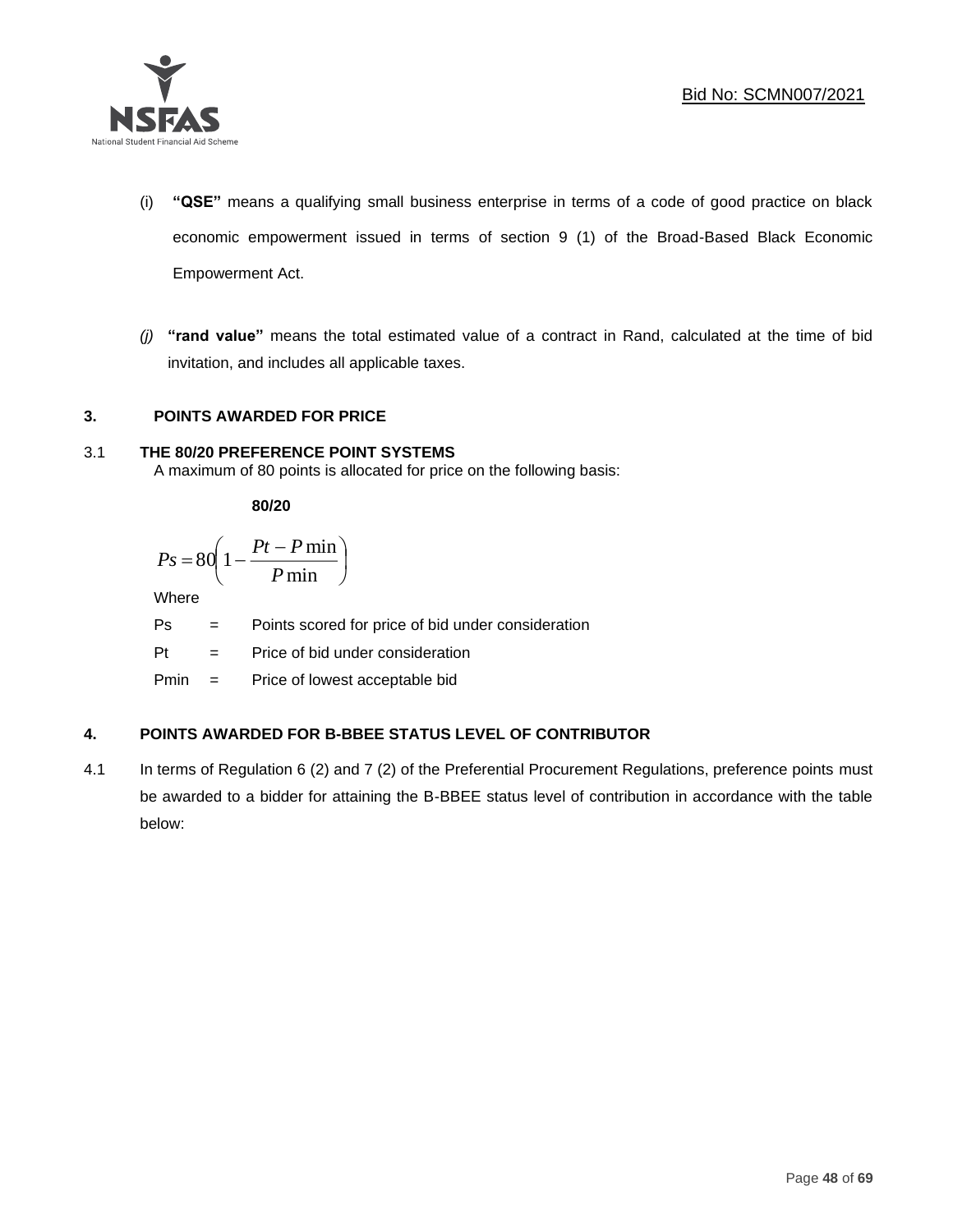

- (i) **"QSE"** means a qualifying small business enterprise in terms of a code of good practice on black economic empowerment issued in terms of section 9 (1) of the Broad-Based Black Economic Empowerment Act.
- *(j)* **"rand value"** means the total estimated value of a contract in Rand, calculated at the time of bid invitation, and includes all applicable taxes.

# **3. POINTS AWARDED FOR PRICE**

# 3.1 **THE 80/20 PREFERENCE POINT SYSTEMS**

A maximum of 80 points is allocated for price on the following basis:

**80/20**

$$
Ps = 80 \left( 1 - \frac{Pt - P \min}{P \min} \right)
$$

Where

Ps = Points scored for price of bid under consideration

l

Pt = Price of bid under consideration

Pmin = Price of lowest acceptable bid

# **4. POINTS AWARDED FOR B-BBEE STATUS LEVEL OF CONTRIBUTOR**

4.1 In terms of Regulation 6 (2) and 7 (2) of the Preferential Procurement Regulations, preference points must be awarded to a bidder for attaining the B-BBEE status level of contribution in accordance with the table below: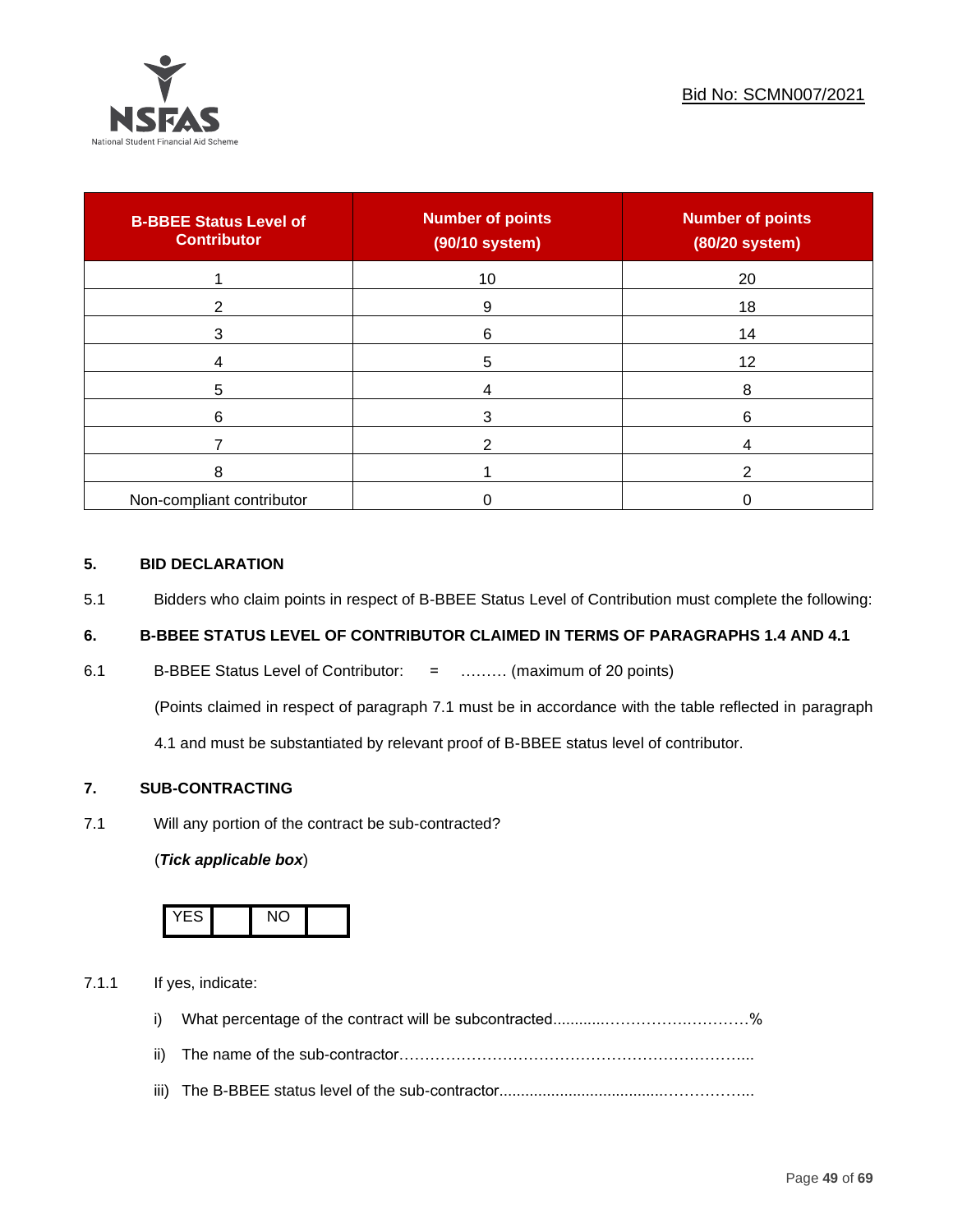

| <b>B-BBEE Status Level of</b><br><b>Contributor</b> | <b>Number of points</b><br>(90/10 system) | <b>Number of points</b><br>(80/20 system) |
|-----------------------------------------------------|-------------------------------------------|-------------------------------------------|
|                                                     | 10                                        | 20                                        |
| 2                                                   | 9                                         | 18                                        |
| 3                                                   | 6                                         | 14                                        |
|                                                     | 5                                         | 12                                        |
| 5                                                   |                                           | 8                                         |
| 6                                                   |                                           | 6                                         |
|                                                     |                                           |                                           |
| 8                                                   |                                           |                                           |
| Non-compliant contributor                           |                                           |                                           |

# **5. BID DECLARATION**

5.1 Bidders who claim points in respect of B-BBEE Status Level of Contribution must complete the following:

# **6. B-BBEE STATUS LEVEL OF CONTRIBUTOR CLAIMED IN TERMS OF PARAGRAPHS 1.4 AND 4.1**

6.1 B-BBEE Status Level of Contributor: = ……… (maximum of 20 points)

(Points claimed in respect of paragraph 7.1 must be in accordance with the table reflected in paragraph

4.1 and must be substantiated by relevant proof of B-BBEE status level of contributor.

# **7. SUB-CONTRACTING**

7.1 Will any portion of the contract be sub-contracted?

# (*Tick applicable box*)



7.1.1 If yes, indicate:

- i) What percentage of the contract will be subcontracted............…………….…………%
- ii) The name of the sub-contractor…………………………………………………………...
- iii) The B-BBEE status level of the sub-contractor......................................……………...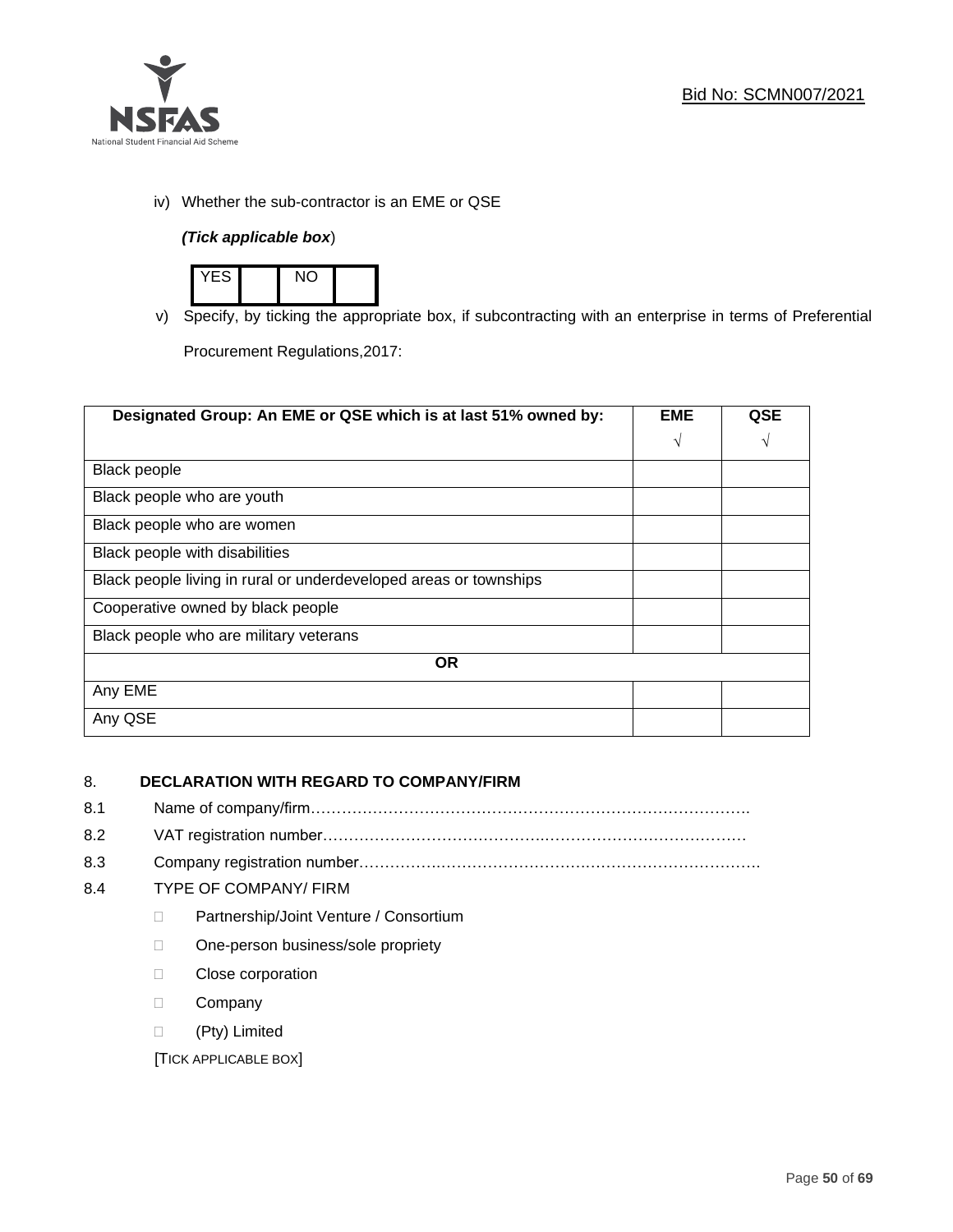

iv) Whether the sub-contractor is an EME or QSE

# *(Tick applicable box*)



v) Specify, by ticking the appropriate box, if subcontracting with an enterprise in terms of Preferential

Procurement Regulations,2017:

| Designated Group: An EME or QSE which is at last 51% owned by:    | <b>EME</b> | <b>QSE</b> |
|-------------------------------------------------------------------|------------|------------|
|                                                                   | $\sqrt{ }$ | V          |
| <b>Black people</b>                                               |            |            |
| Black people who are youth                                        |            |            |
| Black people who are women                                        |            |            |
| Black people with disabilities                                    |            |            |
| Black people living in rural or underdeveloped areas or townships |            |            |
| Cooperative owned by black people                                 |            |            |
| Black people who are military veterans                            |            |            |
| <b>OR</b>                                                         |            |            |
| Any EME                                                           |            |            |
| Any QSE                                                           |            |            |

# 8. **DECLARATION WITH REGARD TO COMPANY/FIRM**

- 8.1 Name of company/firm………………………………………………………………………….
- 8.2 VAT registration number…………………………………….…………………………………
- 8.3 Company registration number…………….……………………….…………………………….

# 8.4 TYPE OF COMPANY/ FIRM

- D Partnership/Joint Venture / Consortium
- □ One-person business/sole propriety
- D Close corporation
- D Company
- (Pty) Limited

[TICK APPLICABLE BOX]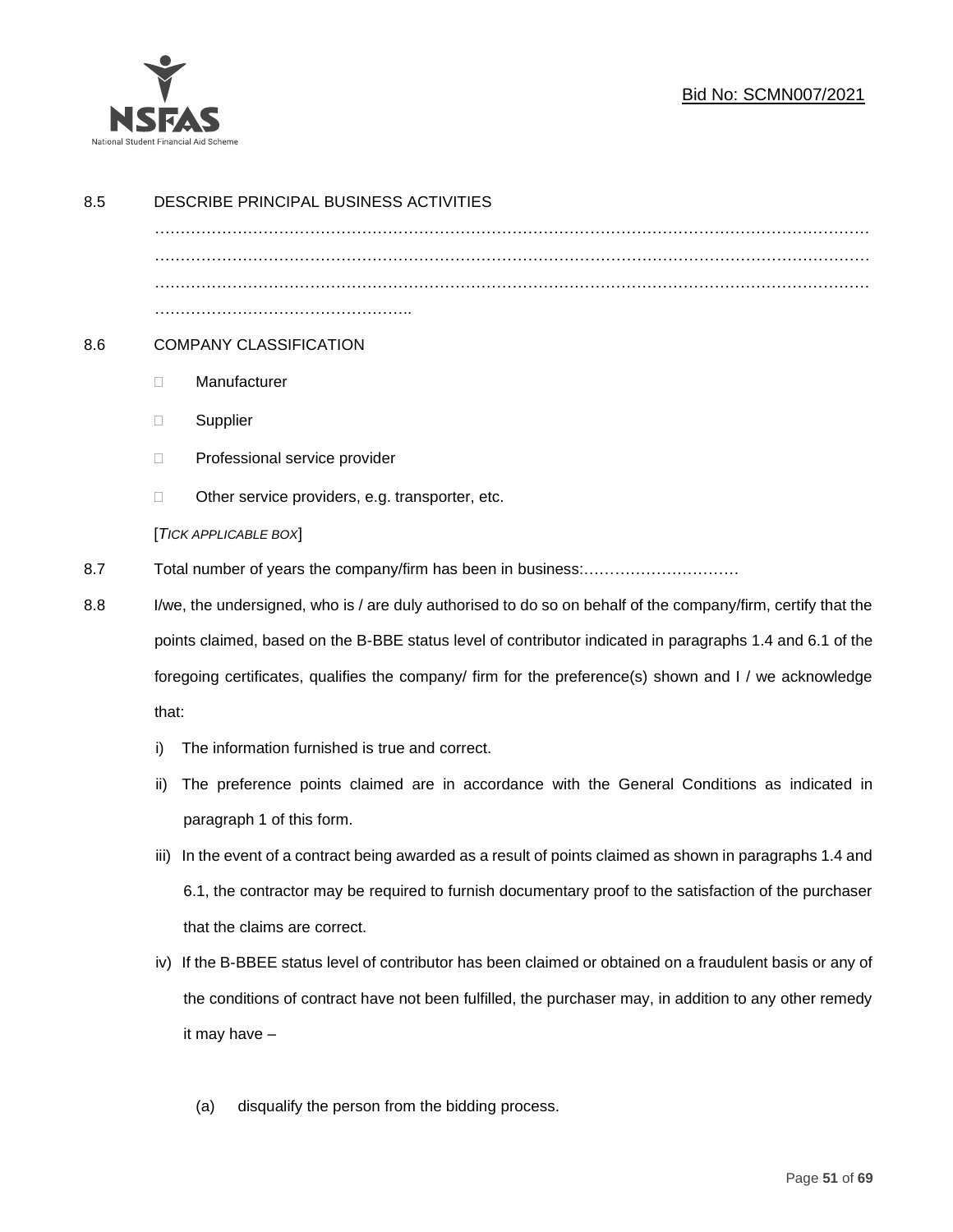

| 8.5 | DESCRIBE PRINCIPAL BUSINESS ACTIVITIES                                                                    |                                                                                                              |  |  |
|-----|-----------------------------------------------------------------------------------------------------------|--------------------------------------------------------------------------------------------------------------|--|--|
|     |                                                                                                           |                                                                                                              |  |  |
|     |                                                                                                           |                                                                                                              |  |  |
|     |                                                                                                           |                                                                                                              |  |  |
| 8.6 | <b>COMPANY CLASSIFICATION</b>                                                                             |                                                                                                              |  |  |
|     | $\Box$                                                                                                    | Manufacturer                                                                                                 |  |  |
|     | $\Box$                                                                                                    | Supplier                                                                                                     |  |  |
|     | $\Box$                                                                                                    | Professional service provider                                                                                |  |  |
|     | □                                                                                                         | Other service providers, e.g. transporter, etc.                                                              |  |  |
|     |                                                                                                           | [TICK APPLICABLE BOX]                                                                                        |  |  |
| 8.7 |                                                                                                           |                                                                                                              |  |  |
| 8.8 |                                                                                                           | I/we, the undersigned, who is / are duly authorised to do so on behalf of the company/firm, certify that the |  |  |
|     | points claimed, based on the B-BBE status level of contributor indicated in paragraphs 1.4 and 6.1 of the |                                                                                                              |  |  |
|     | foregoing certificates, qualifies the company/ firm for the preference(s) shown and I / we acknowledge    |                                                                                                              |  |  |
|     | that:                                                                                                     |                                                                                                              |  |  |
|     | i)                                                                                                        | The information furnished is true and correct.                                                               |  |  |
|     | ii)                                                                                                       | The preference points claimed are in accordance with the General Conditions as indicated in                  |  |  |
|     |                                                                                                           | paragraph 1 of this form.                                                                                    |  |  |
|     | iii)                                                                                                      | In the event of a contract being awarded as a result of points claimed as shown in paragraphs 1.4 and        |  |  |
|     |                                                                                                           | 6.1, the contractor may be required to furnish documentary proof to the satisfaction of the purchaser        |  |  |
|     |                                                                                                           | that the claims are correct.                                                                                 |  |  |
|     | iv)                                                                                                       | If the B-BBEE status level of contributor has been claimed or obtained on a fraudulent basis or any of       |  |  |
|     |                                                                                                           | the conditions of contract have not been fulfilled, the purchaser may, in addition to any other remedy       |  |  |
|     |                                                                                                           | it may have -                                                                                                |  |  |
|     |                                                                                                           |                                                                                                              |  |  |
|     |                                                                                                           | disqualify the person from the bidding process.<br>(a)                                                       |  |  |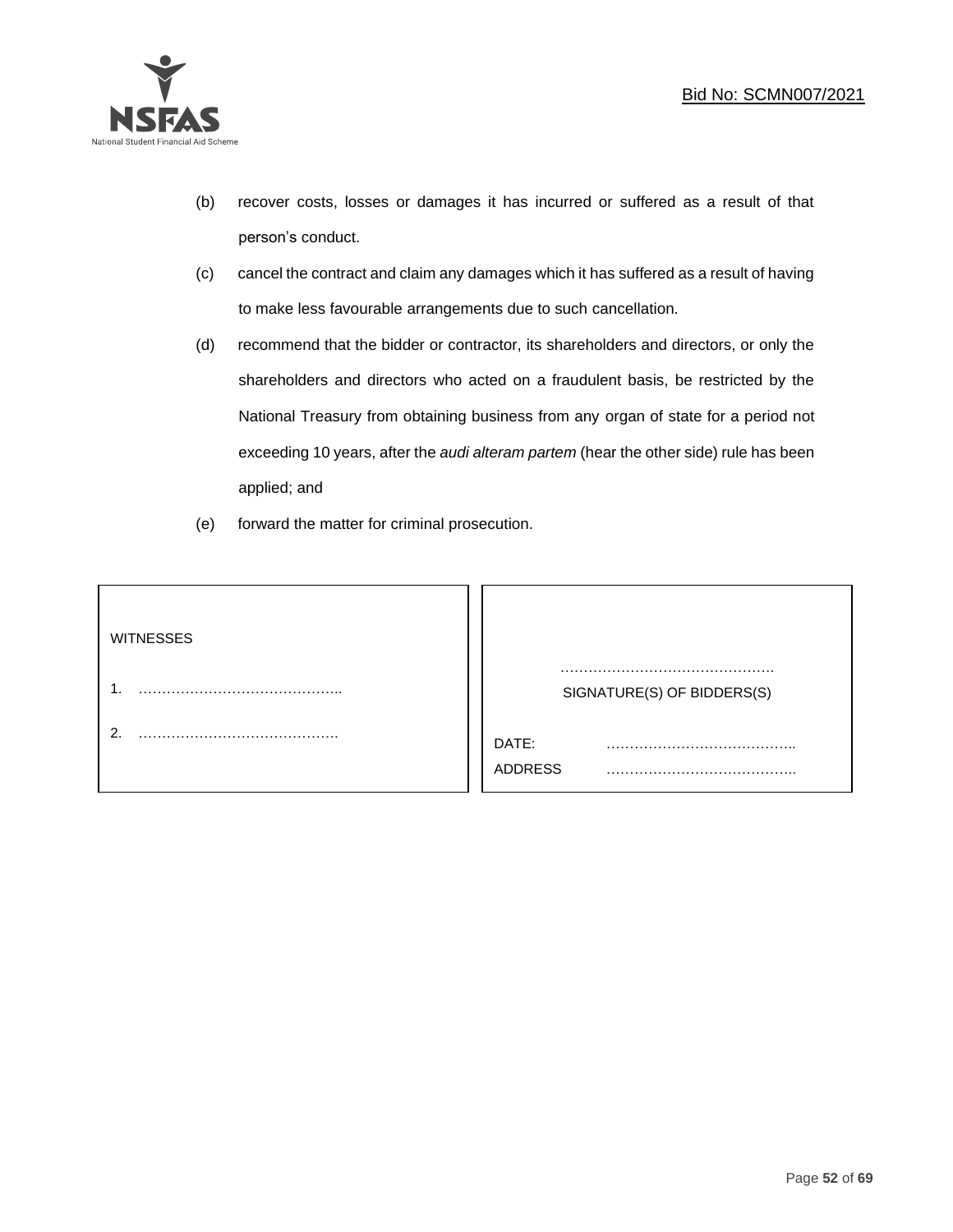

- (b) recover costs, losses or damages it has incurred or suffered as a result of that person's conduct.
- (c) cancel the contract and claim any damages which it has suffered as a result of having to make less favourable arrangements due to such cancellation.
- (d) recommend that the bidder or contractor, its shareholders and directors, or only the shareholders and directors who acted on a fraudulent basis, be restricted by the National Treasury from obtaining business from any organ of state for a period not exceeding 10 years, after the *audi alteram partem* (hear the other side) rule has been applied; and
- (e) forward the matter for criminal prosecution.

| <b>WITNESSES</b> |                            |
|------------------|----------------------------|
|                  | SIGNATURE(S) OF BIDDERS(S) |
|                  | DATE:<br>.<br>ADDRESS      |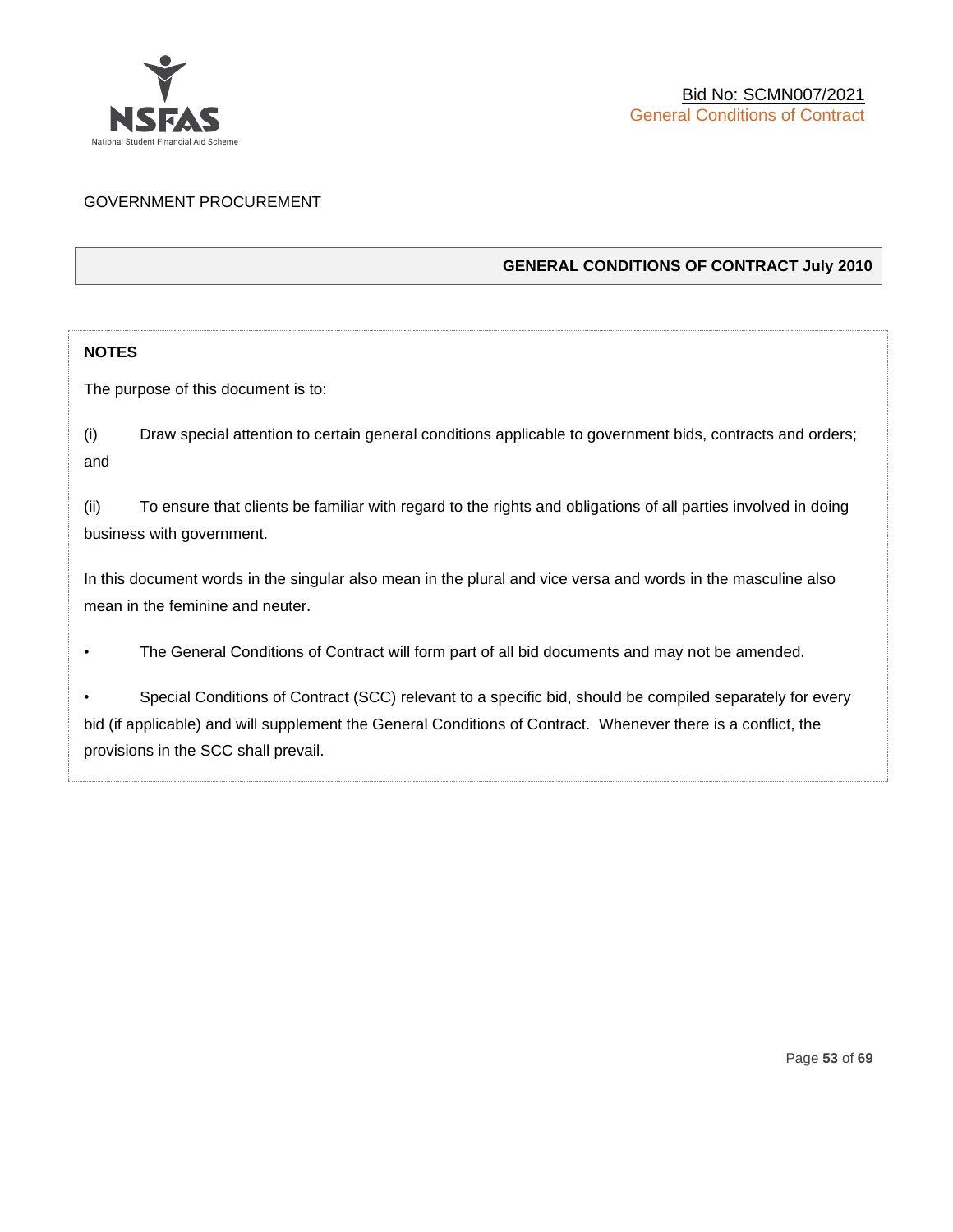

# GOVERNMENT PROCUREMENT

# **GENERAL CONDITIONS OF CONTRACT July 2010**

# **NOTES**

The purpose of this document is to:

(i) Draw special attention to certain general conditions applicable to government bids, contracts and orders; and

(ii) To ensure that clients be familiar with regard to the rights and obligations of all parties involved in doing business with government.

In this document words in the singular also mean in the plural and vice versa and words in the masculine also mean in the feminine and neuter.

• The General Conditions of Contract will form part of all bid documents and may not be amended.

Special Conditions of Contract (SCC) relevant to a specific bid, should be compiled separately for every bid (if applicable) and will supplement the General Conditions of Contract. Whenever there is a conflict, the provisions in the SCC shall prevail.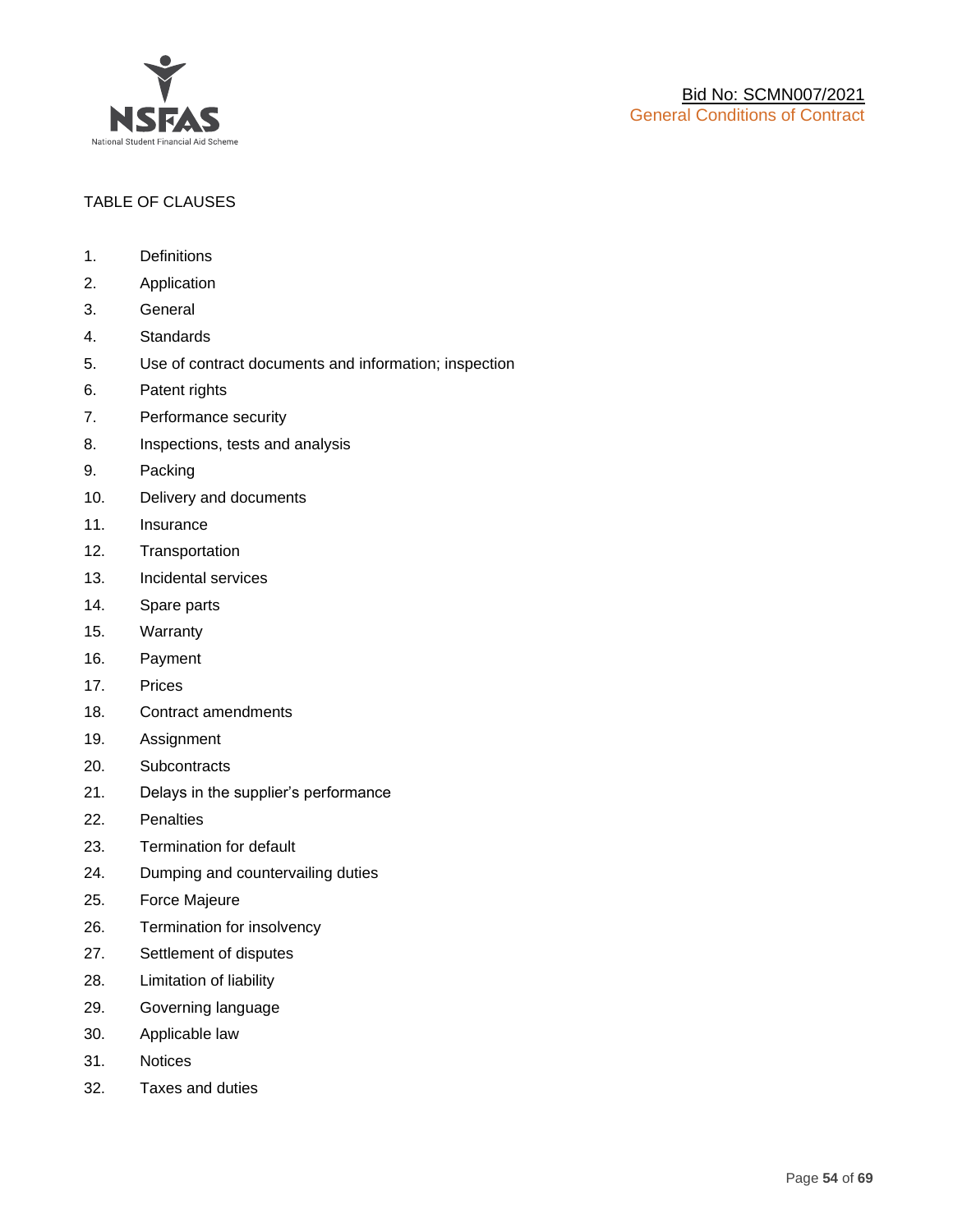

# TABLE OF CLAUSES

- 1. Definitions
- 2. Application
- 3. General
- 4. Standards
- 5. Use of contract documents and information; inspection
- 6. Patent rights
- 7. Performance security
- 8. Inspections, tests and analysis
- 9. Packing
- 10. Delivery and documents
- 11. Insurance
- 12. Transportation
- 13. Incidental services
- 14. Spare parts
- 15. Warranty
- 16. Payment
- 17. Prices
- 18. Contract amendments
- 19. Assignment
- 20. Subcontracts
- 21. Delays in the supplier's performance
- 22. Penalties
- 23. Termination for default
- 24. Dumping and countervailing duties
- 25. Force Majeure
- 26. Termination for insolvency
- 27. Settlement of disputes
- 28. Limitation of liability
- 29. Governing language
- 30. Applicable law
- 31. Notices
- 32. Taxes and duties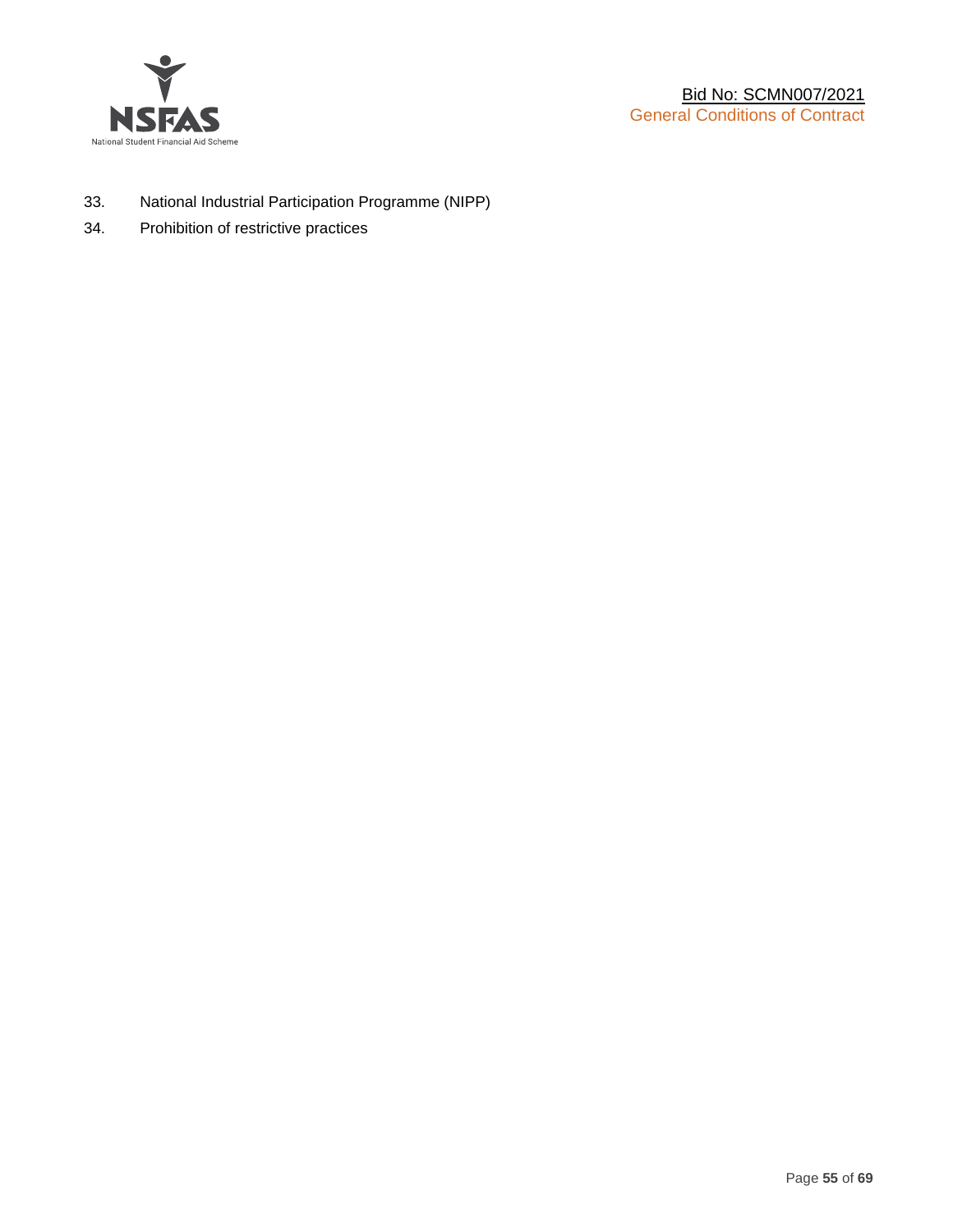

- 33. National Industrial Participation Programme (NIPP)
- 34. Prohibition of restrictive practices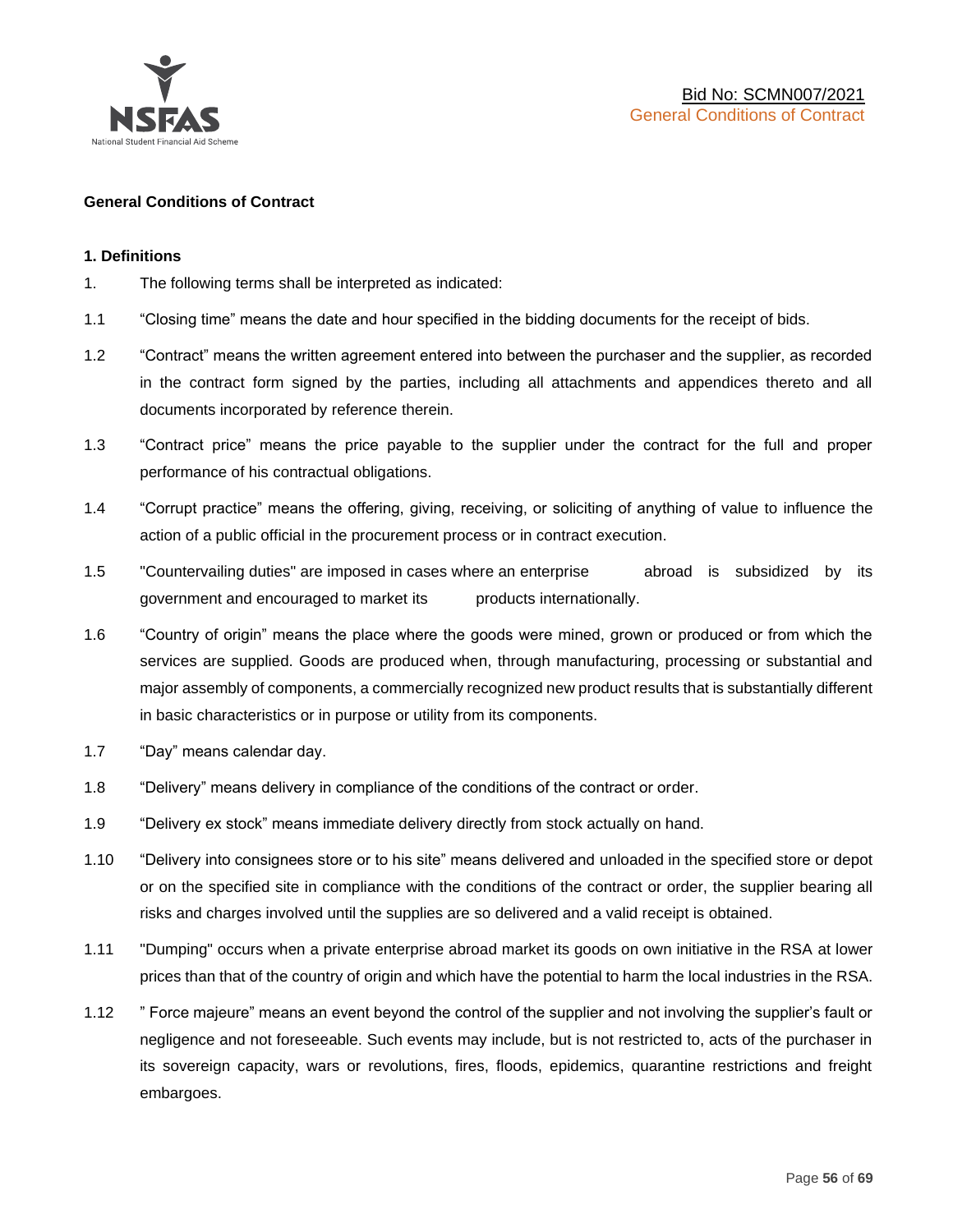

#### **General Conditions of Contract**

#### **1. Definitions**

- 1. The following terms shall be interpreted as indicated:
- 1.1 "Closing time" means the date and hour specified in the bidding documents for the receipt of bids.
- 1.2 "Contract" means the written agreement entered into between the purchaser and the supplier, as recorded in the contract form signed by the parties, including all attachments and appendices thereto and all documents incorporated by reference therein.
- 1.3 "Contract price" means the price payable to the supplier under the contract for the full and proper performance of his contractual obligations.
- 1.4 "Corrupt practice" means the offering, giving, receiving, or soliciting of anything of value to influence the action of a public official in the procurement process or in contract execution.
- 1.5 "Countervailing duties" are imposed in cases where an enterprise abroad is subsidized by its government and encouraged to market its products internationally.
- 1.6 "Country of origin" means the place where the goods were mined, grown or produced or from which the services are supplied. Goods are produced when, through manufacturing, processing or substantial and major assembly of components, a commercially recognized new product results that is substantially different in basic characteristics or in purpose or utility from its components.
- 1.7 "Day" means calendar day.
- 1.8 "Delivery" means delivery in compliance of the conditions of the contract or order.
- 1.9 "Delivery ex stock" means immediate delivery directly from stock actually on hand.
- 1.10 "Delivery into consignees store or to his site" means delivered and unloaded in the specified store or depot or on the specified site in compliance with the conditions of the contract or order, the supplier bearing all risks and charges involved until the supplies are so delivered and a valid receipt is obtained.
- 1.11 "Dumping" occurs when a private enterprise abroad market its goods on own initiative in the RSA at lower prices than that of the country of origin and which have the potential to harm the local industries in the RSA.
- 1.12 " Force majeure" means an event beyond the control of the supplier and not involving the supplier's fault or negligence and not foreseeable. Such events may include, but is not restricted to, acts of the purchaser in its sovereign capacity, wars or revolutions, fires, floods, epidemics, quarantine restrictions and freight embargoes.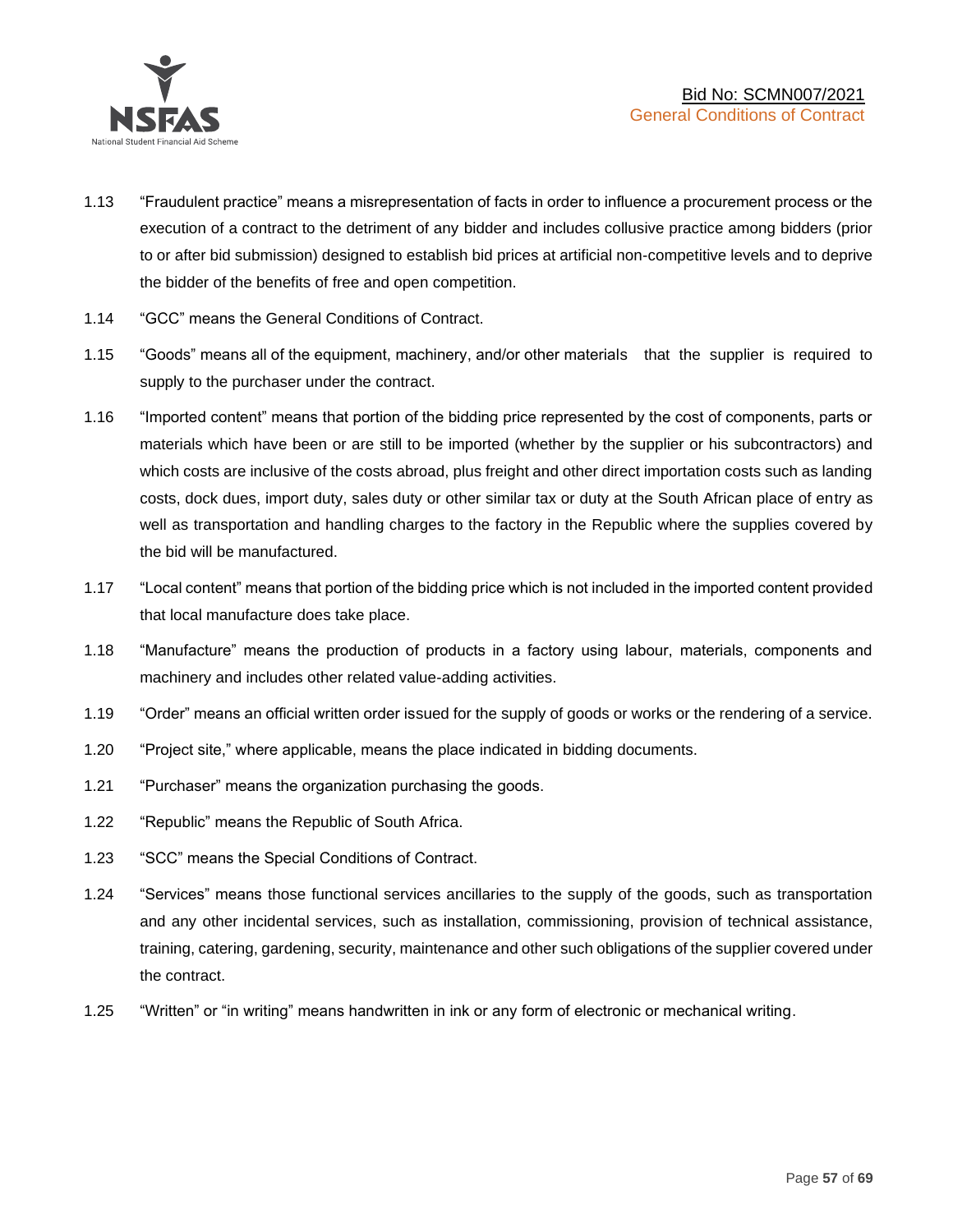

- 1.13 "Fraudulent practice" means a misrepresentation of facts in order to influence a procurement process or the execution of a contract to the detriment of any bidder and includes collusive practice among bidders (prior to or after bid submission) designed to establish bid prices at artificial non-competitive levels and to deprive the bidder of the benefits of free and open competition.
- 1.14 "GCC" means the General Conditions of Contract.
- 1.15 "Goods" means all of the equipment, machinery, and/or other materials that the supplier is required to supply to the purchaser under the contract.
- 1.16 "Imported content" means that portion of the bidding price represented by the cost of components, parts or materials which have been or are still to be imported (whether by the supplier or his subcontractors) and which costs are inclusive of the costs abroad, plus freight and other direct importation costs such as landing costs, dock dues, import duty, sales duty or other similar tax or duty at the South African place of entry as well as transportation and handling charges to the factory in the Republic where the supplies covered by the bid will be manufactured.
- 1.17 "Local content" means that portion of the bidding price which is not included in the imported content provided that local manufacture does take place.
- 1.18 "Manufacture" means the production of products in a factory using labour, materials, components and machinery and includes other related value-adding activities.
- 1.19 "Order" means an official written order issued for the supply of goods or works or the rendering of a service.
- 1.20 "Project site," where applicable, means the place indicated in bidding documents.
- 1.21 "Purchaser" means the organization purchasing the goods.
- 1.22 "Republic" means the Republic of South Africa.
- 1.23 "SCC" means the Special Conditions of Contract.
- 1.24 "Services" means those functional services ancillaries to the supply of the goods, such as transportation and any other incidental services, such as installation, commissioning, provision of technical assistance, training, catering, gardening, security, maintenance and other such obligations of the supplier covered under the contract.
- 1.25 "Written" or "in writing" means handwritten in ink or any form of electronic or mechanical writing.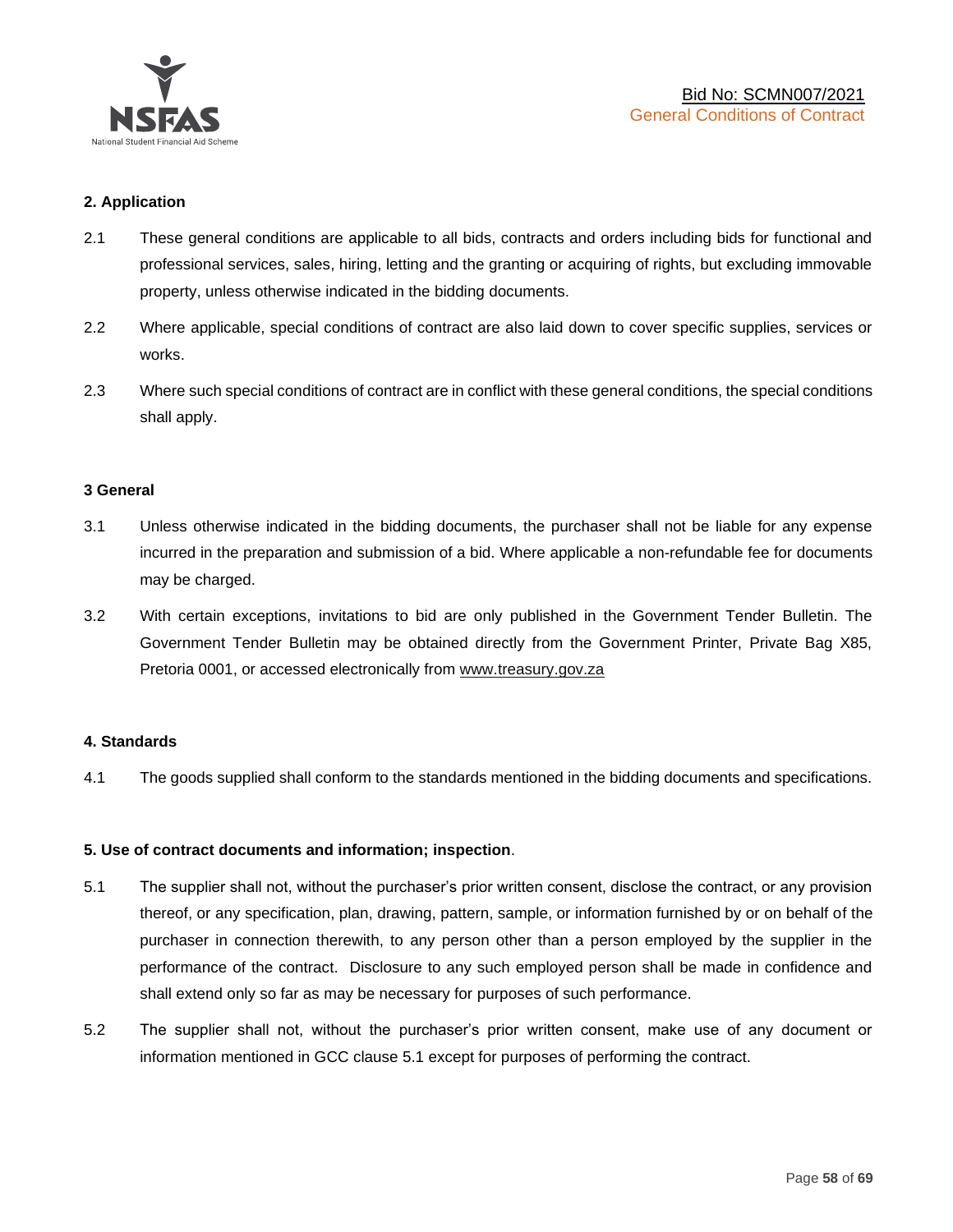

#### **2. Application**

- 2.1 These general conditions are applicable to all bids, contracts and orders including bids for functional and professional services, sales, hiring, letting and the granting or acquiring of rights, but excluding immovable property, unless otherwise indicated in the bidding documents.
- 2.2 Where applicable, special conditions of contract are also laid down to cover specific supplies, services or works.
- 2.3 Where such special conditions of contract are in conflict with these general conditions, the special conditions shall apply.

#### **3 General**

- 3.1 Unless otherwise indicated in the bidding documents, the purchaser shall not be liable for any expense incurred in the preparation and submission of a bid. Where applicable a non-refundable fee for documents may be charged.
- 3.2 With certain exceptions, invitations to bid are only published in the Government Tender Bulletin. The Government Tender Bulletin may be obtained directly from the Government Printer, Private Bag X85, Pretoria 0001, or accessed electronically from [www.treasury.gov.za](http://www.treasury.gov.za/)

#### **4. Standards**

4.1 The goods supplied shall conform to the standards mentioned in the bidding documents and specifications.

#### **5. Use of contract documents and information; inspection**.

- 5.1 The supplier shall not, without the purchaser's prior written consent, disclose the contract, or any provision thereof, or any specification, plan, drawing, pattern, sample, or information furnished by or on behalf of the purchaser in connection therewith, to any person other than a person employed by the supplier in the performance of the contract. Disclosure to any such employed person shall be made in confidence and shall extend only so far as may be necessary for purposes of such performance.
- 5.2 The supplier shall not, without the purchaser's prior written consent, make use of any document or information mentioned in GCC clause 5.1 except for purposes of performing the contract.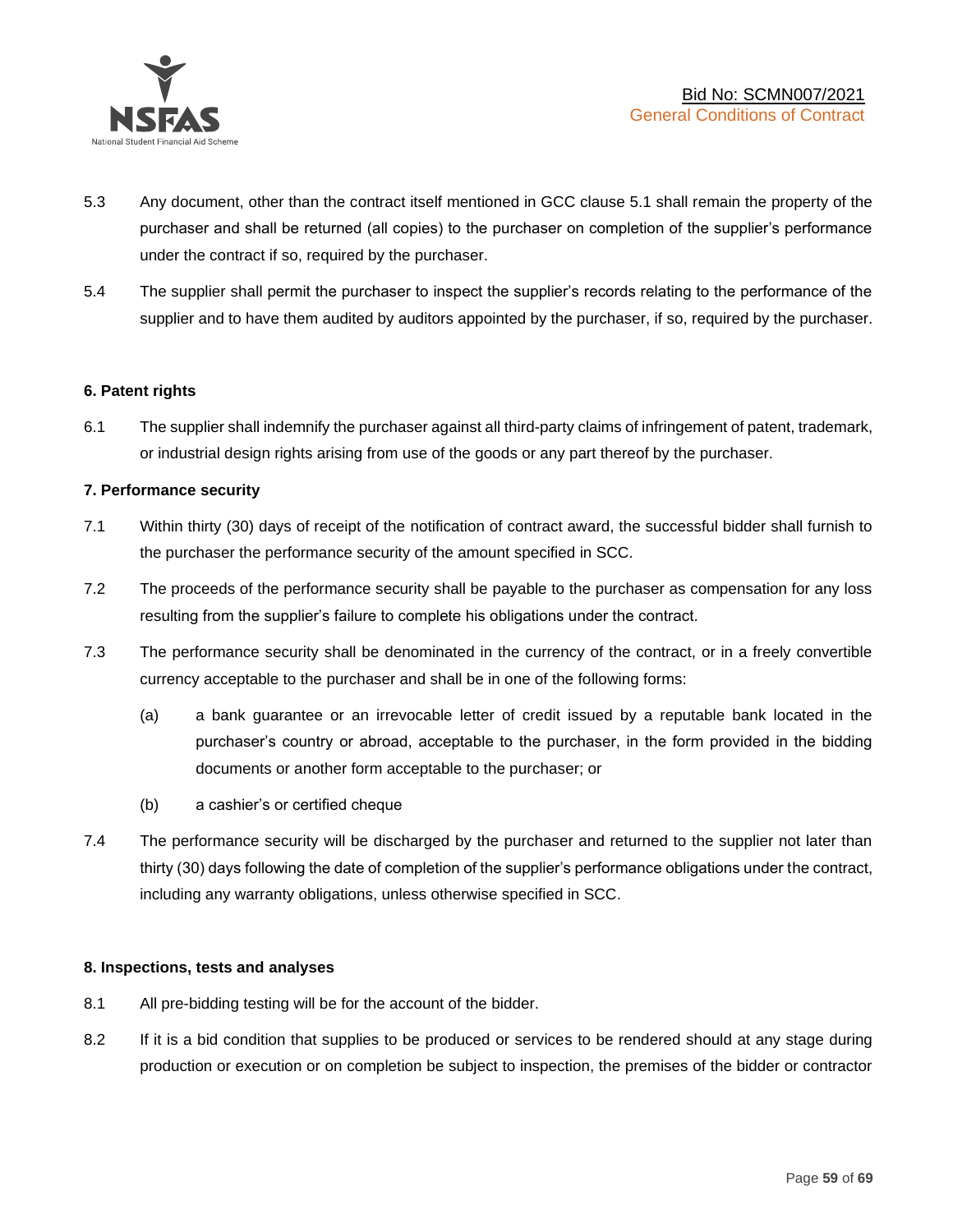

- 5.3 Any document, other than the contract itself mentioned in GCC clause 5.1 shall remain the property of the purchaser and shall be returned (all copies) to the purchaser on completion of the supplier's performance under the contract if so, required by the purchaser.
- 5.4 The supplier shall permit the purchaser to inspect the supplier's records relating to the performance of the supplier and to have them audited by auditors appointed by the purchaser, if so, required by the purchaser.

#### **6. Patent rights**

6.1 The supplier shall indemnify the purchaser against all third-party claims of infringement of patent, trademark, or industrial design rights arising from use of the goods or any part thereof by the purchaser.

#### **7. Performance security**

- 7.1 Within thirty (30) days of receipt of the notification of contract award, the successful bidder shall furnish to the purchaser the performance security of the amount specified in SCC.
- 7.2 The proceeds of the performance security shall be payable to the purchaser as compensation for any loss resulting from the supplier's failure to complete his obligations under the contract.
- 7.3 The performance security shall be denominated in the currency of the contract, or in a freely convertible currency acceptable to the purchaser and shall be in one of the following forms:
	- (a) a bank guarantee or an irrevocable letter of credit issued by a reputable bank located in the purchaser's country or abroad, acceptable to the purchaser, in the form provided in the bidding documents or another form acceptable to the purchaser; or
	- (b) a cashier's or certified cheque
- 7.4 The performance security will be discharged by the purchaser and returned to the supplier not later than thirty (30) days following the date of completion of the supplier's performance obligations under the contract, including any warranty obligations, unless otherwise specified in SCC.

#### **8. Inspections, tests and analyses**

- 8.1 All pre-bidding testing will be for the account of the bidder.
- 8.2 If it is a bid condition that supplies to be produced or services to be rendered should at any stage during production or execution or on completion be subject to inspection, the premises of the bidder or contractor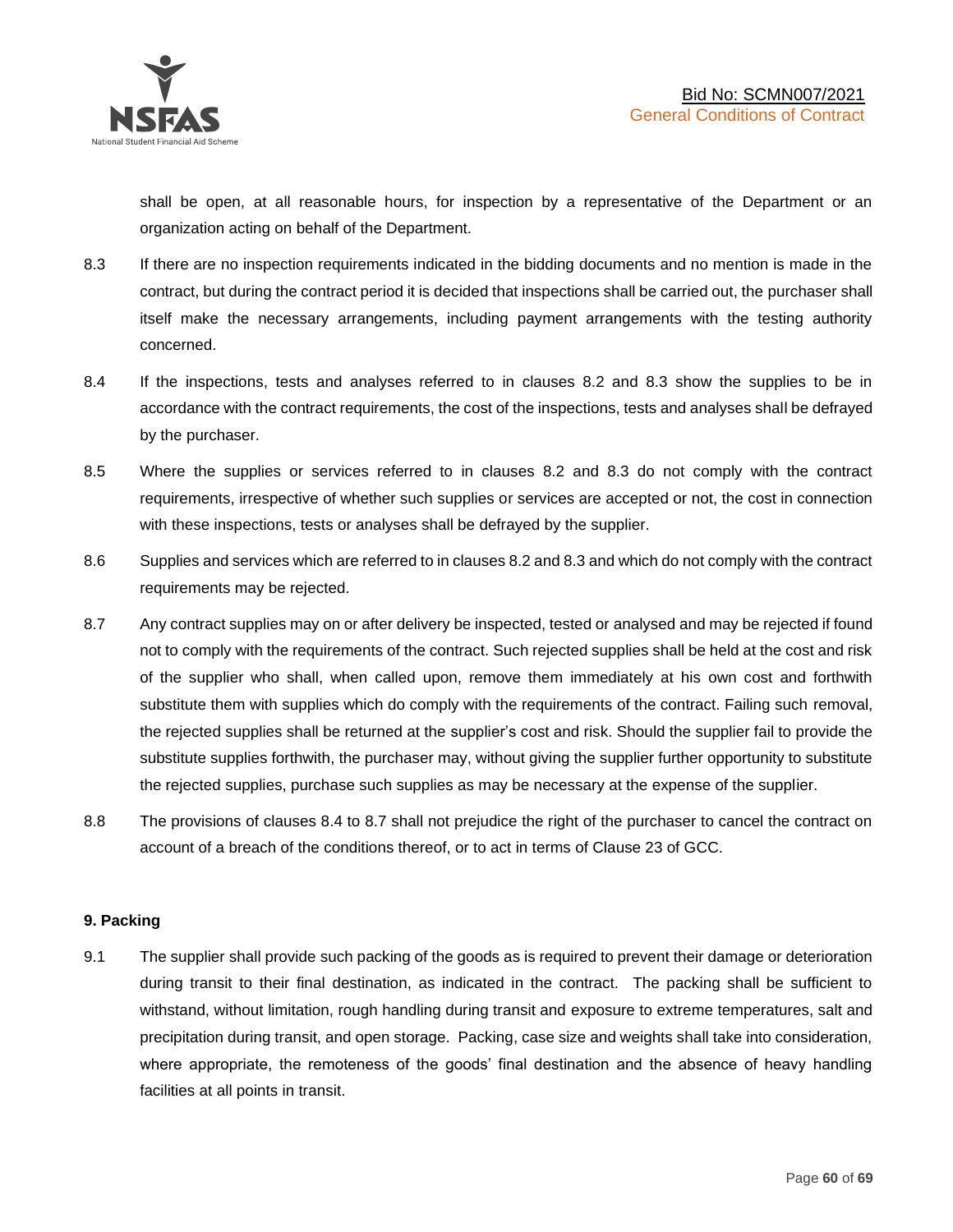shall be open, at all reasonable hours, for inspection by a representative of the Department or an organization acting on behalf of the Department.

- 8.3 If there are no inspection requirements indicated in the bidding documents and no mention is made in the contract, but during the contract period it is decided that inspections shall be carried out, the purchaser shall itself make the necessary arrangements, including payment arrangements with the testing authority concerned.
- 8.4 If the inspections, tests and analyses referred to in clauses 8.2 and 8.3 show the supplies to be in accordance with the contract requirements, the cost of the inspections, tests and analyses shall be defrayed by the purchaser.
- 8.5 Where the supplies or services referred to in clauses 8.2 and 8.3 do not comply with the contract requirements, irrespective of whether such supplies or services are accepted or not, the cost in connection with these inspections, tests or analyses shall be defrayed by the supplier.
- 8.6 Supplies and services which are referred to in clauses 8.2 and 8.3 and which do not comply with the contract requirements may be rejected.
- 8.7 Any contract supplies may on or after delivery be inspected, tested or analysed and may be rejected if found not to comply with the requirements of the contract. Such rejected supplies shall be held at the cost and risk of the supplier who shall, when called upon, remove them immediately at his own cost and forthwith substitute them with supplies which do comply with the requirements of the contract. Failing such removal, the rejected supplies shall be returned at the supplier's cost and risk. Should the supplier fail to provide the substitute supplies forthwith, the purchaser may, without giving the supplier further opportunity to substitute the rejected supplies, purchase such supplies as may be necessary at the expense of the supplier.
- 8.8 The provisions of clauses 8.4 to 8.7 shall not prejudice the right of the purchaser to cancel the contract on account of a breach of the conditions thereof, or to act in terms of Clause 23 of GCC.

# **9. Packing**

9.1 The supplier shall provide such packing of the goods as is required to prevent their damage or deterioration during transit to their final destination, as indicated in the contract. The packing shall be sufficient to withstand, without limitation, rough handling during transit and exposure to extreme temperatures, salt and precipitation during transit, and open storage. Packing, case size and weights shall take into consideration, where appropriate, the remoteness of the goods' final destination and the absence of heavy handling facilities at all points in transit.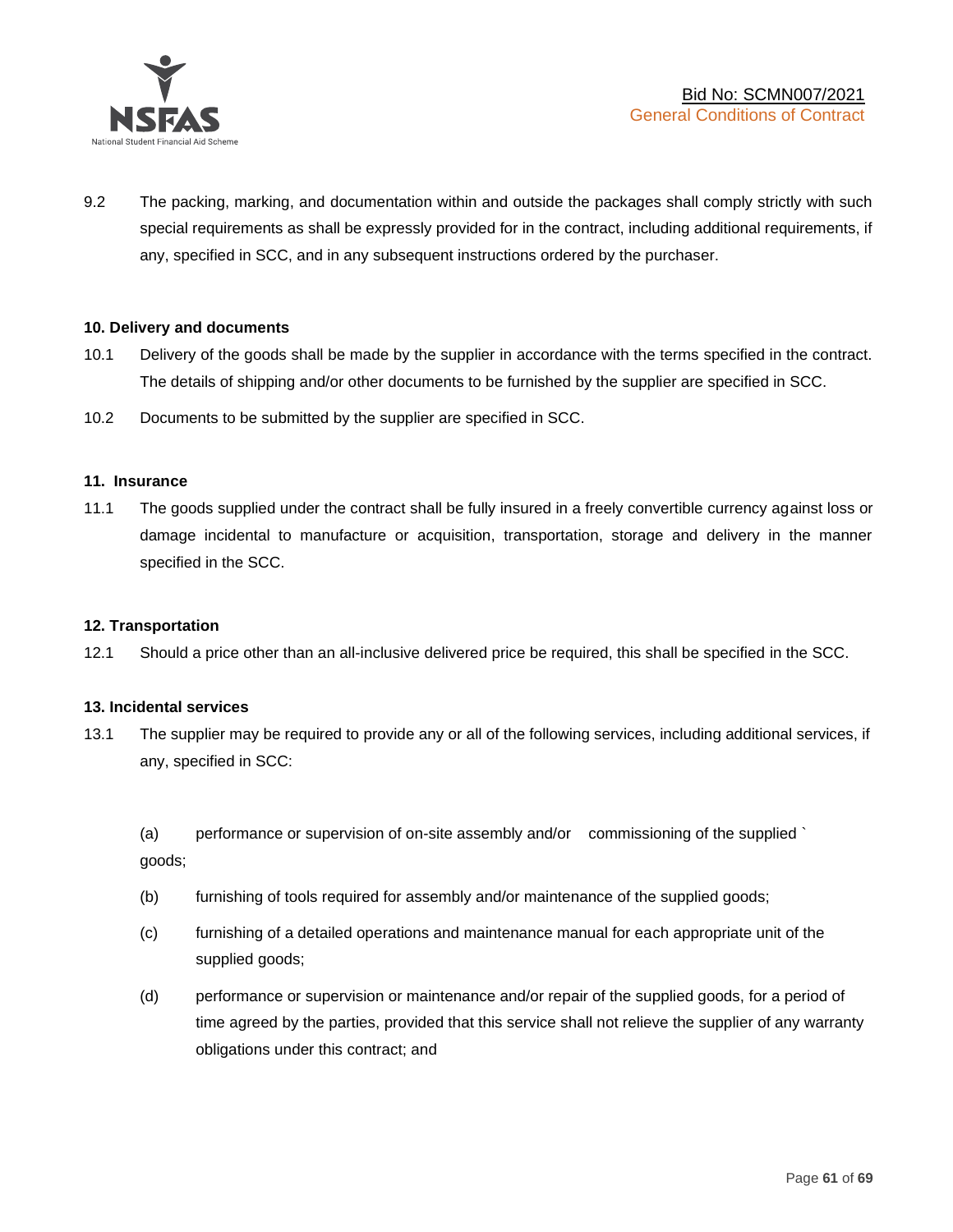

9.2 The packing, marking, and documentation within and outside the packages shall comply strictly with such special requirements as shall be expressly provided for in the contract, including additional requirements, if any, specified in SCC, and in any subsequent instructions ordered by the purchaser.

#### **10. Delivery and documents**

- 10.1 Delivery of the goods shall be made by the supplier in accordance with the terms specified in the contract. The details of shipping and/or other documents to be furnished by the supplier are specified in SCC.
- 10.2 Documents to be submitted by the supplier are specified in SCC.

#### **11. Insurance**

11.1 The goods supplied under the contract shall be fully insured in a freely convertible currency against loss or damage incidental to manufacture or acquisition, transportation, storage and delivery in the manner specified in the SCC.

#### **12. Transportation**

12.1 Should a price other than an all-inclusive delivered price be required, this shall be specified in the SCC.

#### **13. Incidental services**

13.1 The supplier may be required to provide any or all of the following services, including additional services, if any, specified in SCC:

(a) performance or supervision of on-site assembly and/or commissioning of the supplied ` goods;

- (b) furnishing of tools required for assembly and/or maintenance of the supplied goods;
- (c) furnishing of a detailed operations and maintenance manual for each appropriate unit of the supplied goods;
- (d) performance or supervision or maintenance and/or repair of the supplied goods, for a period of time agreed by the parties, provided that this service shall not relieve the supplier of any warranty obligations under this contract; and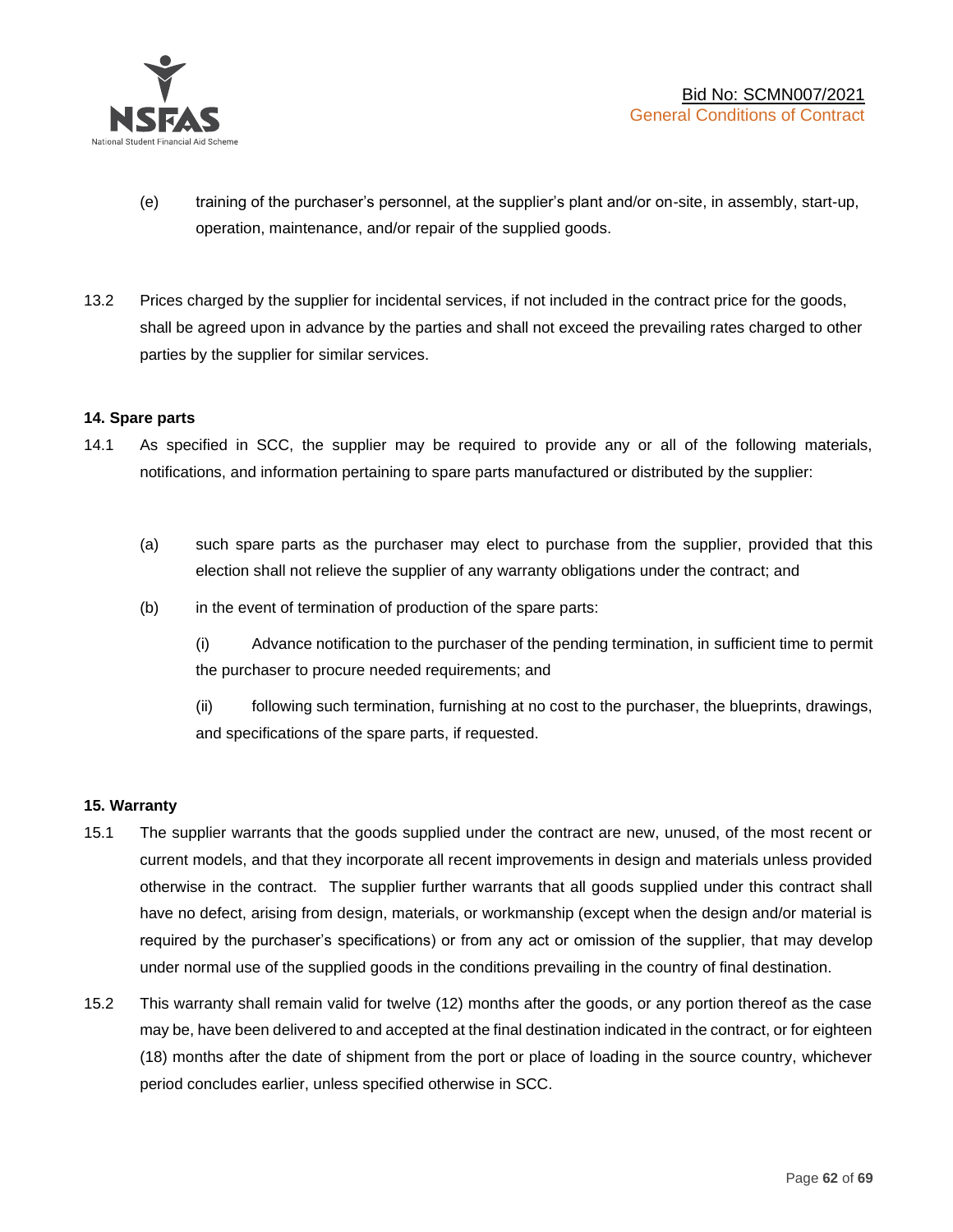

- (e) training of the purchaser's personnel, at the supplier's plant and/or on-site, in assembly, start-up, operation, maintenance, and/or repair of the supplied goods.
- 13.2 Prices charged by the supplier for incidental services, if not included in the contract price for the goods, shall be agreed upon in advance by the parties and shall not exceed the prevailing rates charged to other parties by the supplier for similar services.

#### **14. Spare parts**

- 14.1 As specified in SCC, the supplier may be required to provide any or all of the following materials, notifications, and information pertaining to spare parts manufactured or distributed by the supplier:
	- (a) such spare parts as the purchaser may elect to purchase from the supplier, provided that this election shall not relieve the supplier of any warranty obligations under the contract; and
	- (b) in the event of termination of production of the spare parts:

(i) Advance notification to the purchaser of the pending termination, in sufficient time to permit the purchaser to procure needed requirements; and

(ii) following such termination, furnishing at no cost to the purchaser, the blueprints, drawings, and specifications of the spare parts, if requested.

#### **15. Warranty**

- 15.1 The supplier warrants that the goods supplied under the contract are new, unused, of the most recent or current models, and that they incorporate all recent improvements in design and materials unless provided otherwise in the contract. The supplier further warrants that all goods supplied under this contract shall have no defect, arising from design, materials, or workmanship (except when the design and/or material is required by the purchaser's specifications) or from any act or omission of the supplier, that may develop under normal use of the supplied goods in the conditions prevailing in the country of final destination.
- 15.2 This warranty shall remain valid for twelve (12) months after the goods, or any portion thereof as the case may be, have been delivered to and accepted at the final destination indicated in the contract, or for eighteen (18) months after the date of shipment from the port or place of loading in the source country, whichever period concludes earlier, unless specified otherwise in SCC.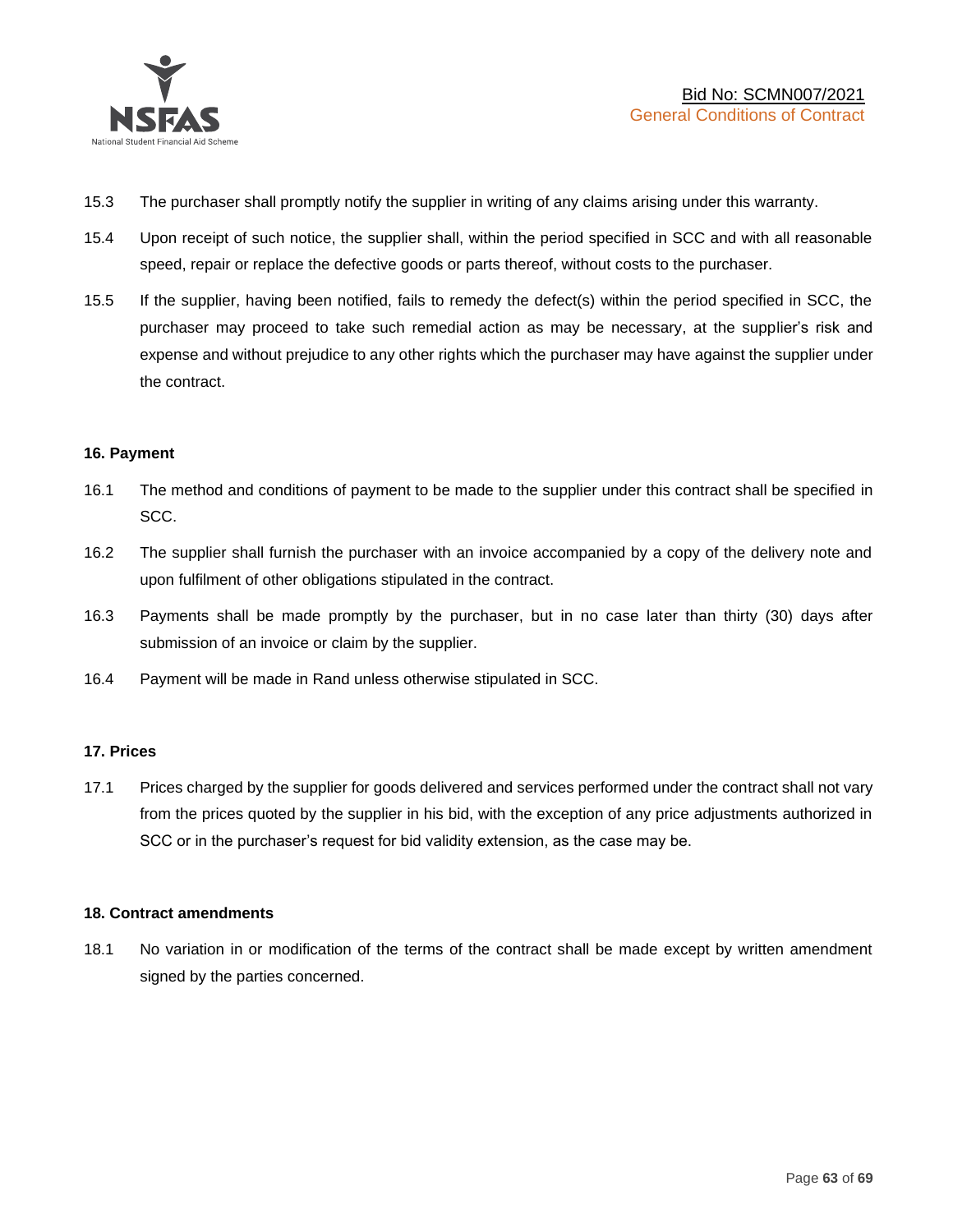

- 15.3 The purchaser shall promptly notify the supplier in writing of any claims arising under this warranty.
- 15.4 Upon receipt of such notice, the supplier shall, within the period specified in SCC and with all reasonable speed, repair or replace the defective goods or parts thereof, without costs to the purchaser.
- 15.5 If the supplier, having been notified, fails to remedy the defect(s) within the period specified in SCC, the purchaser may proceed to take such remedial action as may be necessary, at the supplier's risk and expense and without prejudice to any other rights which the purchaser may have against the supplier under the contract.

#### **16. Payment**

- 16.1 The method and conditions of payment to be made to the supplier under this contract shall be specified in SCC.
- 16.2 The supplier shall furnish the purchaser with an invoice accompanied by a copy of the delivery note and upon fulfilment of other obligations stipulated in the contract.
- 16.3 Payments shall be made promptly by the purchaser, but in no case later than thirty (30) days after submission of an invoice or claim by the supplier.
- 16.4 Payment will be made in Rand unless otherwise stipulated in SCC.

#### **17. Prices**

17.1 Prices charged by the supplier for goods delivered and services performed under the contract shall not vary from the prices quoted by the supplier in his bid, with the exception of any price adjustments authorized in SCC or in the purchaser's request for bid validity extension, as the case may be.

#### **18. Contract amendments**

18.1 No variation in or modification of the terms of the contract shall be made except by written amendment signed by the parties concerned.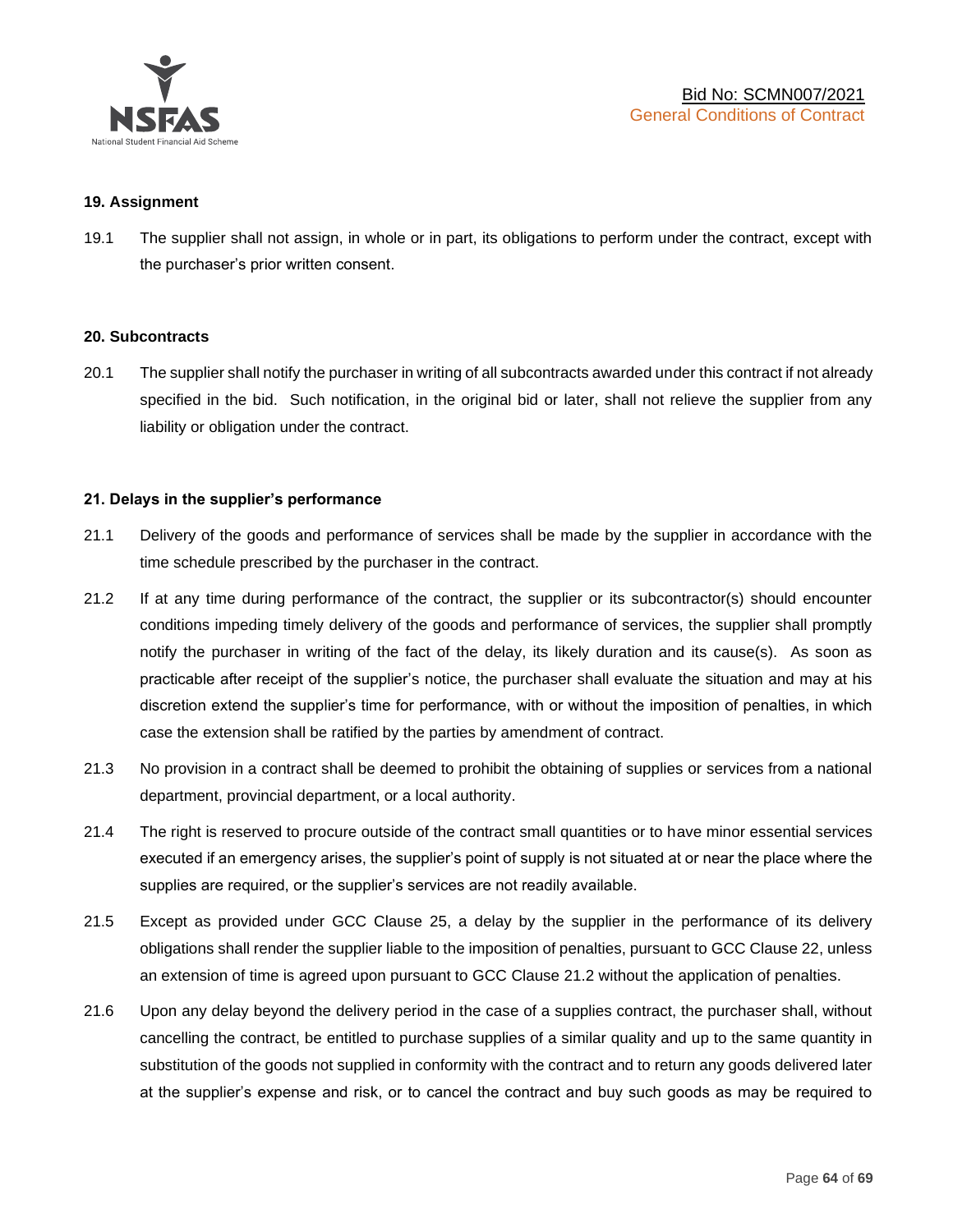

#### **19. Assignment**

19.1 The supplier shall not assign, in whole or in part, its obligations to perform under the contract, except with the purchaser's prior written consent.

#### **20. Subcontracts**

20.1 The supplier shall notify the purchaser in writing of all subcontracts awarded under this contract if not already specified in the bid. Such notification, in the original bid or later, shall not relieve the supplier from any liability or obligation under the contract.

#### **21. Delays in the supplier's performance**

- 21.1 Delivery of the goods and performance of services shall be made by the supplier in accordance with the time schedule prescribed by the purchaser in the contract.
- 21.2 If at any time during performance of the contract, the supplier or its subcontractor(s) should encounter conditions impeding timely delivery of the goods and performance of services, the supplier shall promptly notify the purchaser in writing of the fact of the delay, its likely duration and its cause(s). As soon as practicable after receipt of the supplier's notice, the purchaser shall evaluate the situation and may at his discretion extend the supplier's time for performance, with or without the imposition of penalties, in which case the extension shall be ratified by the parties by amendment of contract.
- 21.3 No provision in a contract shall be deemed to prohibit the obtaining of supplies or services from a national department, provincial department, or a local authority.
- 21.4 The right is reserved to procure outside of the contract small quantities or to have minor essential services executed if an emergency arises, the supplier's point of supply is not situated at or near the place where the supplies are required, or the supplier's services are not readily available.
- 21.5 Except as provided under GCC Clause 25, a delay by the supplier in the performance of its delivery obligations shall render the supplier liable to the imposition of penalties, pursuant to GCC Clause 22, unless an extension of time is agreed upon pursuant to GCC Clause 21.2 without the application of penalties.
- 21.6 Upon any delay beyond the delivery period in the case of a supplies contract, the purchaser shall, without cancelling the contract, be entitled to purchase supplies of a similar quality and up to the same quantity in substitution of the goods not supplied in conformity with the contract and to return any goods delivered later at the supplier's expense and risk, or to cancel the contract and buy such goods as may be required to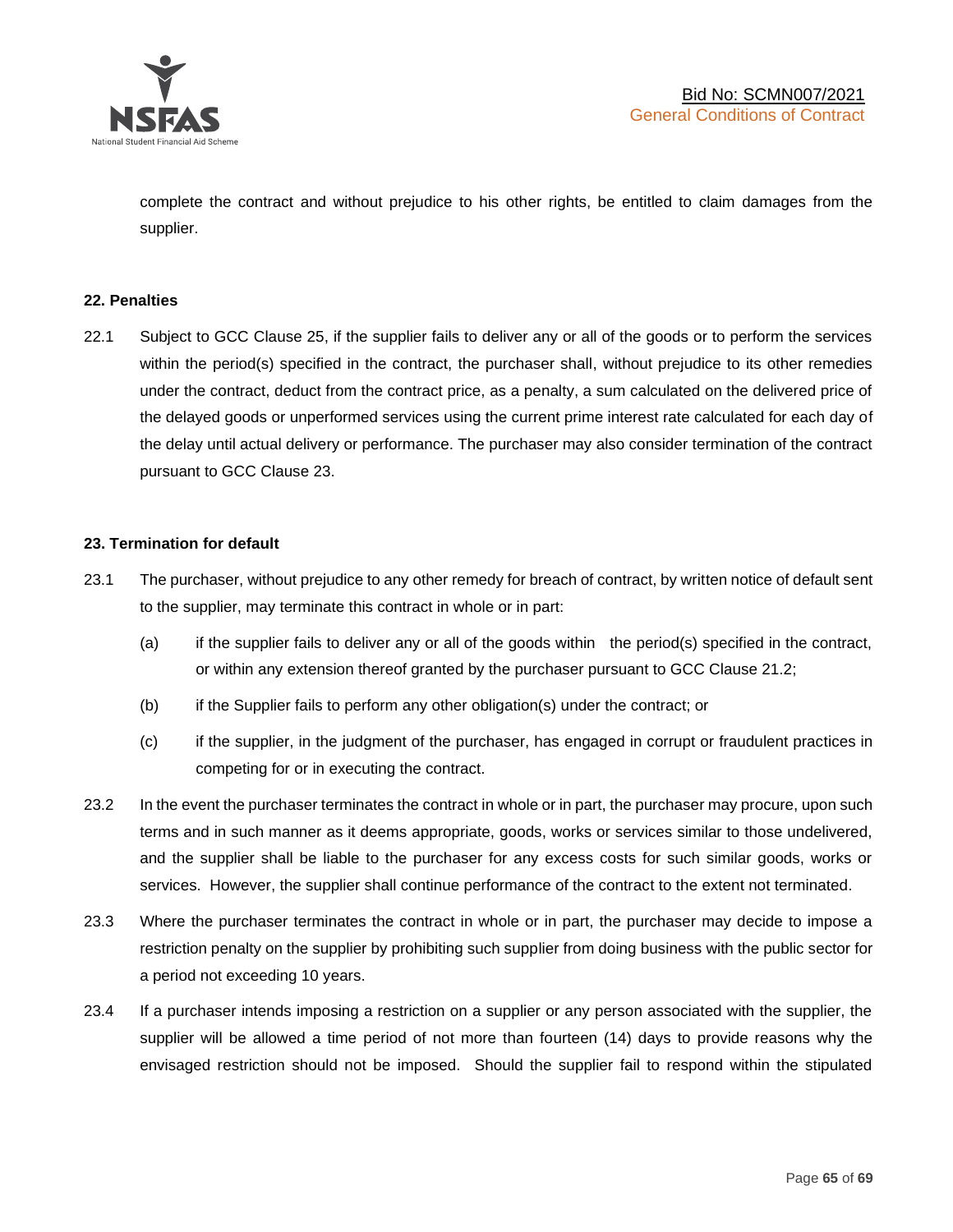

complete the contract and without prejudice to his other rights, be entitled to claim damages from the supplier.

#### **22. Penalties**

22.1 Subject to GCC Clause 25, if the supplier fails to deliver any or all of the goods or to perform the services within the period(s) specified in the contract, the purchaser shall, without prejudice to its other remedies under the contract, deduct from the contract price, as a penalty, a sum calculated on the delivered price of the delayed goods or unperformed services using the current prime interest rate calculated for each day of the delay until actual delivery or performance. The purchaser may also consider termination of the contract pursuant to GCC Clause 23.

#### **23. Termination for default**

- 23.1 The purchaser, without prejudice to any other remedy for breach of contract, by written notice of default sent to the supplier, may terminate this contract in whole or in part:
	- (a) if the supplier fails to deliver any or all of the goods within the period(s) specified in the contract, or within any extension thereof granted by the purchaser pursuant to GCC Clause 21.2;
	- (b) if the Supplier fails to perform any other obligation(s) under the contract; or
	- (c) if the supplier, in the judgment of the purchaser, has engaged in corrupt or fraudulent practices in competing for or in executing the contract.
- 23.2 In the event the purchaser terminates the contract in whole or in part, the purchaser may procure, upon such terms and in such manner as it deems appropriate, goods, works or services similar to those undelivered, and the supplier shall be liable to the purchaser for any excess costs for such similar goods, works or services. However, the supplier shall continue performance of the contract to the extent not terminated.
- 23.3 Where the purchaser terminates the contract in whole or in part, the purchaser may decide to impose a restriction penalty on the supplier by prohibiting such supplier from doing business with the public sector for a period not exceeding 10 years.
- 23.4 If a purchaser intends imposing a restriction on a supplier or any person associated with the supplier, the supplier will be allowed a time period of not more than fourteen (14) days to provide reasons why the envisaged restriction should not be imposed. Should the supplier fail to respond within the stipulated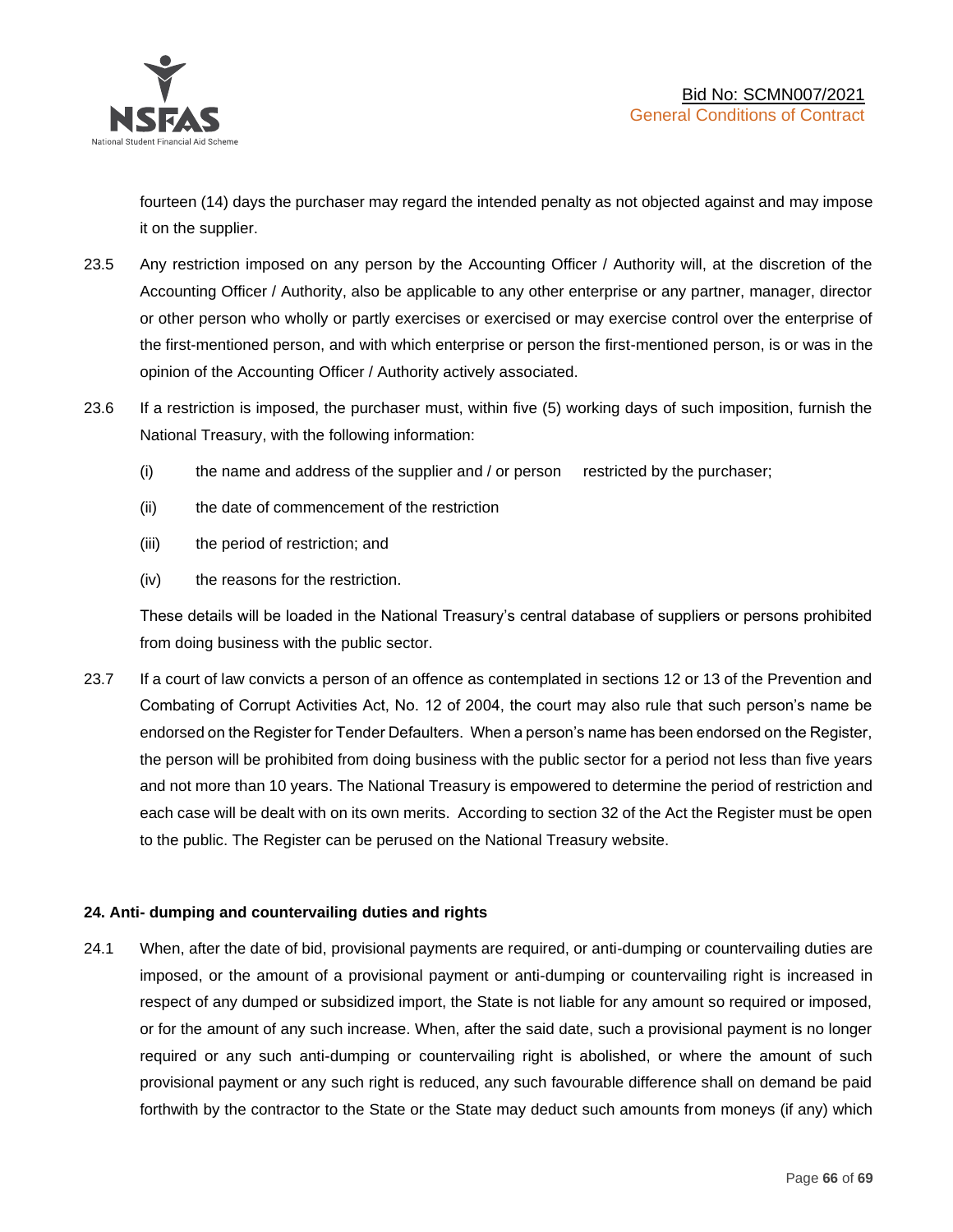

fourteen (14) days the purchaser may regard the intended penalty as not objected against and may impose it on the supplier.

- 23.5 Any restriction imposed on any person by the Accounting Officer / Authority will, at the discretion of the Accounting Officer / Authority, also be applicable to any other enterprise or any partner, manager, director or other person who wholly or partly exercises or exercised or may exercise control over the enterprise of the first-mentioned person, and with which enterprise or person the first-mentioned person, is or was in the opinion of the Accounting Officer / Authority actively associated.
- 23.6 If a restriction is imposed, the purchaser must, within five (5) working days of such imposition, furnish the National Treasury, with the following information:
	- (i) the name and address of the supplier and / or person restricted by the purchaser;
	- (ii) the date of commencement of the restriction
	- (iii) the period of restriction; and
	- (iv) the reasons for the restriction.

These details will be loaded in the National Treasury's central database of suppliers or persons prohibited from doing business with the public sector.

23.7 If a court of law convicts a person of an offence as contemplated in sections 12 or 13 of the Prevention and Combating of Corrupt Activities Act, No. 12 of 2004, the court may also rule that such person's name be endorsed on the Register for Tender Defaulters. When a person's name has been endorsed on the Register, the person will be prohibited from doing business with the public sector for a period not less than five years and not more than 10 years. The National Treasury is empowered to determine the period of restriction and each case will be dealt with on its own merits. According to section 32 of the Act the Register must be open to the public. The Register can be perused on the National Treasury website.

# **24. Anti- dumping and countervailing duties and rights**

24.1 When, after the date of bid, provisional payments are required, or anti-dumping or countervailing duties are imposed, or the amount of a provisional payment or anti-dumping or countervailing right is increased in respect of any dumped or subsidized import, the State is not liable for any amount so required or imposed, or for the amount of any such increase. When, after the said date, such a provisional payment is no longer required or any such anti-dumping or countervailing right is abolished, or where the amount of such provisional payment or any such right is reduced, any such favourable difference shall on demand be paid forthwith by the contractor to the State or the State may deduct such amounts from moneys (if any) which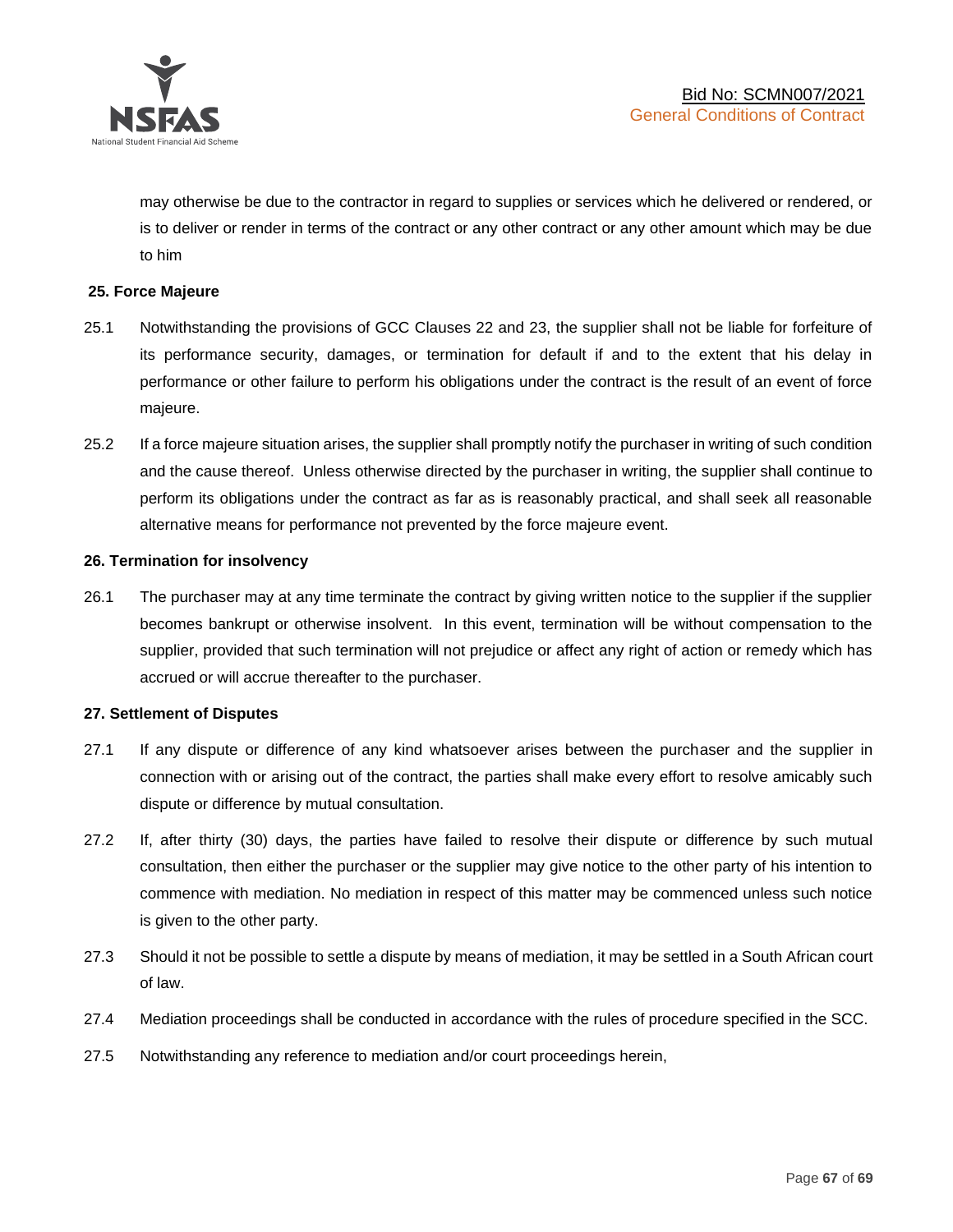

may otherwise be due to the contractor in regard to supplies or services which he delivered or rendered, or is to deliver or render in terms of the contract or any other contract or any other amount which may be due to him

#### **25. Force Majeure**

- 25.1 Notwithstanding the provisions of GCC Clauses 22 and 23, the supplier shall not be liable for forfeiture of its performance security, damages, or termination for default if and to the extent that his delay in performance or other failure to perform his obligations under the contract is the result of an event of force majeure.
- 25.2 If a force majeure situation arises, the supplier shall promptly notify the purchaser in writing of such condition and the cause thereof. Unless otherwise directed by the purchaser in writing, the supplier shall continue to perform its obligations under the contract as far as is reasonably practical, and shall seek all reasonable alternative means for performance not prevented by the force majeure event.

#### **26. Termination for insolvency**

26.1 The purchaser may at any time terminate the contract by giving written notice to the supplier if the supplier becomes bankrupt or otherwise insolvent. In this event, termination will be without compensation to the supplier, provided that such termination will not prejudice or affect any right of action or remedy which has accrued or will accrue thereafter to the purchaser.

#### **27. Settlement of Disputes**

- 27.1 If any dispute or difference of any kind whatsoever arises between the purchaser and the supplier in connection with or arising out of the contract, the parties shall make every effort to resolve amicably such dispute or difference by mutual consultation.
- 27.2 If, after thirty (30) days, the parties have failed to resolve their dispute or difference by such mutual consultation, then either the purchaser or the supplier may give notice to the other party of his intention to commence with mediation. No mediation in respect of this matter may be commenced unless such notice is given to the other party.
- 27.3 Should it not be possible to settle a dispute by means of mediation, it may be settled in a South African court of law.
- 27.4 Mediation proceedings shall be conducted in accordance with the rules of procedure specified in the SCC.
- 27.5 Notwithstanding any reference to mediation and/or court proceedings herein,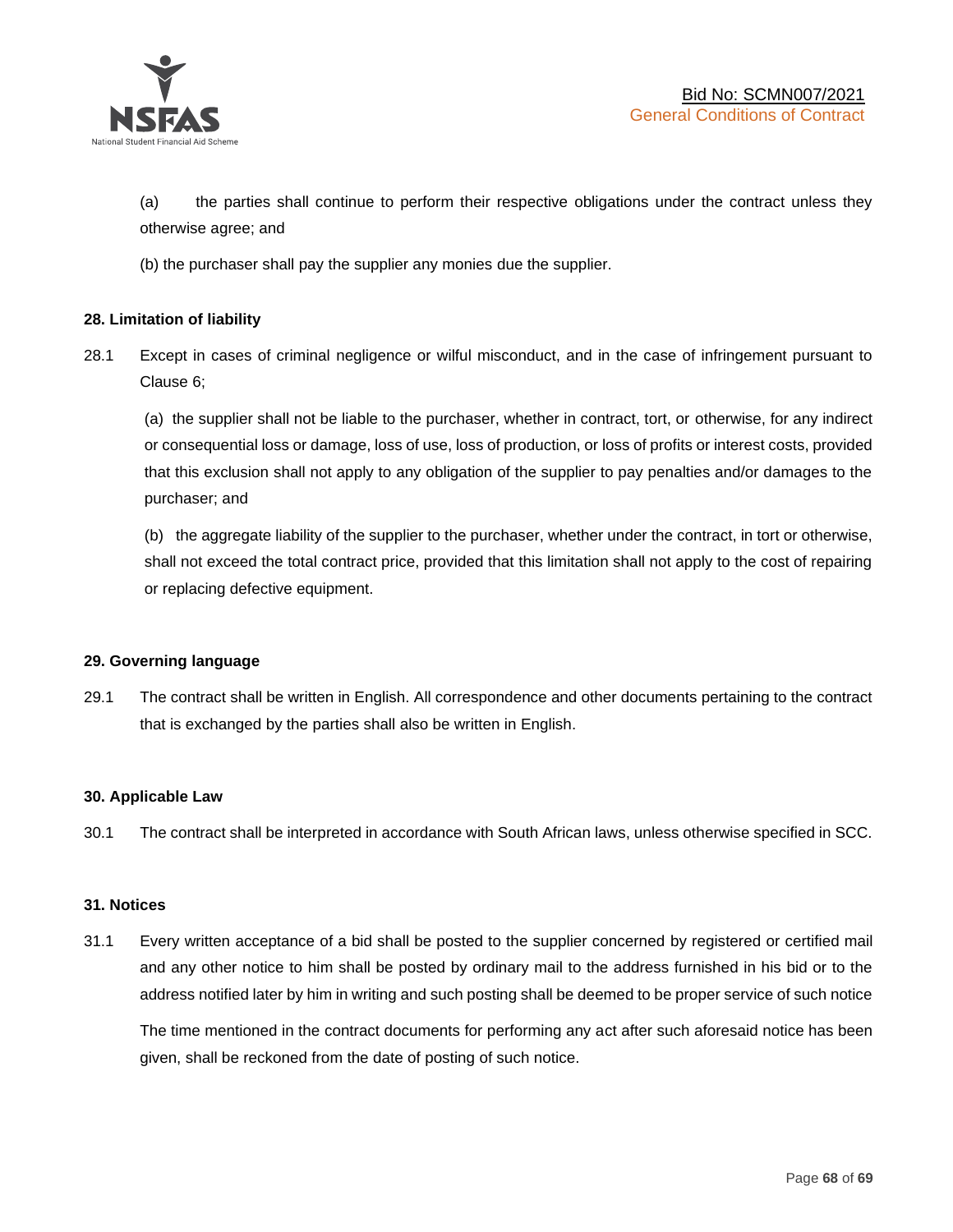

(a) the parties shall continue to perform their respective obligations under the contract unless they otherwise agree; and

(b) the purchaser shall pay the supplier any monies due the supplier.

#### **28. Limitation of liability**

28.1 Except in cases of criminal negligence or wilful misconduct, and in the case of infringement pursuant to Clause 6;

(a) the supplier shall not be liable to the purchaser, whether in contract, tort, or otherwise, for any indirect or consequential loss or damage, loss of use, loss of production, or loss of profits or interest costs, provided that this exclusion shall not apply to any obligation of the supplier to pay penalties and/or damages to the purchaser; and

(b) the aggregate liability of the supplier to the purchaser, whether under the contract, in tort or otherwise, shall not exceed the total contract price, provided that this limitation shall not apply to the cost of repairing or replacing defective equipment.

#### **29. Governing language**

29.1 The contract shall be written in English. All correspondence and other documents pertaining to the contract that is exchanged by the parties shall also be written in English.

#### **30. Applicable Law**

30.1 The contract shall be interpreted in accordance with South African laws, unless otherwise specified in SCC.

#### **31. Notices**

31.1 Every written acceptance of a bid shall be posted to the supplier concerned by registered or certified mail and any other notice to him shall be posted by ordinary mail to the address furnished in his bid or to the address notified later by him in writing and such posting shall be deemed to be proper service of such notice

The time mentioned in the contract documents for performing any act after such aforesaid notice has been given, shall be reckoned from the date of posting of such notice.